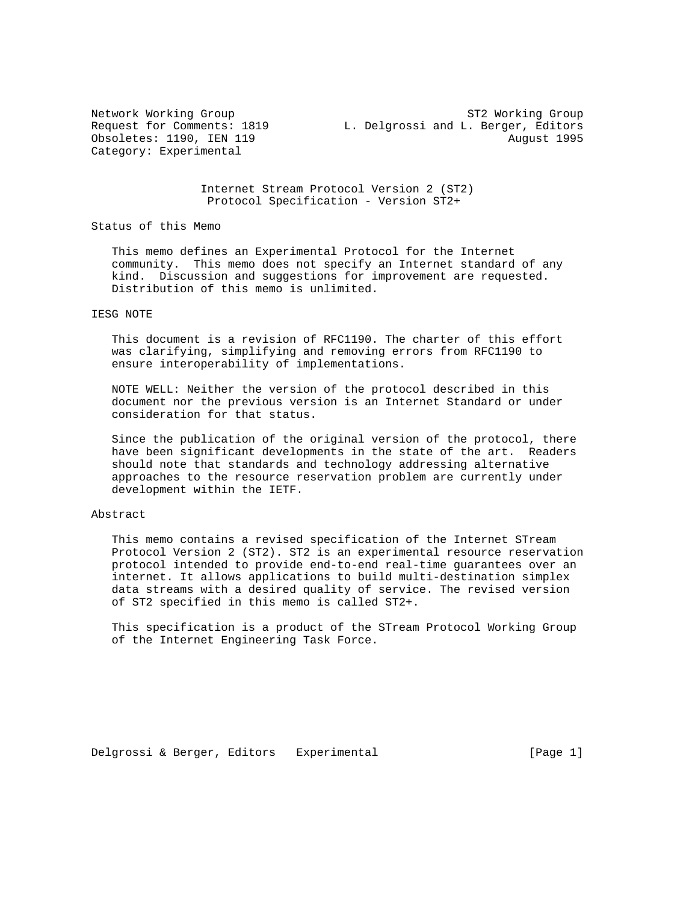Network Working Group ST2 Working Group Request for Comments: 1819 L. Delgrossi and L. Berger, Editors Obsoletes: 1190, IEN 119 August 1995 Category: Experimental

> Internet Stream Protocol Version 2 (ST2) Protocol Specification - Version ST2+

Status of this Memo

 This memo defines an Experimental Protocol for the Internet community. This memo does not specify an Internet standard of any kind. Discussion and suggestions for improvement are requested. Distribution of this memo is unlimited.

# IESG NOTE

 This document is a revision of RFC1190. The charter of this effort was clarifying, simplifying and removing errors from RFC1190 to ensure interoperability of implementations.

 NOTE WELL: Neither the version of the protocol described in this document nor the previous version is an Internet Standard or under consideration for that status.

 Since the publication of the original version of the protocol, there have been significant developments in the state of the art. Readers should note that standards and technology addressing alternative approaches to the resource reservation problem are currently under development within the IETF.

### Abstract

 This memo contains a revised specification of the Internet STream Protocol Version 2 (ST2). ST2 is an experimental resource reservation protocol intended to provide end-to-end real-time guarantees over an internet. It allows applications to build multi-destination simplex data streams with a desired quality of service. The revised version of ST2 specified in this memo is called ST2+.

 This specification is a product of the STream Protocol Working Group of the Internet Engineering Task Force.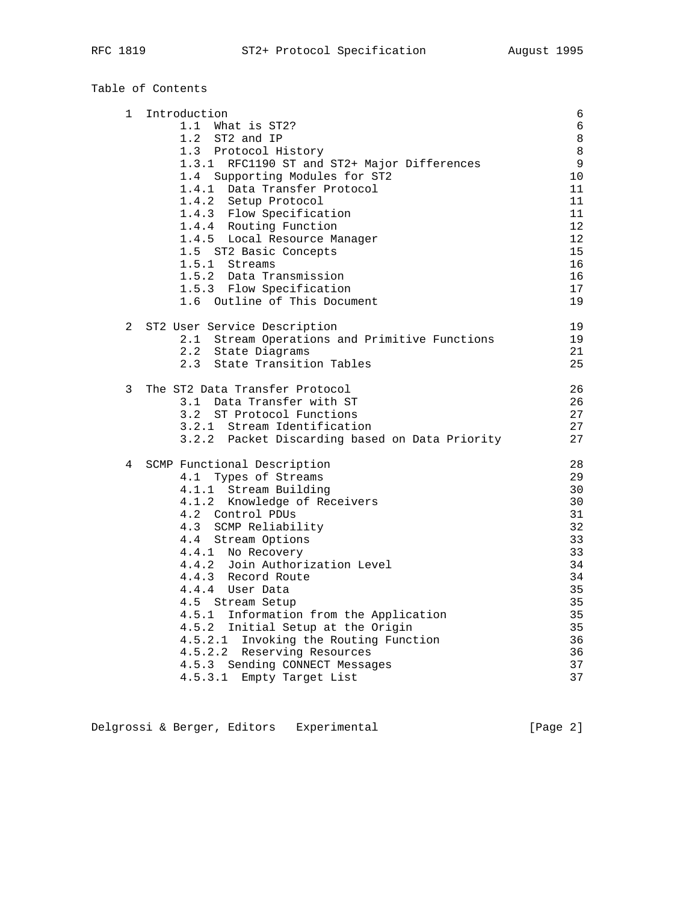| Table of Contents                                                                                                                                                                                                                                                                                                                                                                                                                                                                                                                               |                                                                                                            |
|-------------------------------------------------------------------------------------------------------------------------------------------------------------------------------------------------------------------------------------------------------------------------------------------------------------------------------------------------------------------------------------------------------------------------------------------------------------------------------------------------------------------------------------------------|------------------------------------------------------------------------------------------------------------|
| Introduction<br>$\mathbf{1}$<br>1.1 What is ST2?<br>1.2 ST2 and IP<br>1.3 Protocol History<br>1.3.1 RFC1190 ST and ST2+ Major Differences<br>1.4 Supporting Modules for ST2<br>1.4.1 Data Transfer Protocol<br>1.4.2 Setup Protocol<br>1.4.3 Flow Specification<br>1.4.4 Routing Function<br>1.4.5 Local Resource Manager<br>1.5 ST2 Basic Concepts<br>1.5.1 Streams<br>1.5.2 Data Transmission<br>1.5.3 Flow Specification<br>1.6 Outline of This Document                                                                                     | 6<br>6<br>8<br>$\,8\,$<br>9<br>10<br>11<br>11<br>11<br>12 <sup>°</sup><br>12<br>15<br>16<br>16<br>17<br>19 |
| 2<br>ST2 User Service Description<br>2.1 Stream Operations and Primitive Functions<br>2.2 State Diagrams<br>2.3 State Transition Tables                                                                                                                                                                                                                                                                                                                                                                                                         | 19<br>19<br>21<br>25                                                                                       |
| 3<br>The ST2 Data Transfer Protocol<br>3.1 Data Transfer with ST<br>3.2 ST Protocol Functions<br>3.2.1 Stream Identification<br>3.2.2 Packet Discarding based on Data Priority                                                                                                                                                                                                                                                                                                                                                                  | 26<br>26<br>27<br>27<br>27                                                                                 |
| SCMP Functional Description<br>4<br>Types of Streams<br>4.1<br>4.1.1 Stream Building<br>4.1.2 Knowledge of Receivers<br>4.2 Control PDUs<br>4.3 SCMP Reliability<br>4.4 Stream Options<br>4.4.1 No Recovery<br>4.4.2 Join Authorization Level<br>4.4.3 Record Route<br>4.4.4 User Data<br>4.5 Stream Setup<br>Information from the Application<br>4.5.1<br>4.5.2<br>Initial Setup at the Origin<br>4.5.2.1 Invoking the Routing Function<br>4.5.2.2<br>Reserving Resources<br>Sending CONNECT Messages<br>4.5.3<br>4.5.3.1<br>Empty Target List | 28<br>29<br>30<br>30<br>31<br>32<br>33<br>33<br>34<br>34<br>35<br>35<br>35<br>35<br>36<br>36<br>37<br>37   |

Delgrossi & Berger, Editors Experimental (Page 2)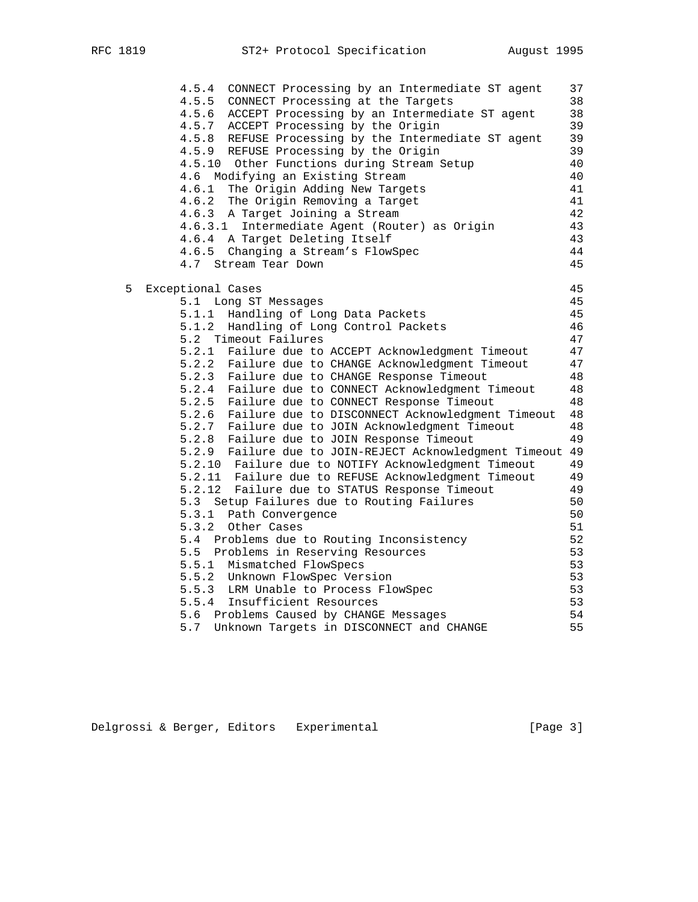| CONNECT Processing by an Intermediate ST agent<br>4.5.4    | 37 |
|------------------------------------------------------------|----|
| 4.5.5<br>CONNECT Processing at the Targets                 | 38 |
| 4.5.6<br>ACCEPT Processing by an Intermediate ST agent     | 38 |
| 4.5.7 ACCEPT Processing by the Origin                      | 39 |
| 4.5.8<br>REFUSE Processing by the Intermediate ST agent    | 39 |
| 4.5.9 REFUSE Processing by the Origin                      | 39 |
| 4.5.10 Other Functions during Stream Setup                 | 40 |
| 4.6<br>Modifying an Existing Stream                        | 40 |
| 4.6.1<br>The Origin Adding New Targets                     | 41 |
| 4.6.2 The Origin Removing a Target                         | 41 |
| 4.6.3 A Target Joining a Stream                            | 42 |
| 4.6.3.1<br>Intermediate Agent (Router) as Origin           | 43 |
| 4.6.4 A Target Deleting Itself                             | 43 |
| 4.6.5 Changing a Stream's FlowSpec                         | 44 |
| 4.7 Stream Tear Down                                       | 45 |
|                                                            |    |
| 5<br>Exceptional Cases                                     | 45 |
| 5.1 Long ST Messages                                       | 45 |
| 5.1.1<br>Handling of Long Data Packets                     | 45 |
| 5.1.2 Handling of Long Control Packets                     | 46 |
| 5.2 Timeout Failures                                       | 47 |
| 5.2.1 Failure due to ACCEPT Acknowledgment Timeout         | 47 |
| 5.2.2 Failure due to CHANGE Acknowledgment Timeout         | 47 |
| 5.2.3 Failure due to CHANGE Response Timeout               | 48 |
| 5.2.4 Failure due to CONNECT Acknowledgment Timeout        | 48 |
| 5.2.5<br>Failure due to CONNECT Response Timeout           | 48 |
| 5.2.6 Failure due to DISCONNECT Acknowledgment Timeout     | 48 |
| 5.2.7 Failure due to JOIN Acknowledgment Timeout           | 48 |
| 5.2.8<br>Failure due to JOIN Response Timeout              | 49 |
| 5.2.9<br>Failure due to JOIN-REJECT Acknowledgment Timeout | 49 |
| 5.2.10 Failure due to NOTIFY Acknowledgment Timeout        | 49 |
| 5.2.11 Failure due to REFUSE Acknowledgment Timeout        | 49 |
| 5.2.12 Failure due to STATUS Response Timeout              | 49 |
| 5.3<br>Setup Failures due to Routing Failures              | 50 |
| 5.3.1<br>Path Convergence                                  | 50 |
| 5.3.2<br>Other Cases                                       | 51 |
| Problems due to Routing Inconsistency<br>5.4               | 52 |
| 5.5<br>Problems in Reserving Resources                     | 53 |
| 5.5.1 Mismatched FlowSpecs                                 | 53 |
| 5.5.2 Unknown FlowSpec Version                             | 53 |
| 5.5.3 LRM Unable to Process FlowSpec                       | 53 |
| 5.5.4 Insufficient Resources                               | 53 |
| 5.6<br>Problems Caused by CHANGE Messages                  | 54 |
| Unknown Targets in DISCONNECT and CHANGE<br>5.7            | 55 |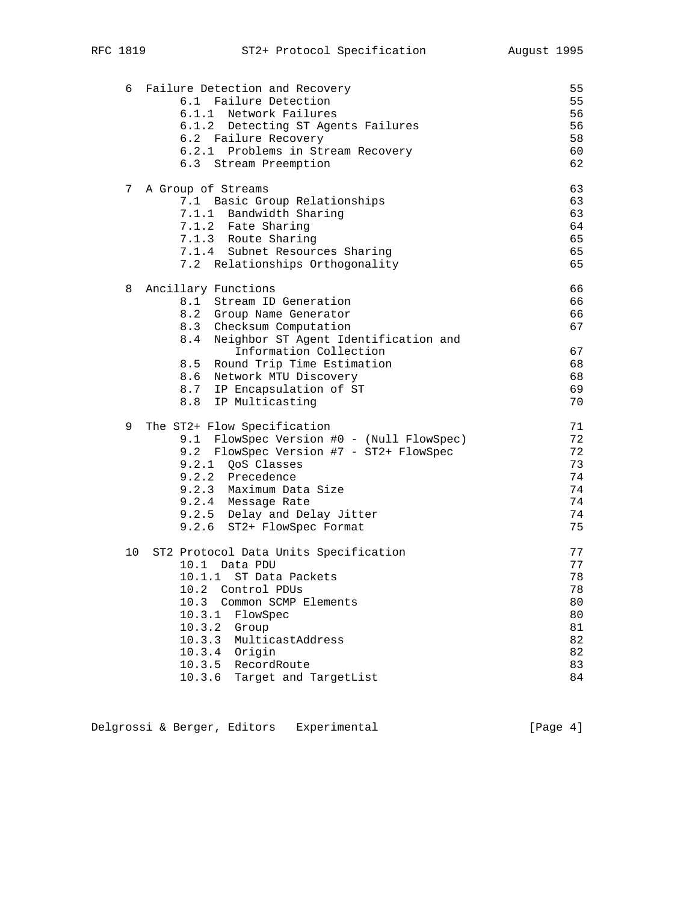| 6  | Failure Detection and Recovery              | 55 |
|----|---------------------------------------------|----|
|    | 6.1 Failure Detection                       | 55 |
|    | 6.1.1 Network Failures                      | 56 |
|    | 6.1.2 Detecting ST Agents Failures          | 56 |
|    | 6.2 Failure Recovery                        | 58 |
|    | 6.2.1 Problems in Stream Recovery           | 60 |
|    | 6.3 Stream Preemption                       | 62 |
| 7  | A Group of Streams                          | 63 |
|    | 7.1 Basic Group Relationships               | 63 |
|    | 7.1.1 Bandwidth Sharing                     | 63 |
|    | 7.1.2 Fate Sharing                          | 64 |
|    | 7.1.3 Route Sharing                         | 65 |
|    | 7.1.4 Subnet Resources Sharing              | 65 |
|    | 7.2 Relationships Orthogonality             | 65 |
| 8  | Ancillary Functions                         | 66 |
|    | 8.1 Stream ID Generation                    | 66 |
|    | 8.2 Group Name Generator                    | 66 |
|    | 8.3 Checksum Computation                    | 67 |
|    | 8.4<br>Neighbor ST Agent Identification and |    |
|    | Information Collection                      | 67 |
|    | 8.5<br>Round Trip Time Estimation           | 68 |
|    | 8.6 Network MTU Discovery                   | 68 |
|    | 8.7 IP Encapsulation of ST                  | 69 |
|    | 8.8<br>IP Multicasting                      | 70 |
| 9  | The ST2+ Flow Specification                 | 71 |
|    | 9.1 FlowSpec Version #0 - (Null FlowSpec)   | 72 |
|    | 9.2 FlowSpec Version #7 - ST2+ FlowSpec     | 72 |
|    | 9.2.1 QoS Classes                           | 73 |
|    | 9.2.2 Precedence                            | 74 |
|    | 9.2.3 Maximum Data Size                     | 74 |
|    | 9.2.4 Message Rate                          | 74 |
|    | 9.2.5 Delay and Delay Jitter                | 74 |
|    | 9.2.6 ST2+ FlowSpec Format                  | 75 |
| 10 | ST2 Protocol Data Units Specification       | 77 |
|    | 10.1 Data PDU                               | 77 |
|    | 10.1.1 ST Data Packets                      | 78 |
|    | 10.2 Control PDUs                           | 78 |
|    | 10.3<br>Common SCMP Elements                | 80 |
|    | 10.3.1<br>FlowSpec                          | 80 |
|    | 10.3.2<br>Group                             | 81 |
|    | MulticastAddress<br>10.3.3                  | 82 |
|    | 10.3.4<br>Origin                            | 82 |
|    | 10.3.5<br>RecordRoute                       | 83 |
|    | 10.3.6<br>Target and TargetList             | 84 |

Delgrossi & Berger, Editors Experimental (Page 4)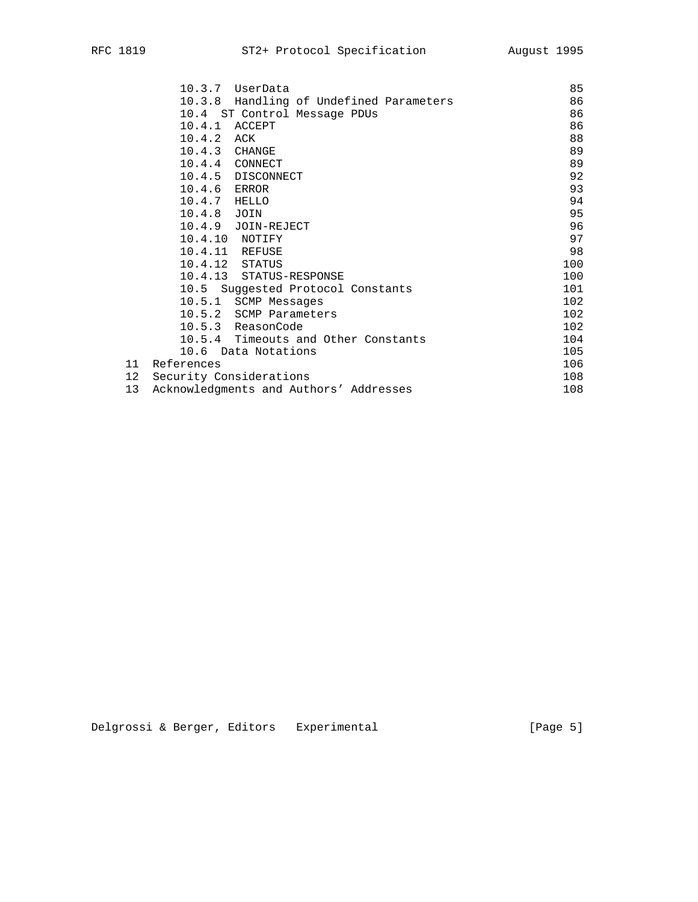|                 | 10.3.7 UserData                               | 85  |  |  |  |
|-----------------|-----------------------------------------------|-----|--|--|--|
|                 | 10.3.8 Handling of Undefined Parameters       | 86  |  |  |  |
|                 | 10.4 ST Control Message PDUs                  | 86  |  |  |  |
|                 | 10.4.1<br>ACCEPT                              | 86  |  |  |  |
|                 | 10.4.2<br>ACK                                 | 88  |  |  |  |
|                 | $10.4.3$ CHANGE                               | 89  |  |  |  |
|                 | 10.4.4 CONNECT                                | 89  |  |  |  |
|                 | 10.4.5 DISCONNECT                             | 92  |  |  |  |
|                 | 10.4.6 ERROR                                  | 93  |  |  |  |
|                 | 10.4.7 HELLO                                  | 94  |  |  |  |
|                 | 10.4.8 JOIN                                   | 95  |  |  |  |
|                 | 10.4.9 JOIN-REJECT                            | 96  |  |  |  |
|                 | 10.4.10 NOTIFY                                | 97  |  |  |  |
|                 | 10.4.11 REFUSE                                | 98  |  |  |  |
|                 | 10.4.12 STATUS                                | 100 |  |  |  |
|                 | 10.4.13 STATUS-RESPONSE                       | 100 |  |  |  |
|                 | 10.5<br>Suggested Protocol Constants          | 101 |  |  |  |
|                 | 10.5.1 SCMP Messages                          | 102 |  |  |  |
|                 | 10.5.2 SCMP Parameters                        | 102 |  |  |  |
|                 | 10.5.3 ReasonCode                             | 102 |  |  |  |
|                 | 10.5.4 Timeouts and Other Constants           | 104 |  |  |  |
|                 | 10.6 Data Notations                           | 105 |  |  |  |
| 11              | References                                    | 106 |  |  |  |
| 12 <sup>°</sup> | Security Considerations                       | 108 |  |  |  |
| 13              | Acknowledgments and Authors' Addresses<br>108 |     |  |  |  |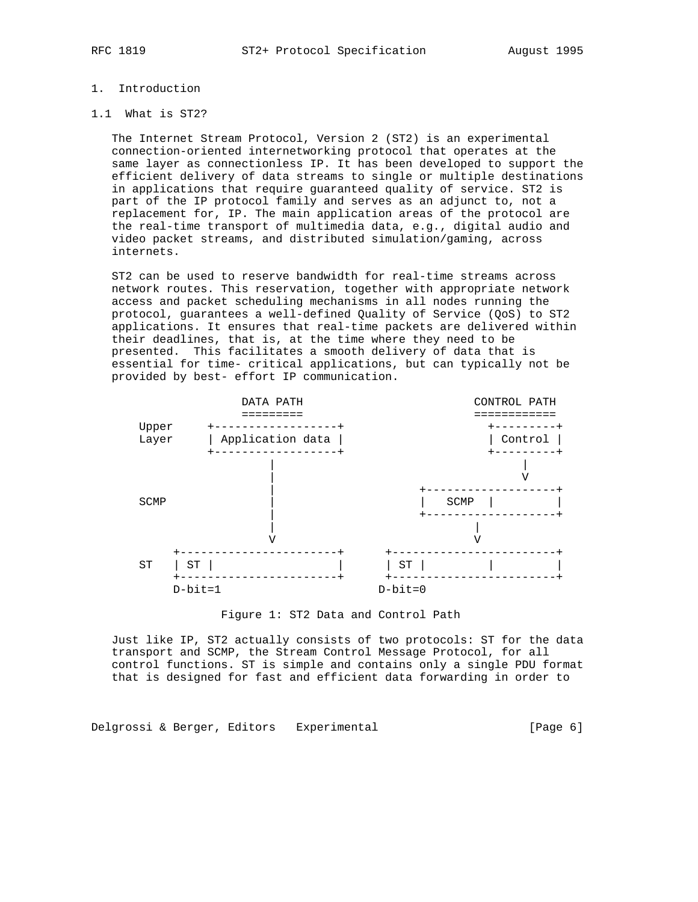# 1. Introduction

# 1.1 What is ST2?

 The Internet Stream Protocol, Version 2 (ST2) is an experimental connection-oriented internetworking protocol that operates at the same layer as connectionless IP. It has been developed to support the efficient delivery of data streams to single or multiple destinations in applications that require guaranteed quality of service. ST2 is part of the IP protocol family and serves as an adjunct to, not a replacement for, IP. The main application areas of the protocol are the real-time transport of multimedia data, e.g., digital audio and video packet streams, and distributed simulation/gaming, across internets.

 ST2 can be used to reserve bandwidth for real-time streams across network routes. This reservation, together with appropriate network access and packet scheduling mechanisms in all nodes running the protocol, guarantees a well-defined Quality of Service (QoS) to ST2 applications. It ensures that real-time packets are delivered within their deadlines, that is, at the time where they need to be presented. This facilitates a smooth delivery of data that is essential for time- critical applications, but can typically not be provided by best- effort IP communication.



Figure 1: ST2 Data and Control Path

 Just like IP, ST2 actually consists of two protocols: ST for the data transport and SCMP, the Stream Control Message Protocol, for all control functions. ST is simple and contains only a single PDU format that is designed for fast and efficient data forwarding in order to

Delgrossi & Berger, Editors Experimental (Page 6)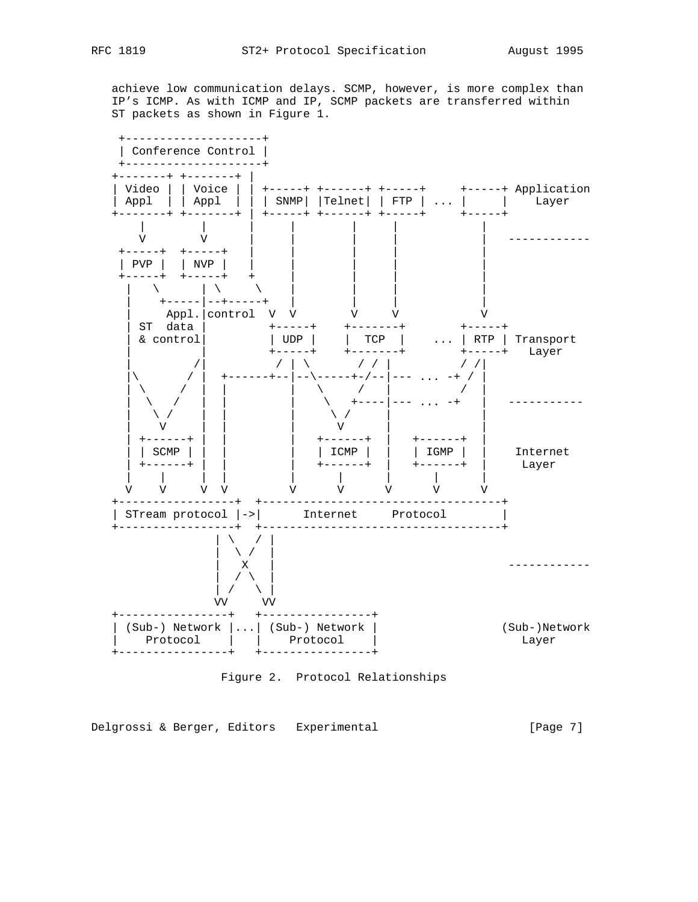achieve low communication delays. SCMP, however, is more complex than IP's ICMP. As with ICMP and IP, SCMP packets are transferred within ST packets as shown in Figure 1.





Delgrossi & Berger, Editors Experimental (Page 7)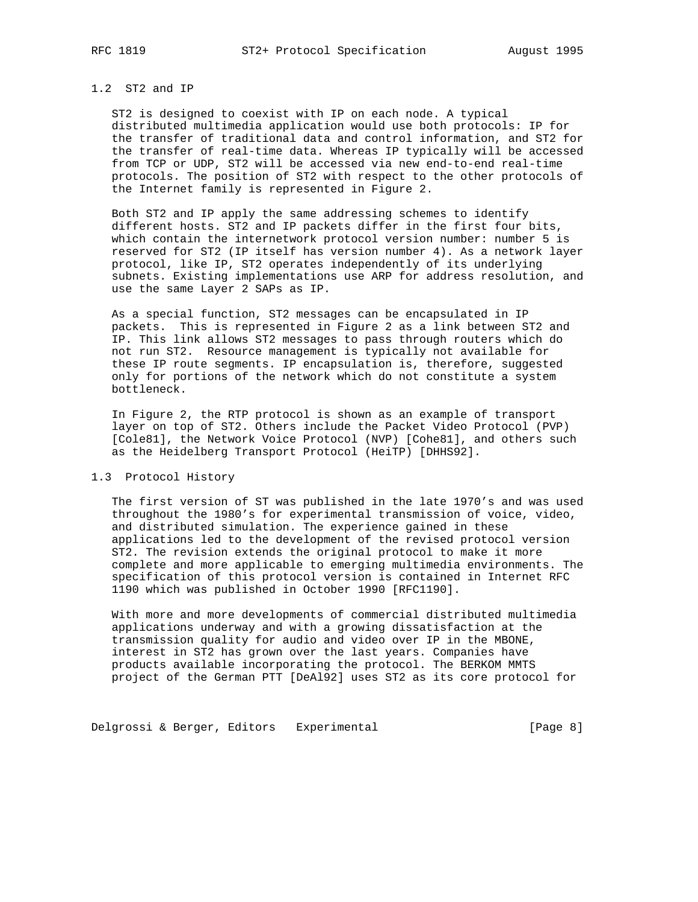# 1.2 ST2 and IP

 ST2 is designed to coexist with IP on each node. A typical distributed multimedia application would use both protocols: IP for the transfer of traditional data and control information, and ST2 for the transfer of real-time data. Whereas IP typically will be accessed from TCP or UDP, ST2 will be accessed via new end-to-end real-time protocols. The position of ST2 with respect to the other protocols of the Internet family is represented in Figure 2.

 Both ST2 and IP apply the same addressing schemes to identify different hosts. ST2 and IP packets differ in the first four bits, which contain the internetwork protocol version number: number 5 is reserved for ST2 (IP itself has version number 4). As a network layer protocol, like IP, ST2 operates independently of its underlying subnets. Existing implementations use ARP for address resolution, and use the same Layer 2 SAPs as IP.

 As a special function, ST2 messages can be encapsulated in IP packets. This is represented in Figure 2 as a link between ST2 and IP. This link allows ST2 messages to pass through routers which do not run ST2. Resource management is typically not available for these IP route segments. IP encapsulation is, therefore, suggested only for portions of the network which do not constitute a system bottleneck.

 In Figure 2, the RTP protocol is shown as an example of transport layer on top of ST2. Others include the Packet Video Protocol (PVP) [Cole81], the Network Voice Protocol (NVP) [Cohe81], and others such as the Heidelberg Transport Protocol (HeiTP) [DHHS92].

## 1.3 Protocol History

 The first version of ST was published in the late 1970's and was used throughout the 1980's for experimental transmission of voice, video, and distributed simulation. The experience gained in these applications led to the development of the revised protocol version ST2. The revision extends the original protocol to make it more complete and more applicable to emerging multimedia environments. The specification of this protocol version is contained in Internet RFC 1190 which was published in October 1990 [RFC1190].

 With more and more developments of commercial distributed multimedia applications underway and with a growing dissatisfaction at the transmission quality for audio and video over IP in the MBONE, interest in ST2 has grown over the last years. Companies have products available incorporating the protocol. The BERKOM MMTS project of the German PTT [DeAl92] uses ST2 as its core protocol for

Delgrossi & Berger, Editors Experimental (Page 8)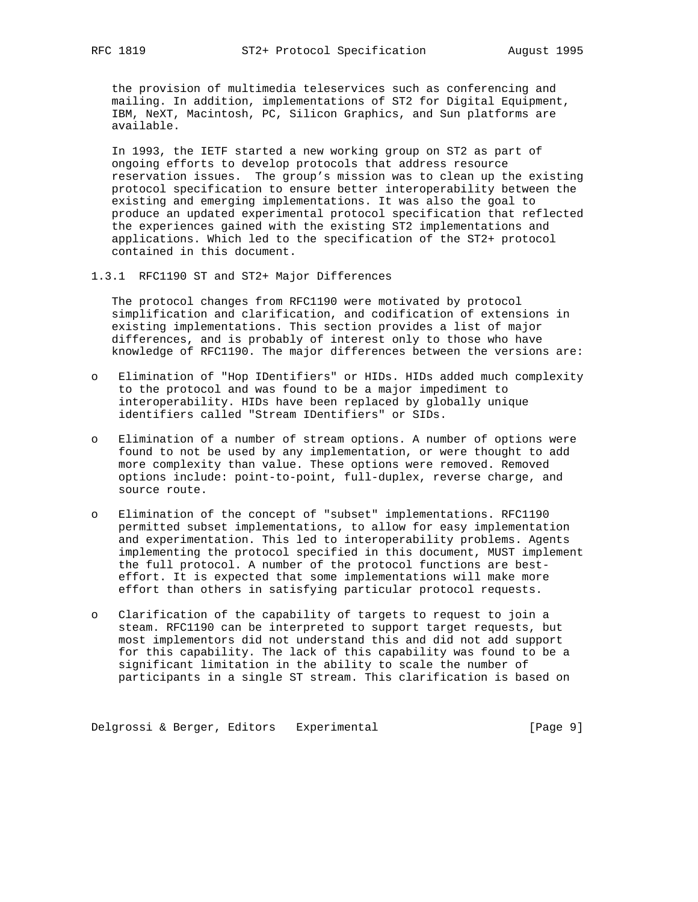the provision of multimedia teleservices such as conferencing and mailing. In addition, implementations of ST2 for Digital Equipment, IBM, NeXT, Macintosh, PC, Silicon Graphics, and Sun platforms are available.

 In 1993, the IETF started a new working group on ST2 as part of ongoing efforts to develop protocols that address resource reservation issues. The group's mission was to clean up the existing protocol specification to ensure better interoperability between the existing and emerging implementations. It was also the goal to produce an updated experimental protocol specification that reflected the experiences gained with the existing ST2 implementations and applications. Which led to the specification of the ST2+ protocol contained in this document.

1.3.1 RFC1190 ST and ST2+ Major Differences

 The protocol changes from RFC1190 were motivated by protocol simplification and clarification, and codification of extensions in existing implementations. This section provides a list of major differences, and is probably of interest only to those who have knowledge of RFC1190. The major differences between the versions are:

- o Elimination of "Hop IDentifiers" or HIDs. HIDs added much complexity to the protocol and was found to be a major impediment to interoperability. HIDs have been replaced by globally unique identifiers called "Stream IDentifiers" or SIDs.
- o Elimination of a number of stream options. A number of options were found to not be used by any implementation, or were thought to add more complexity than value. These options were removed. Removed options include: point-to-point, full-duplex, reverse charge, and source route.
- o Elimination of the concept of "subset" implementations. RFC1190 permitted subset implementations, to allow for easy implementation and experimentation. This led to interoperability problems. Agents implementing the protocol specified in this document, MUST implement the full protocol. A number of the protocol functions are best effort. It is expected that some implementations will make more effort than others in satisfying particular protocol requests.
- o Clarification of the capability of targets to request to join a steam. RFC1190 can be interpreted to support target requests, but most implementors did not understand this and did not add support for this capability. The lack of this capability was found to be a significant limitation in the ability to scale the number of participants in a single ST stream. This clarification is based on

Delgrossi & Berger, Editors Experimental (Page 9)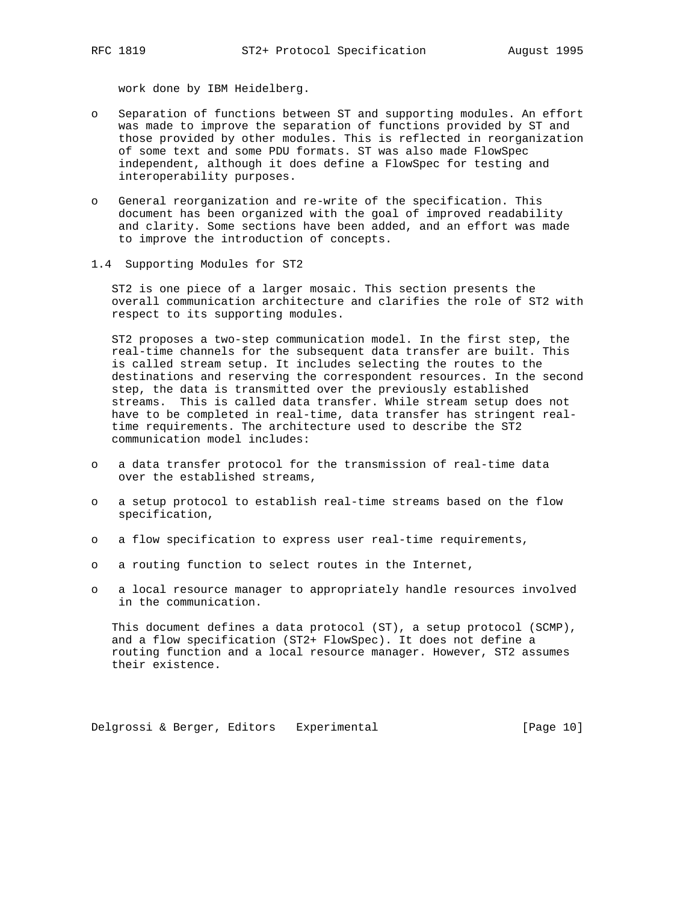work done by IBM Heidelberg.

- o Separation of functions between ST and supporting modules. An effort was made to improve the separation of functions provided by ST and those provided by other modules. This is reflected in reorganization of some text and some PDU formats. ST was also made FlowSpec independent, although it does define a FlowSpec for testing and interoperability purposes.
- o General reorganization and re-write of the specification. This document has been organized with the goal of improved readability and clarity. Some sections have been added, and an effort was made to improve the introduction of concepts.
- 1.4 Supporting Modules for ST2

 ST2 is one piece of a larger mosaic. This section presents the overall communication architecture and clarifies the role of ST2 with respect to its supporting modules.

 ST2 proposes a two-step communication model. In the first step, the real-time channels for the subsequent data transfer are built. This is called stream setup. It includes selecting the routes to the destinations and reserving the correspondent resources. In the second step, the data is transmitted over the previously established streams. This is called data transfer. While stream setup does not have to be completed in real-time, data transfer has stringent real time requirements. The architecture used to describe the ST2 communication model includes:

- o a data transfer protocol for the transmission of real-time data over the established streams,
- o a setup protocol to establish real-time streams based on the flow specification,
- o a flow specification to express user real-time requirements,
- o a routing function to select routes in the Internet,
- o a local resource manager to appropriately handle resources involved in the communication.

 This document defines a data protocol (ST), a setup protocol (SCMP), and a flow specification (ST2+ FlowSpec). It does not define a routing function and a local resource manager. However, ST2 assumes their existence.

Delgrossi & Berger, Editors Experimental [Page 10]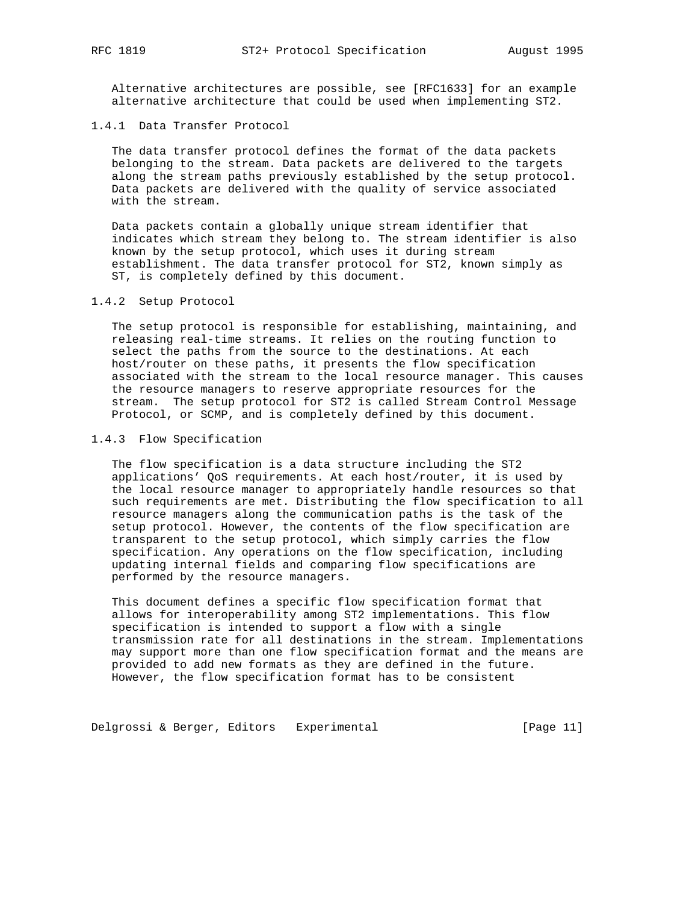Alternative architectures are possible, see [RFC1633] for an example alternative architecture that could be used when implementing ST2.

# 1.4.1 Data Transfer Protocol

 The data transfer protocol defines the format of the data packets belonging to the stream. Data packets are delivered to the targets along the stream paths previously established by the setup protocol. Data packets are delivered with the quality of service associated with the stream.

 Data packets contain a globally unique stream identifier that indicates which stream they belong to. The stream identifier is also known by the setup protocol, which uses it during stream establishment. The data transfer protocol for ST2, known simply as ST, is completely defined by this document.

## 1.4.2 Setup Protocol

 The setup protocol is responsible for establishing, maintaining, and releasing real-time streams. It relies on the routing function to select the paths from the source to the destinations. At each host/router on these paths, it presents the flow specification associated with the stream to the local resource manager. This causes the resource managers to reserve appropriate resources for the stream. The setup protocol for ST2 is called Stream Control Message Protocol, or SCMP, and is completely defined by this document.

## 1.4.3 Flow Specification

 The flow specification is a data structure including the ST2 applications' QoS requirements. At each host/router, it is used by the local resource manager to appropriately handle resources so that such requirements are met. Distributing the flow specification to all resource managers along the communication paths is the task of the setup protocol. However, the contents of the flow specification are transparent to the setup protocol, which simply carries the flow specification. Any operations on the flow specification, including updating internal fields and comparing flow specifications are performed by the resource managers.

 This document defines a specific flow specification format that allows for interoperability among ST2 implementations. This flow specification is intended to support a flow with a single transmission rate for all destinations in the stream. Implementations may support more than one flow specification format and the means are provided to add new formats as they are defined in the future. However, the flow specification format has to be consistent

Delgrossi & Berger, Editors Experimental (Page 11)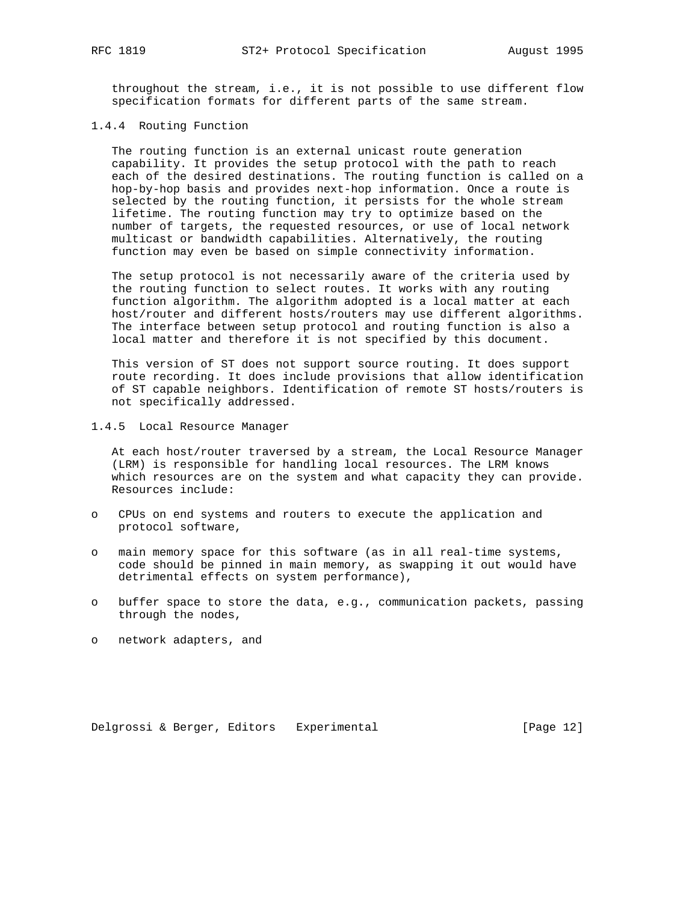throughout the stream, i.e., it is not possible to use different flow specification formats for different parts of the same stream.

# 1.4.4 Routing Function

 The routing function is an external unicast route generation capability. It provides the setup protocol with the path to reach each of the desired destinations. The routing function is called on a hop-by-hop basis and provides next-hop information. Once a route is selected by the routing function, it persists for the whole stream lifetime. The routing function may try to optimize based on the number of targets, the requested resources, or use of local network multicast or bandwidth capabilities. Alternatively, the routing function may even be based on simple connectivity information.

 The setup protocol is not necessarily aware of the criteria used by the routing function to select routes. It works with any routing function algorithm. The algorithm adopted is a local matter at each host/router and different hosts/routers may use different algorithms. The interface between setup protocol and routing function is also a local matter and therefore it is not specified by this document.

 This version of ST does not support source routing. It does support route recording. It does include provisions that allow identification of ST capable neighbors. Identification of remote ST hosts/routers is not specifically addressed.

1.4.5 Local Resource Manager

 At each host/router traversed by a stream, the Local Resource Manager (LRM) is responsible for handling local resources. The LRM knows which resources are on the system and what capacity they can provide. Resources include:

- o CPUs on end systems and routers to execute the application and protocol software,
- o main memory space for this software (as in all real-time systems, code should be pinned in main memory, as swapping it out would have detrimental effects on system performance),
- o buffer space to store the data, e.g., communication packets, passing through the nodes,
- o network adapters, and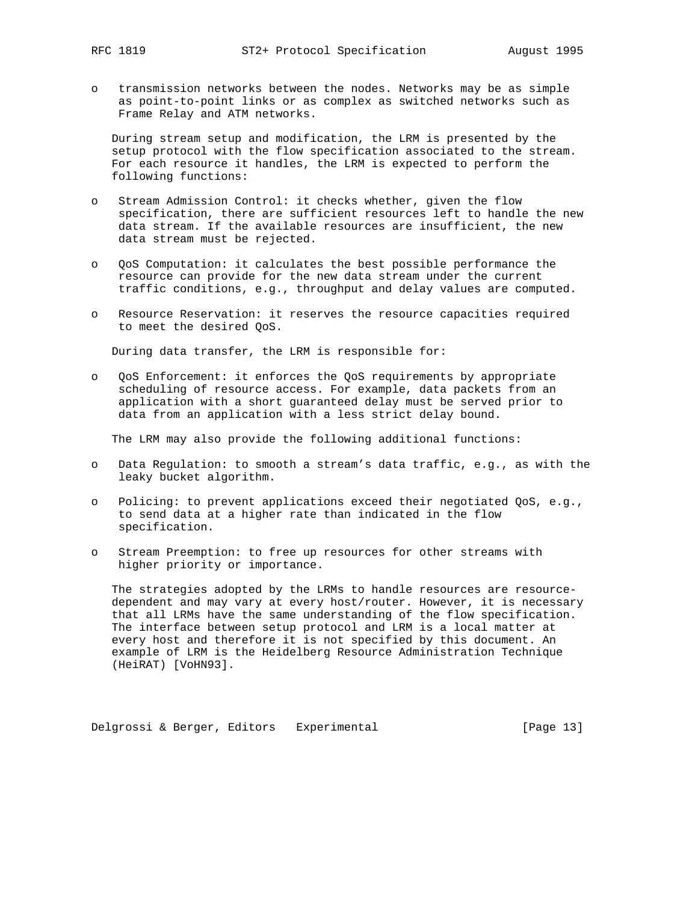- 
- o transmission networks between the nodes. Networks may be as simple as point-to-point links or as complex as switched networks such as Frame Relay and ATM networks.

 During stream setup and modification, the LRM is presented by the setup protocol with the flow specification associated to the stream. For each resource it handles, the LRM is expected to perform the following functions:

- o Stream Admission Control: it checks whether, given the flow specification, there are sufficient resources left to handle the new data stream. If the available resources are insufficient, the new data stream must be rejected.
- o QoS Computation: it calculates the best possible performance the resource can provide for the new data stream under the current traffic conditions, e.g., throughput and delay values are computed.
- o Resource Reservation: it reserves the resource capacities required to meet the desired QoS.

During data transfer, the LRM is responsible for:

o QoS Enforcement: it enforces the QoS requirements by appropriate scheduling of resource access. For example, data packets from an application with a short guaranteed delay must be served prior to data from an application with a less strict delay bound.

The LRM may also provide the following additional functions:

- o Data Regulation: to smooth a stream's data traffic, e.g., as with the leaky bucket algorithm.
- o Policing: to prevent applications exceed their negotiated QoS, e.g., to send data at a higher rate than indicated in the flow specification.
- o Stream Preemption: to free up resources for other streams with higher priority or importance.

 The strategies adopted by the LRMs to handle resources are resource dependent and may vary at every host/router. However, it is necessary that all LRMs have the same understanding of the flow specification. The interface between setup protocol and LRM is a local matter at every host and therefore it is not specified by this document. An example of LRM is the Heidelberg Resource Administration Technique (HeiRAT) [VoHN93].

Delgrossi & Berger, Editors Experimental [Page 13]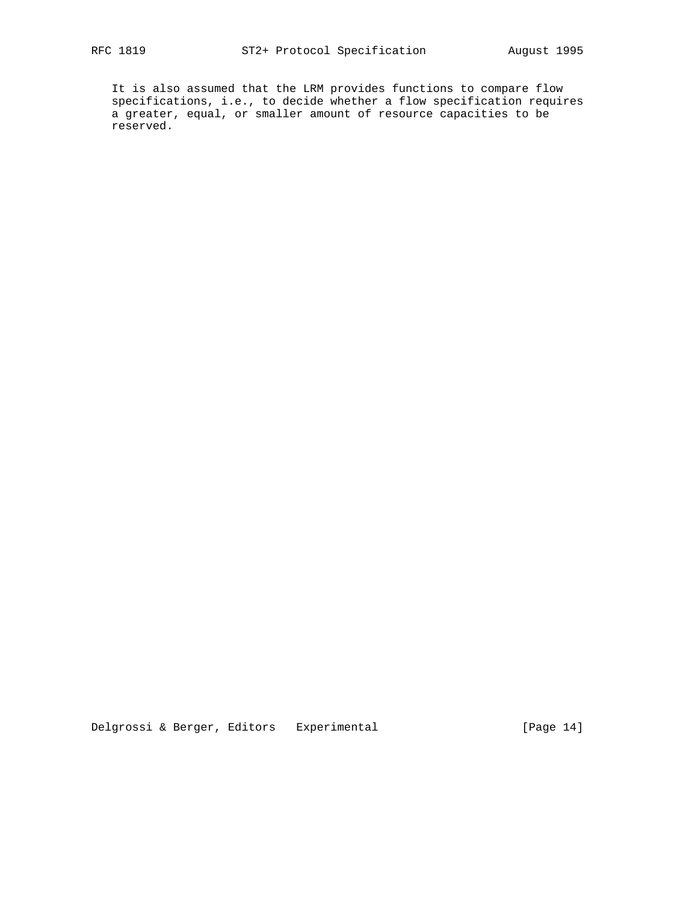It is also assumed that the LRM provides functions to compare flow specifications, i.e., to decide whether a flow specification requires a greater, equal, or smaller amount of resource capacities to be reserved.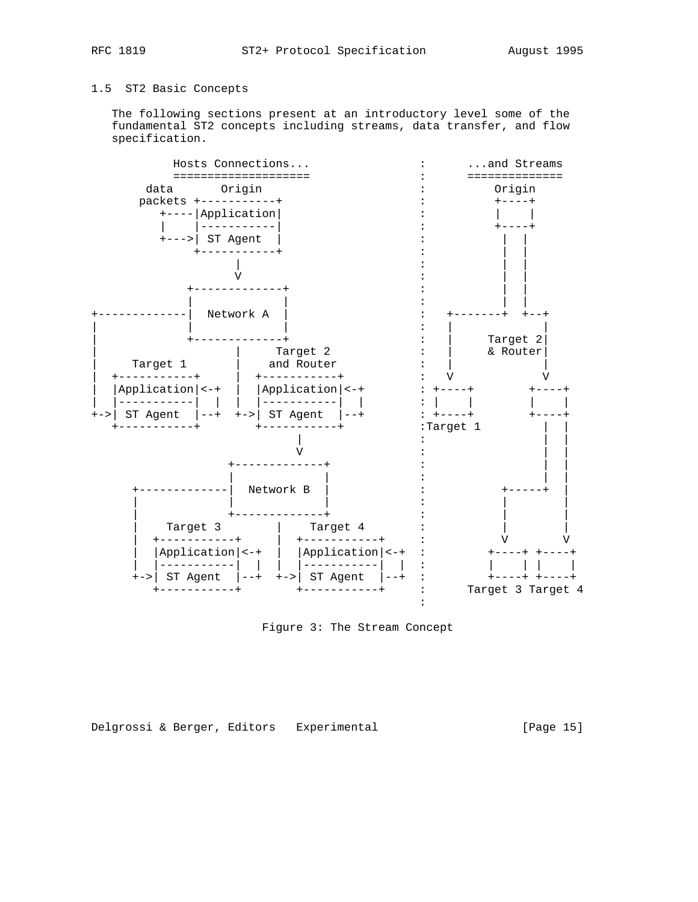# 1.5 ST2 Basic Concepts

 The following sections present at an introductory level some of the fundamental ST2 concepts including streams, data transfer, and flow specification.



Figure 3: The Stream Concept

Delgrossi & Berger, Editors Experimental (Page 15)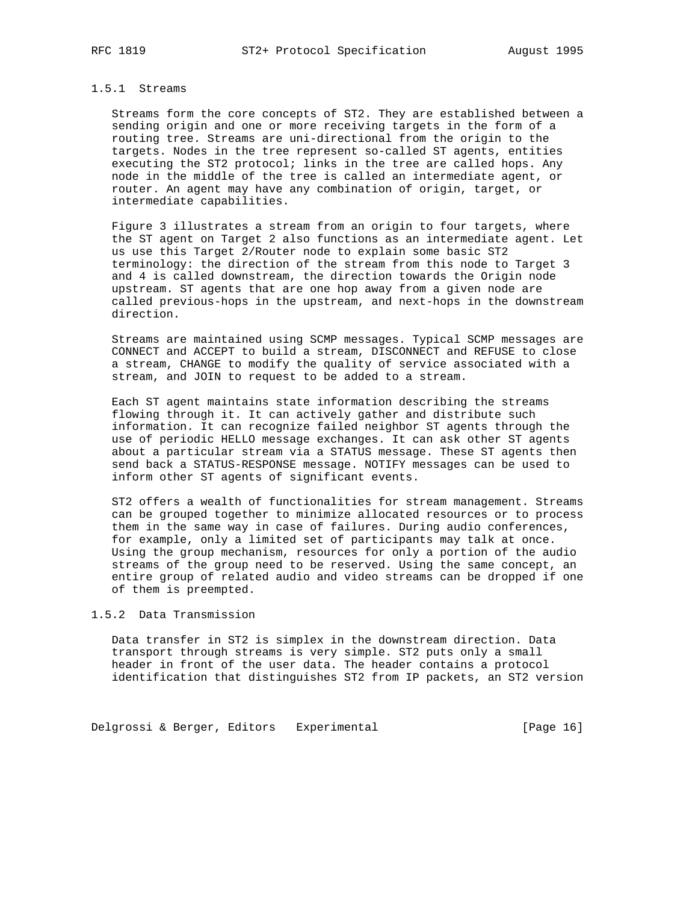# 1.5.1 Streams

 Streams form the core concepts of ST2. They are established between a sending origin and one or more receiving targets in the form of a routing tree. Streams are uni-directional from the origin to the targets. Nodes in the tree represent so-called ST agents, entities executing the ST2 protocol; links in the tree are called hops. Any node in the middle of the tree is called an intermediate agent, or router. An agent may have any combination of origin, target, or intermediate capabilities.

 Figure 3 illustrates a stream from an origin to four targets, where the ST agent on Target 2 also functions as an intermediate agent. Let us use this Target 2/Router node to explain some basic ST2 terminology: the direction of the stream from this node to Target 3 and 4 is called downstream, the direction towards the Origin node upstream. ST agents that are one hop away from a given node are called previous-hops in the upstream, and next-hops in the downstream direction.

 Streams are maintained using SCMP messages. Typical SCMP messages are CONNECT and ACCEPT to build a stream, DISCONNECT and REFUSE to close a stream, CHANGE to modify the quality of service associated with a stream, and JOIN to request to be added to a stream.

 Each ST agent maintains state information describing the streams flowing through it. It can actively gather and distribute such information. It can recognize failed neighbor ST agents through the use of periodic HELLO message exchanges. It can ask other ST agents about a particular stream via a STATUS message. These ST agents then send back a STATUS-RESPONSE message. NOTIFY messages can be used to inform other ST agents of significant events.

 ST2 offers a wealth of functionalities for stream management. Streams can be grouped together to minimize allocated resources or to process them in the same way in case of failures. During audio conferences, for example, only a limited set of participants may talk at once. Using the group mechanism, resources for only a portion of the audio streams of the group need to be reserved. Using the same concept, an entire group of related audio and video streams can be dropped if one of them is preempted.

# 1.5.2 Data Transmission

 Data transfer in ST2 is simplex in the downstream direction. Data transport through streams is very simple. ST2 puts only a small header in front of the user data. The header contains a protocol identification that distinguishes ST2 from IP packets, an ST2 version

Delgrossi & Berger, Editors Experimental (Page 16)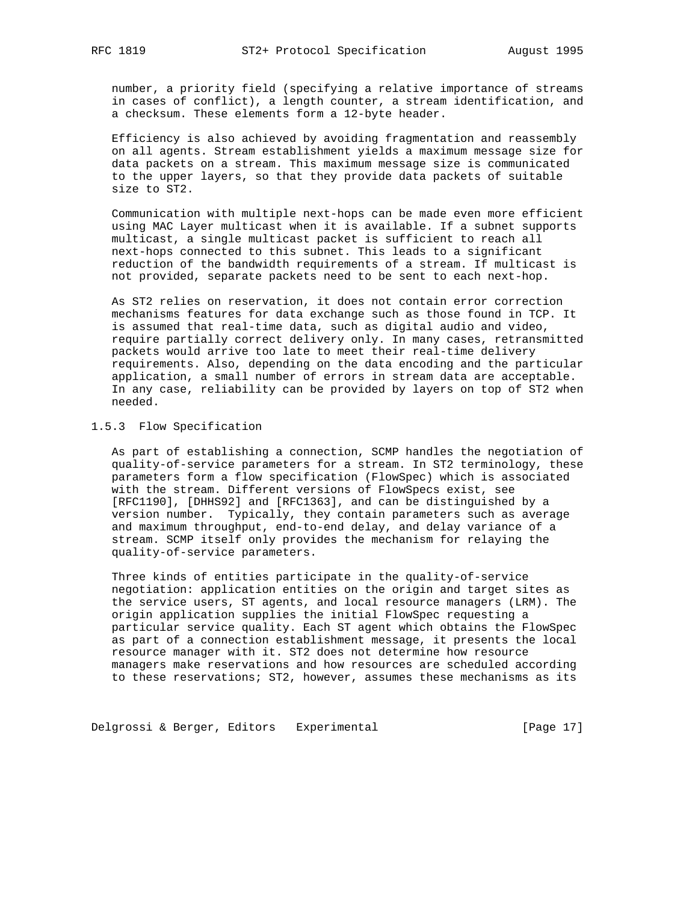number, a priority field (specifying a relative importance of streams in cases of conflict), a length counter, a stream identification, and a checksum. These elements form a 12-byte header.

 Efficiency is also achieved by avoiding fragmentation and reassembly on all agents. Stream establishment yields a maximum message size for data packets on a stream. This maximum message size is communicated to the upper layers, so that they provide data packets of suitable size to ST2.

 Communication with multiple next-hops can be made even more efficient using MAC Layer multicast when it is available. If a subnet supports multicast, a single multicast packet is sufficient to reach all next-hops connected to this subnet. This leads to a significant reduction of the bandwidth requirements of a stream. If multicast is not provided, separate packets need to be sent to each next-hop.

 As ST2 relies on reservation, it does not contain error correction mechanisms features for data exchange such as those found in TCP. It is assumed that real-time data, such as digital audio and video, require partially correct delivery only. In many cases, retransmitted packets would arrive too late to meet their real-time delivery requirements. Also, depending on the data encoding and the particular application, a small number of errors in stream data are acceptable. In any case, reliability can be provided by layers on top of ST2 when needed.

#### 1.5.3 Flow Specification

 As part of establishing a connection, SCMP handles the negotiation of quality-of-service parameters for a stream. In ST2 terminology, these parameters form a flow specification (FlowSpec) which is associated with the stream. Different versions of FlowSpecs exist, see [RFC1190], [DHHS92] and [RFC1363], and can be distinguished by a version number. Typically, they contain parameters such as average and maximum throughput, end-to-end delay, and delay variance of a stream. SCMP itself only provides the mechanism for relaying the quality-of-service parameters.

 Three kinds of entities participate in the quality-of-service negotiation: application entities on the origin and target sites as the service users, ST agents, and local resource managers (LRM). The origin application supplies the initial FlowSpec requesting a particular service quality. Each ST agent which obtains the FlowSpec as part of a connection establishment message, it presents the local resource manager with it. ST2 does not determine how resource managers make reservations and how resources are scheduled according to these reservations; ST2, however, assumes these mechanisms as its

Delgrossi & Berger, Editors Experimental (Page 17)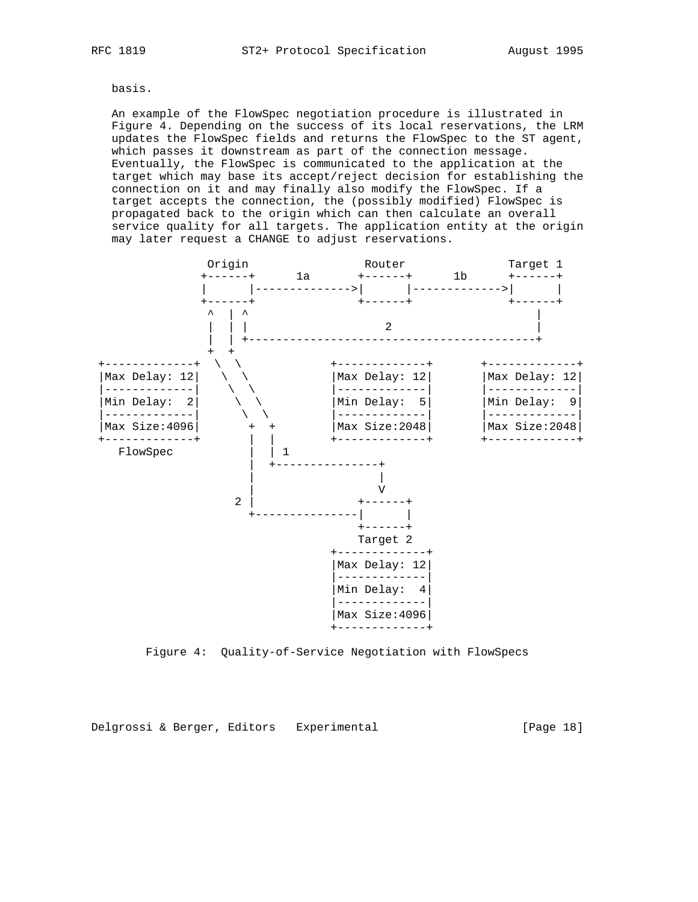basis.

 An example of the FlowSpec negotiation procedure is illustrated in Figure 4. Depending on the success of its local reservations, the LRM updates the FlowSpec fields and returns the FlowSpec to the ST agent, which passes it downstream as part of the connection message. Eventually, the FlowSpec is communicated to the application at the target which may base its accept/reject decision for establishing the connection on it and may finally also modify the FlowSpec. If a target accepts the connection, the (possibly modified) FlowSpec is propagated back to the origin which can then calculate an overall service quality for all targets. The application entity at the origin may later request a CHANGE to adjust reservations.



Figure 4: Quality-of-Service Negotiation with FlowSpecs

Delgrossi & Berger, Editors Experimental (Page 18)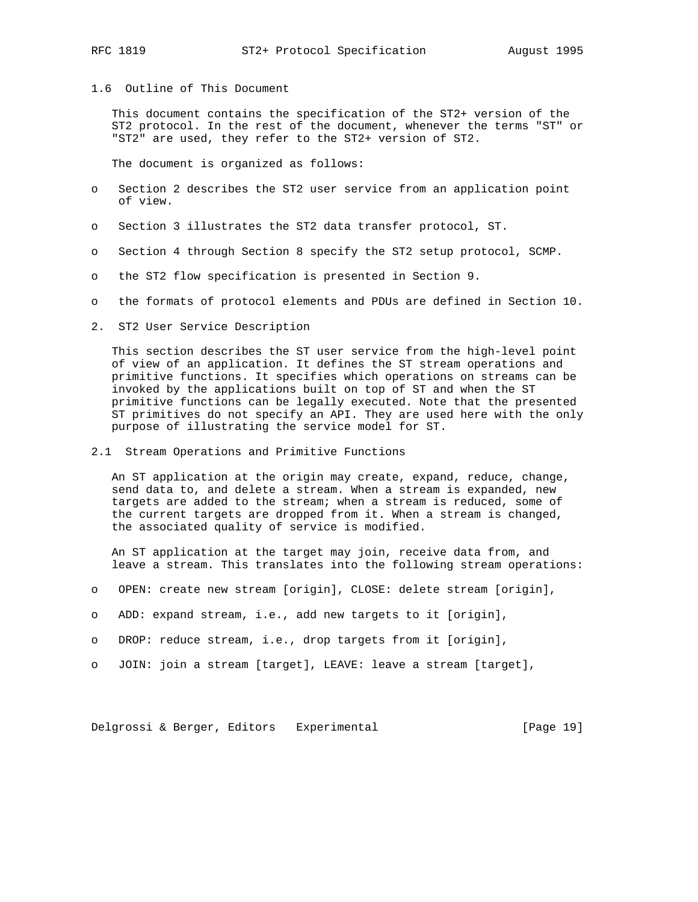1.6 Outline of This Document

 This document contains the specification of the ST2+ version of the ST2 protocol. In the rest of the document, whenever the terms "ST" or "ST2" are used, they refer to the ST2+ version of ST2.

The document is organized as follows:

- o Section 2 describes the ST2 user service from an application point of view.
- o Section 3 illustrates the ST2 data transfer protocol, ST.
- o Section 4 through Section 8 specify the ST2 setup protocol, SCMP.
- o the ST2 flow specification is presented in Section 9.
- o the formats of protocol elements and PDUs are defined in Section 10.
- 2. ST2 User Service Description

 This section describes the ST user service from the high-level point of view of an application. It defines the ST stream operations and primitive functions. It specifies which operations on streams can be invoked by the applications built on top of ST and when the ST primitive functions can be legally executed. Note that the presented ST primitives do not specify an API. They are used here with the only purpose of illustrating the service model for ST.

2.1 Stream Operations and Primitive Functions

 An ST application at the origin may create, expand, reduce, change, send data to, and delete a stream. When a stream is expanded, new targets are added to the stream; when a stream is reduced, some of the current targets are dropped from it. When a stream is changed, the associated quality of service is modified.

 An ST application at the target may join, receive data from, and leave a stream. This translates into the following stream operations:

- o OPEN: create new stream [origin], CLOSE: delete stream [origin],
- o ADD: expand stream, i.e., add new targets to it [origin],
- o DROP: reduce stream, i.e., drop targets from it [origin],
- o JOIN: join a stream [target], LEAVE: leave a stream [target],

Delgrossi & Berger, Editors Experimental (Page 19)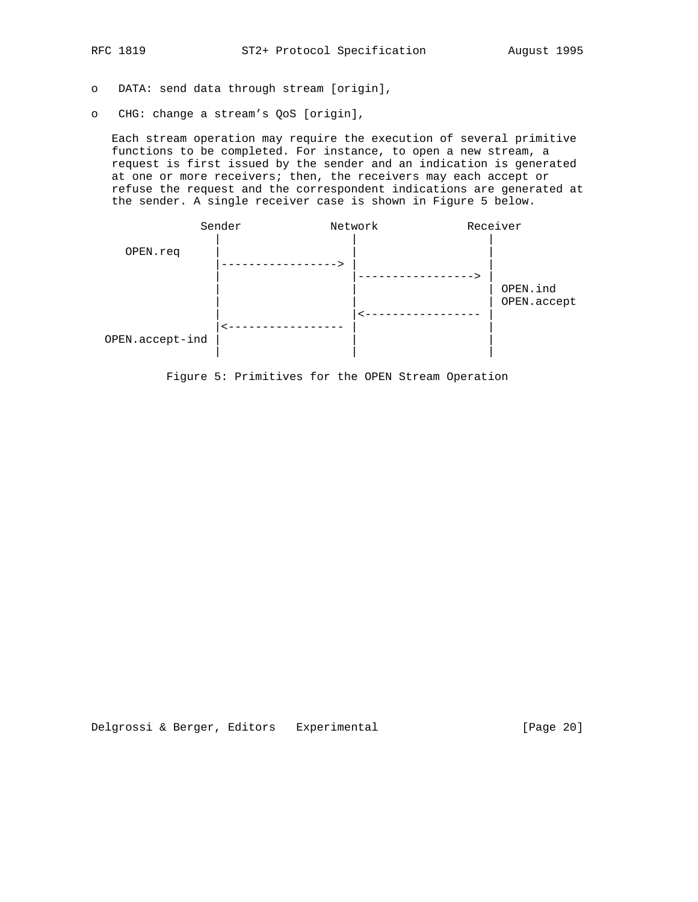- o DATA: send data through stream [origin],
- o CHG: change a stream's QoS [origin],

 Each stream operation may require the execution of several primitive functions to be completed. For instance, to open a new stream, a request is first issued by the sender and an indication is generated at one or more receivers; then, the receivers may each accept or refuse the request and the correspondent indications are generated at the sender. A single receiver case is shown in Figure 5 below.



Figure 5: Primitives for the OPEN Stream Operation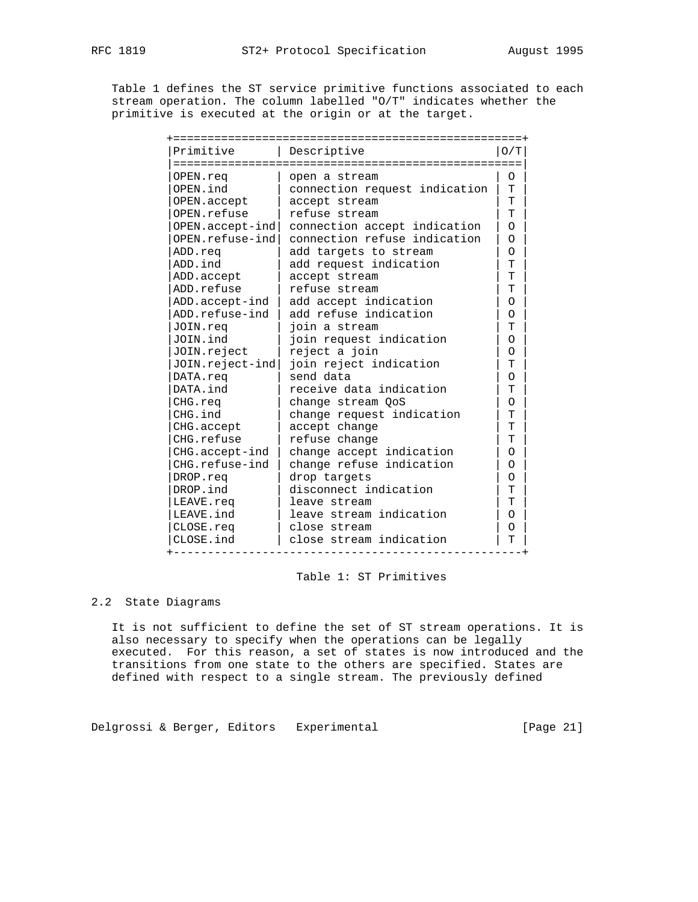Table 1 defines the ST service primitive functions associated to each stream operation. The column labelled "O/T" indicates whether the primitive is executed at the origin or at the target.

| Primitive                                                                                                                                                                                                                                                                                                                                                                                             | Descriptive                                                                                                                                                                                                                                                                                                                                                                                                                                                                                                                                                                                                                 | 0/T                                                                                                                                                                                               |
|-------------------------------------------------------------------------------------------------------------------------------------------------------------------------------------------------------------------------------------------------------------------------------------------------------------------------------------------------------------------------------------------------------|-----------------------------------------------------------------------------------------------------------------------------------------------------------------------------------------------------------------------------------------------------------------------------------------------------------------------------------------------------------------------------------------------------------------------------------------------------------------------------------------------------------------------------------------------------------------------------------------------------------------------------|---------------------------------------------------------------------------------------------------------------------------------------------------------------------------------------------------|
| OPEN.req<br>OPEN.ind<br>OPEN.accept<br>OPEN.refuse<br>$OPEN$ .accept-ind<br>OPEN.refuse-ind<br>ADD.req<br>ADD.ind<br>ADD.accept<br>ADD.refuse<br>ADD.accept-ind<br>ADD.refuse-ind<br>JOIN.req<br>JOIN.ind<br>JOIN.reject<br>JOIN.reject-ind<br>DATA.req<br>DATA.ind<br>CHG.req<br>CHG.ind<br>CHG.accept<br>CHG.refuse<br>$CHG$ . $accept$ -ind<br>CHG.refuse-ind<br>DROP.req<br>DROP.ind<br>LEAVE.req | open a stream<br>connection request indication<br>accept stream<br>refuse stream<br>connection accept indication<br>connection refuse indication<br>add targets to stream<br>add request indication<br>accept stream<br>refuse stream<br>add accept indication<br>add refuse indication<br>join a stream<br>join request indication<br>reject a join<br>join reject indication<br>send data<br>receive data indication<br>change stream QoS<br>change request indication<br>accept change<br>refuse change<br>change accept indication<br>change refuse indication<br>drop targets<br>disconnect indication<br>leave stream | Т<br>T<br>T<br>$\circ$<br>$\circ$<br>$\circ$<br>T<br>T<br>T<br>$\circ$<br>$\circ$<br>T<br>$\circ$<br>$\circ$<br>T<br>$\circ$<br>T<br>$\circ$<br>т<br>T<br>T<br>$\Omega$<br>O<br>$\circ$<br>T<br>т |
| LEAVE.ind<br>CLOSE.req<br>CLOSE.ind                                                                                                                                                                                                                                                                                                                                                                   | leave stream indication<br>close stream<br>close stream indication                                                                                                                                                                                                                                                                                                                                                                                                                                                                                                                                                          | $\Omega$<br>O<br>Т                                                                                                                                                                                |

# Table 1: ST Primitives

# 2.2 State Diagrams

 It is not sufficient to define the set of ST stream operations. It is also necessary to specify when the operations can be legally executed. For this reason, a set of states is now introduced and the transitions from one state to the others are specified. States are defined with respect to a single stream. The previously defined

Delgrossi & Berger, Editors Experimental (Page 21)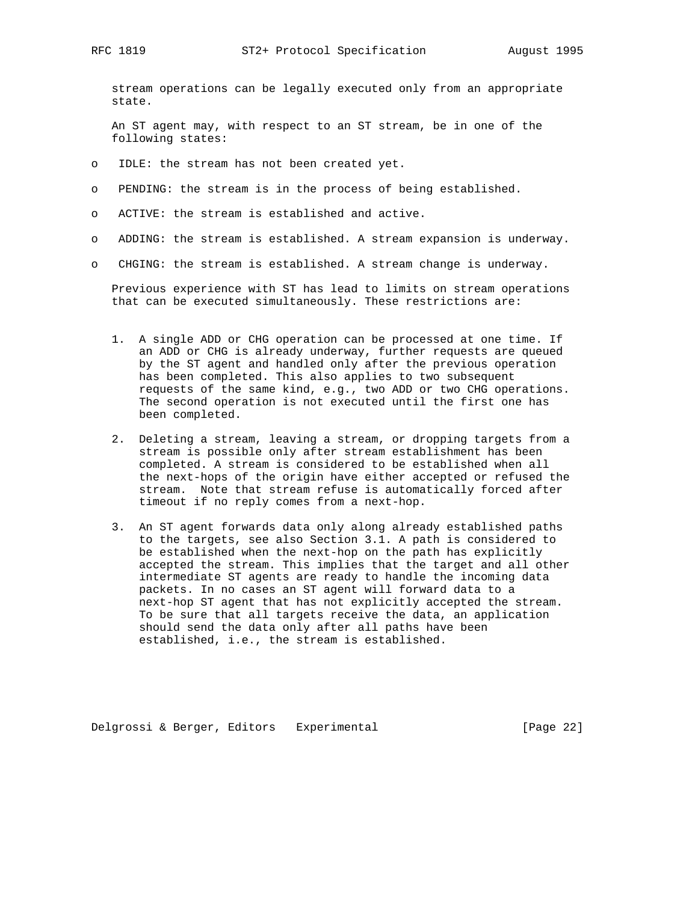stream operations can be legally executed only from an appropriate state.

 An ST agent may, with respect to an ST stream, be in one of the following states:

- o IDLE: the stream has not been created yet.
- o PENDING: the stream is in the process of being established.
- o ACTIVE: the stream is established and active.
- o ADDING: the stream is established. A stream expansion is underway.
- o CHGING: the stream is established. A stream change is underway.

 Previous experience with ST has lead to limits on stream operations that can be executed simultaneously. These restrictions are:

- 1. A single ADD or CHG operation can be processed at one time. If an ADD or CHG is already underway, further requests are queued by the ST agent and handled only after the previous operation has been completed. This also applies to two subsequent requests of the same kind, e.g., two ADD or two CHG operations. The second operation is not executed until the first one has been completed.
- 2. Deleting a stream, leaving a stream, or dropping targets from a stream is possible only after stream establishment has been completed. A stream is considered to be established when all the next-hops of the origin have either accepted or refused the stream. Note that stream refuse is automatically forced after timeout if no reply comes from a next-hop.
- 3. An ST agent forwards data only along already established paths to the targets, see also Section 3.1. A path is considered to be established when the next-hop on the path has explicitly accepted the stream. This implies that the target and all other intermediate ST agents are ready to handle the incoming data packets. In no cases an ST agent will forward data to a next-hop ST agent that has not explicitly accepted the stream. To be sure that all targets receive the data, an application should send the data only after all paths have been established, i.e., the stream is established.

Delgrossi & Berger, Editors Experimental [Page 22]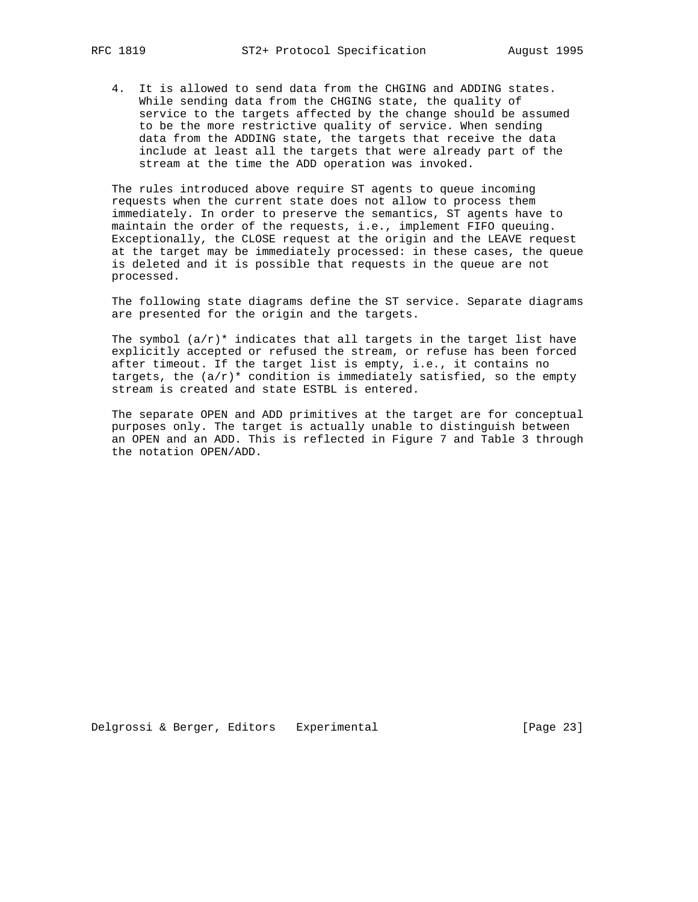4. It is allowed to send data from the CHGING and ADDING states. While sending data from the CHGING state, the quality of service to the targets affected by the change should be assumed to be the more restrictive quality of service. When sending data from the ADDING state, the targets that receive the data include at least all the targets that were already part of the stream at the time the ADD operation was invoked.

 The rules introduced above require ST agents to queue incoming requests when the current state does not allow to process them immediately. In order to preserve the semantics, ST agents have to maintain the order of the requests, i.e., implement FIFO queuing. Exceptionally, the CLOSE request at the origin and the LEAVE request at the target may be immediately processed: in these cases, the queue is deleted and it is possible that requests in the queue are not processed.

 The following state diagrams define the ST service. Separate diagrams are presented for the origin and the targets.

The symbol  $(a/r)^*$  indicates that all targets in the target list have explicitly accepted or refused the stream, or refuse has been forced after timeout. If the target list is empty, i.e., it contains no targets, the  $(a/r)^*$  condition is immediately satisfied, so the empty stream is created and state ESTBL is entered.

 The separate OPEN and ADD primitives at the target are for conceptual purposes only. The target is actually unable to distinguish between an OPEN and an ADD. This is reflected in Figure 7 and Table 3 through the notation OPEN/ADD.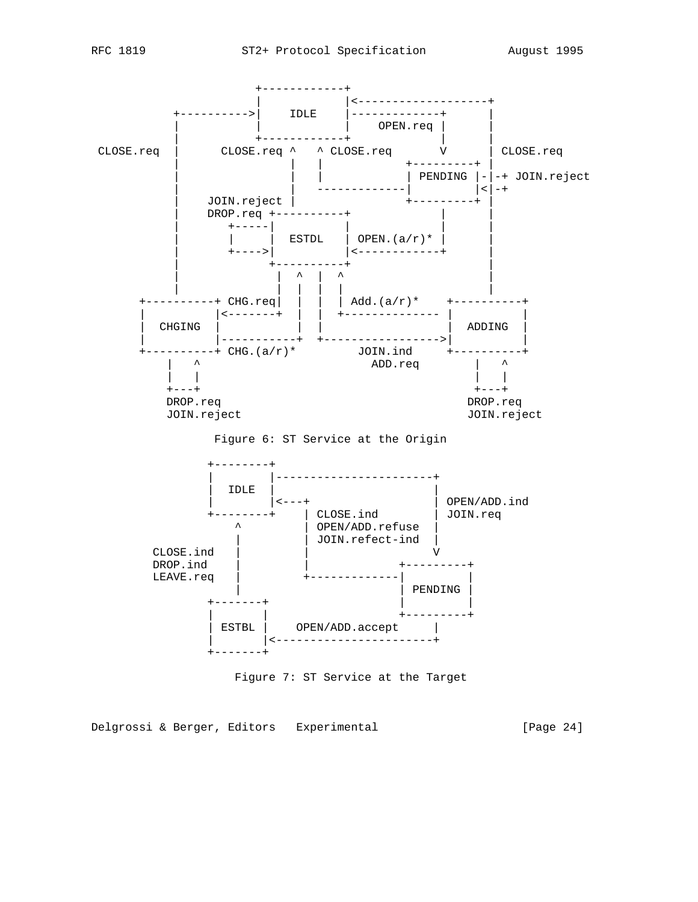

Figure 7: ST Service at the Target

Delgrossi & Berger, Editors Experimental (Page 24)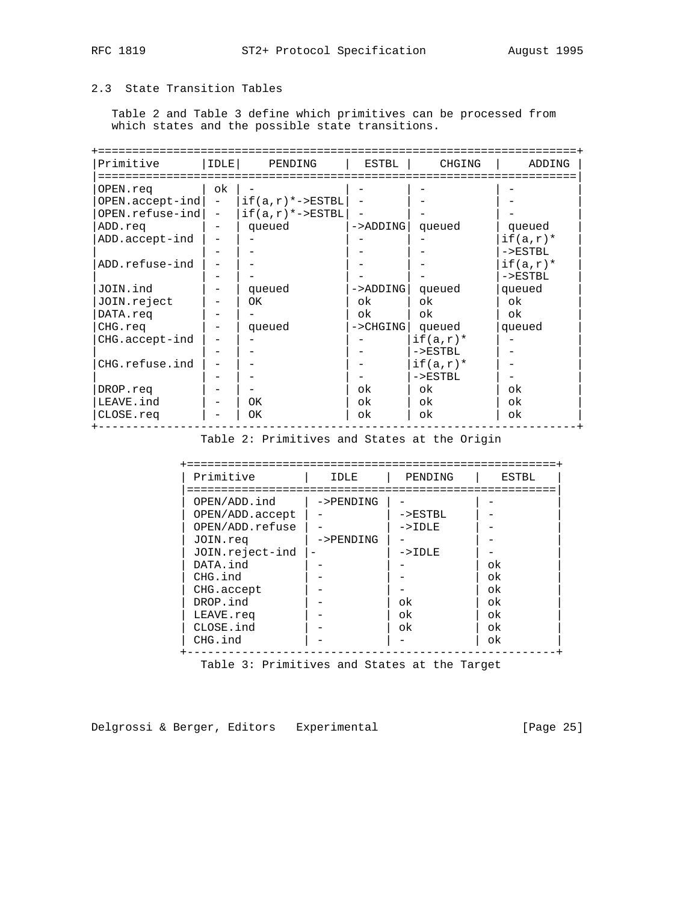# 2.3 State Transition Tables

 Table 2 and Table 3 define which primitives can be processed from which states and the possible state transitions.

| Primitive<br>  IDLE  <br>PENDING |        | ESTBL              | CHGING     | ADDING      |             |
|----------------------------------|--------|--------------------|------------|-------------|-------------|
|                                  |        |                    |            |             |             |
| OPEN.req                         | ok     |                    |            |             |             |
| $OPEN$ .accept-ind               | $\sim$ | $if(a,r)$ *->ESTBL |            |             |             |
| OPEN.refuse-ind                  | $\sim$ | $if(a,r)$ *->ESTBL |            |             |             |
| ADD.reg                          |        | queued             | ->ADDING   | queued      | queued      |
| ADD.accept-ind                   |        |                    |            |             | $if(a,r)$ * |
|                                  |        |                    |            |             | $->$ ESTBL  |
| ADD.refuse-ind                   |        |                    |            |             | $if(a,r)$ * |
|                                  |        |                    |            |             | $->ESTBL$   |
| JOIN.ind                         |        | queued             | $->ADDING$ | queued      | queued      |
| JOIN.reject                      |        | OK.                | ok.        | ok          | ok          |
| DATA.req                         |        |                    | ok         | ok          | ok          |
| CHG.req                          |        | queued             | $->CHGING$ | queued      | queued      |
| $CHG$ . $accept$ -ind            |        |                    |            | $if(a,r)*$  |             |
|                                  |        |                    |            | $->$ ESTBL  |             |
| CHG.refuse.ind                   |        |                    |            | $if(a,r)$ * |             |
|                                  |        |                    |            | $->$ ESTBL  |             |
| DROP.req                         |        |                    | ok         | ok          | ok          |
| LEAVE.ind                        |        | OK                 | ok         | ok.         | ok          |
| CLOSE.reg                        |        | ОK                 | ok.        | ok.         | ok          |
|                                  |        |                    |            |             |             |

Table 2: Primitives and States at the Origin

| Primitive       | IDLE        | PENDING    | ESTBL |
|-----------------|-------------|------------|-------|
| OPEN/ADD.ind    | $->PENDING$ |            |       |
| OPEN/ADD.accept |             | $->$ ESTBL |       |
| OPEN/ADD.refuse |             | $->IDLE$   |       |
| JOIN.req        | $->PENDING$ |            |       |
| JOIN.reject-ind |             | $->IDLE$   |       |
| DATA.ind        |             |            | ok    |
| CHG.ind         |             |            | ok    |
| CHG.accept      |             |            | ok    |
| DROP.ind        |             | ok         | ok    |
| LEAVE.req       |             | ok.        | ok    |
| CLOSE.ind       |             | ok         | ok    |
| CHG.ind         |             |            | ok    |

Table 3: Primitives and States at the Target

Delgrossi & Berger, Editors Experimental (Page 25)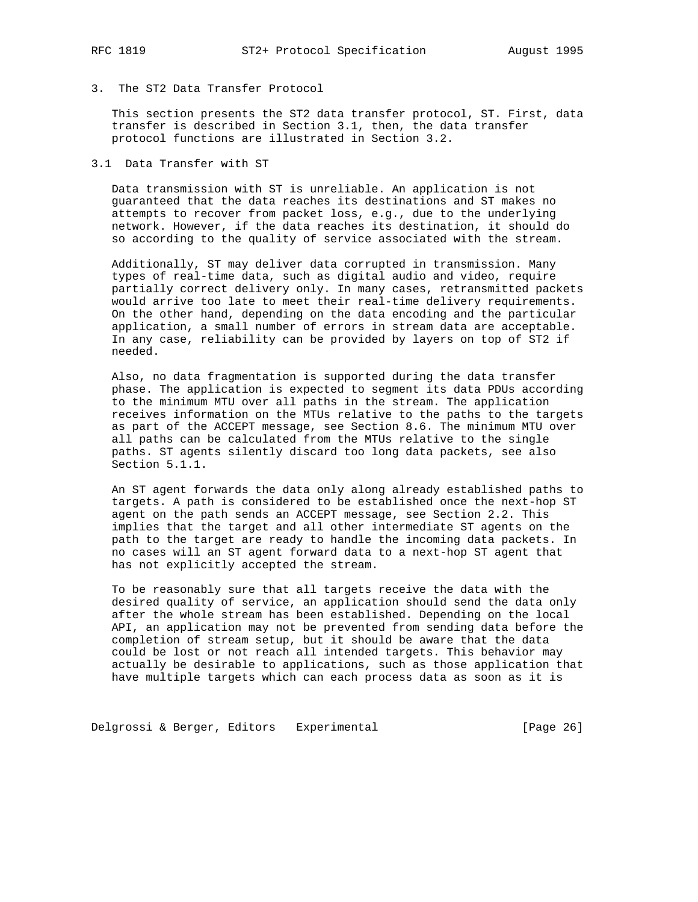# 3. The ST2 Data Transfer Protocol

 This section presents the ST2 data transfer protocol, ST. First, data transfer is described in Section 3.1, then, the data transfer protocol functions are illustrated in Section 3.2.

3.1 Data Transfer with ST

 Data transmission with ST is unreliable. An application is not guaranteed that the data reaches its destinations and ST makes no attempts to recover from packet loss, e.g., due to the underlying network. However, if the data reaches its destination, it should do so according to the quality of service associated with the stream.

 Additionally, ST may deliver data corrupted in transmission. Many types of real-time data, such as digital audio and video, require partially correct delivery only. In many cases, retransmitted packets would arrive too late to meet their real-time delivery requirements. On the other hand, depending on the data encoding and the particular application, a small number of errors in stream data are acceptable. In any case, reliability can be provided by layers on top of ST2 if needed.

 Also, no data fragmentation is supported during the data transfer phase. The application is expected to segment its data PDUs according to the minimum MTU over all paths in the stream. The application receives information on the MTUs relative to the paths to the targets as part of the ACCEPT message, see Section 8.6. The minimum MTU over all paths can be calculated from the MTUs relative to the single paths. ST agents silently discard too long data packets, see also Section 5.1.1.

 An ST agent forwards the data only along already established paths to targets. A path is considered to be established once the next-hop ST agent on the path sends an ACCEPT message, see Section 2.2. This implies that the target and all other intermediate ST agents on the path to the target are ready to handle the incoming data packets. In no cases will an ST agent forward data to a next-hop ST agent that has not explicitly accepted the stream.

 To be reasonably sure that all targets receive the data with the desired quality of service, an application should send the data only after the whole stream has been established. Depending on the local API, an application may not be prevented from sending data before the completion of stream setup, but it should be aware that the data could be lost or not reach all intended targets. This behavior may actually be desirable to applications, such as those application that have multiple targets which can each process data as soon as it is

Delgrossi & Berger, Editors Experimental (Page 26)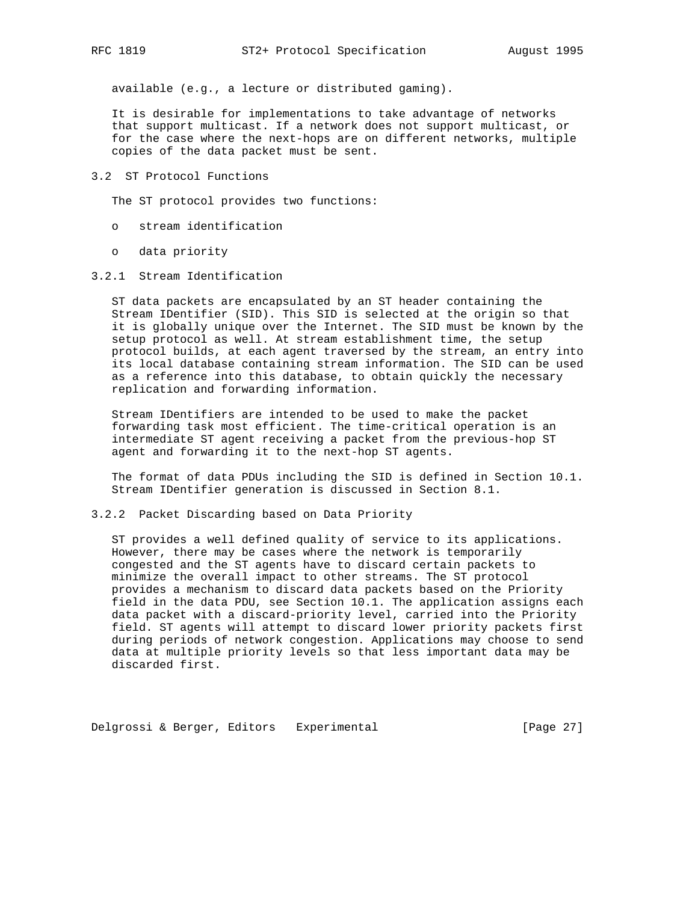available (e.g., a lecture or distributed gaming).

 It is desirable for implementations to take advantage of networks that support multicast. If a network does not support multicast, or for the case where the next-hops are on different networks, multiple copies of the data packet must be sent.

3.2 ST Protocol Functions

The ST protocol provides two functions:

- o stream identification
- o data priority
- 3.2.1 Stream Identification

 ST data packets are encapsulated by an ST header containing the Stream IDentifier (SID). This SID is selected at the origin so that it is globally unique over the Internet. The SID must be known by the setup protocol as well. At stream establishment time, the setup protocol builds, at each agent traversed by the stream, an entry into its local database containing stream information. The SID can be used as a reference into this database, to obtain quickly the necessary replication and forwarding information.

 Stream IDentifiers are intended to be used to make the packet forwarding task most efficient. The time-critical operation is an intermediate ST agent receiving a packet from the previous-hop ST agent and forwarding it to the next-hop ST agents.

 The format of data PDUs including the SID is defined in Section 10.1. Stream IDentifier generation is discussed in Section 8.1.

3.2.2 Packet Discarding based on Data Priority

 ST provides a well defined quality of service to its applications. However, there may be cases where the network is temporarily congested and the ST agents have to discard certain packets to minimize the overall impact to other streams. The ST protocol provides a mechanism to discard data packets based on the Priority field in the data PDU, see Section 10.1. The application assigns each data packet with a discard-priority level, carried into the Priority field. ST agents will attempt to discard lower priority packets first during periods of network congestion. Applications may choose to send data at multiple priority levels so that less important data may be discarded first.

Delgrossi & Berger, Editors Experimental [Page 27]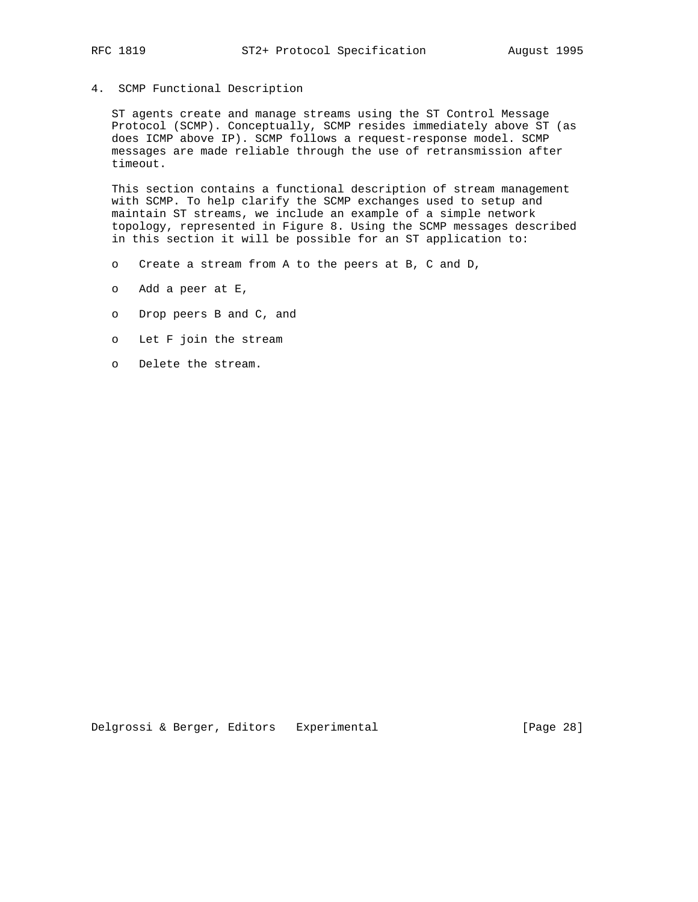- 
- 4. SCMP Functional Description

 ST agents create and manage streams using the ST Control Message Protocol (SCMP). Conceptually, SCMP resides immediately above ST (as does ICMP above IP). SCMP follows a request-response model. SCMP messages are made reliable through the use of retransmission after timeout.

 This section contains a functional description of stream management with SCMP. To help clarify the SCMP exchanges used to setup and maintain ST streams, we include an example of a simple network topology, represented in Figure 8. Using the SCMP messages described in this section it will be possible for an ST application to:

- o Create a stream from A to the peers at B, C and D,
- o Add a peer at E,
- o Drop peers B and C, and
- o Let F join the stream
- o Delete the stream.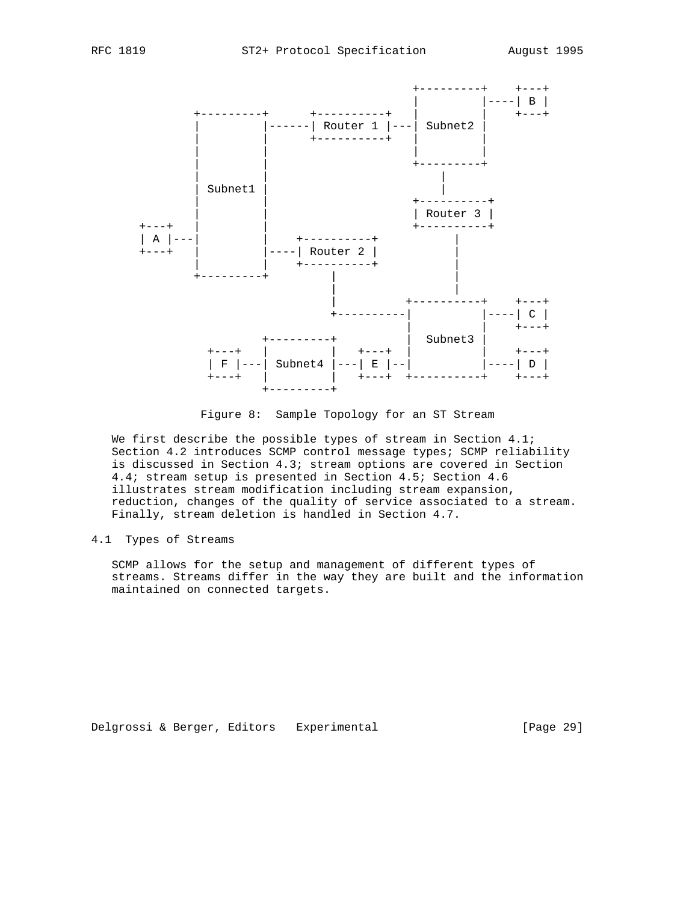

Figure 8: Sample Topology for an ST Stream

We first describe the possible types of stream in Section 4.1; Section 4.2 introduces SCMP control message types; SCMP reliability is discussed in Section 4.3; stream options are covered in Section 4.4; stream setup is presented in Section 4.5; Section 4.6 illustrates stream modification including stream expansion, reduction, changes of the quality of service associated to a stream. Finally, stream deletion is handled in Section 4.7.

4.1 Types of Streams

 SCMP allows for the setup and management of different types of streams. Streams differ in the way they are built and the information maintained on connected targets.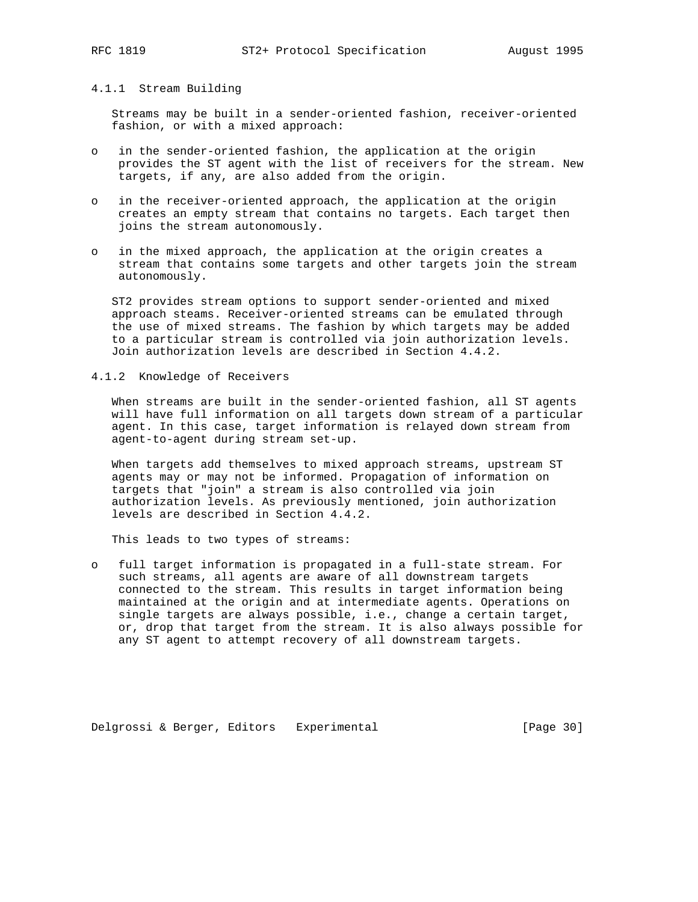# 4.1.1 Stream Building

 Streams may be built in a sender-oriented fashion, receiver-oriented fashion, or with a mixed approach:

- o in the sender-oriented fashion, the application at the origin provides the ST agent with the list of receivers for the stream. New targets, if any, are also added from the origin.
- o in the receiver-oriented approach, the application at the origin creates an empty stream that contains no targets. Each target then joins the stream autonomously.
- o in the mixed approach, the application at the origin creates a stream that contains some targets and other targets join the stream autonomously.

 ST2 provides stream options to support sender-oriented and mixed approach steams. Receiver-oriented streams can be emulated through the use of mixed streams. The fashion by which targets may be added to a particular stream is controlled via join authorization levels. Join authorization levels are described in Section 4.4.2.

4.1.2 Knowledge of Receivers

 When streams are built in the sender-oriented fashion, all ST agents will have full information on all targets down stream of a particular agent. In this case, target information is relayed down stream from agent-to-agent during stream set-up.

 When targets add themselves to mixed approach streams, upstream ST agents may or may not be informed. Propagation of information on targets that "join" a stream is also controlled via join authorization levels. As previously mentioned, join authorization levels are described in Section 4.4.2.

This leads to two types of streams:

o full target information is propagated in a full-state stream. For such streams, all agents are aware of all downstream targets connected to the stream. This results in target information being maintained at the origin and at intermediate agents. Operations on single targets are always possible, i.e., change a certain target, or, drop that target from the stream. It is also always possible for any ST agent to attempt recovery of all downstream targets.

Delgrossi & Berger, Editors Experimental [Page 30]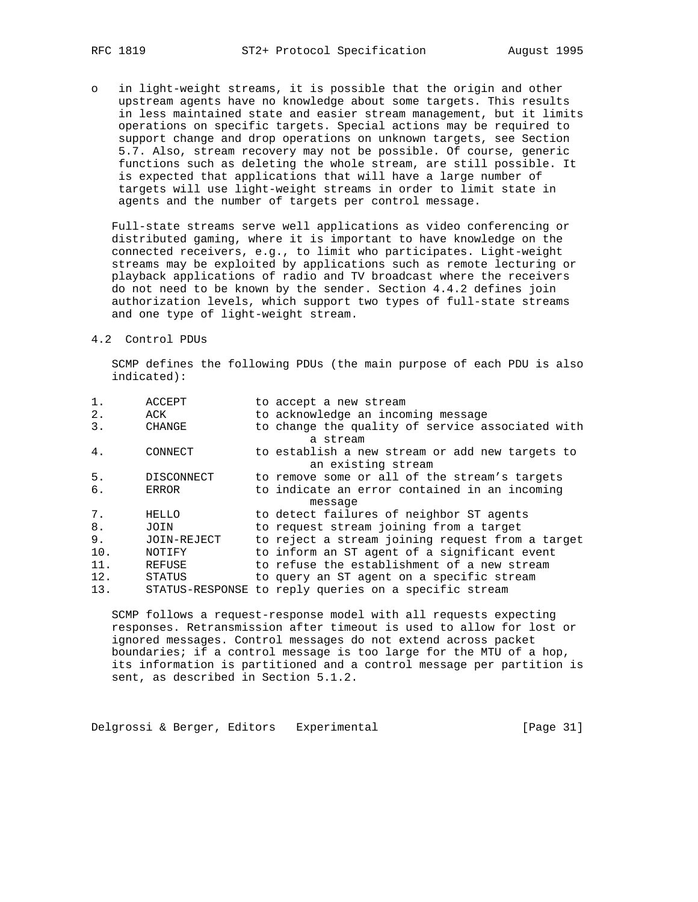o in light-weight streams, it is possible that the origin and other upstream agents have no knowledge about some targets. This results in less maintained state and easier stream management, but it limits operations on specific targets. Special actions may be required to support change and drop operations on unknown targets, see Section 5.7. Also, stream recovery may not be possible. Of course, generic functions such as deleting the whole stream, are still possible. It is expected that applications that will have a large number of targets will use light-weight streams in order to limit state in agents and the number of targets per control message.

 Full-state streams serve well applications as video conferencing or distributed gaming, where it is important to have knowledge on the connected receivers, e.g., to limit who participates. Light-weight streams may be exploited by applications such as remote lecturing or playback applications of radio and TV broadcast where the receivers do not need to be known by the sender. Section 4.4.2 defines join authorization levels, which support two types of full-state streams and one type of light-weight stream.

4.2 Control PDUs

 SCMP defines the following PDUs (the main purpose of each PDU is also indicated):

| $1$ . | ACCEPT      | to accept a new stream                                |
|-------|-------------|-------------------------------------------------------|
| 2.    | ACK         | to acknowledge an incoming message                    |
| 3.    | CHANGE      | to change the quality of service associated with      |
|       |             | a stream                                              |
| 4.    | CONNECT     | to establish a new stream or add new targets to       |
|       |             | an existing stream                                    |
| 5.    | DISCONNECT  | to remove some or all of the stream's targets         |
| 6.    | ERROR       | to indicate an error contained in an incoming         |
|       |             | message                                               |
| 7.    | HELLO       | to detect failures of neighbor ST agents              |
| 8.    | JOIN        | to request stream joining from a target               |
| 9.    | JOIN-REJECT | to reject a stream joining request from a target      |
| 10.   | NOTIFY      | to inform an ST agent of a significant event          |
| 11.   | REFUSE      | to refuse the establishment of a new stream           |
| 12.   | STATUS      | to query an ST agent on a specific stream             |
| 13.   |             | STATUS-RESPONSE to reply queries on a specific stream |

 SCMP follows a request-response model with all requests expecting responses. Retransmission after timeout is used to allow for lost or ignored messages. Control messages do not extend across packet boundaries; if a control message is too large for the MTU of a hop, its information is partitioned and a control message per partition is sent, as described in Section 5.1.2.

Delgrossi & Berger, Editors Experimental (Page 31)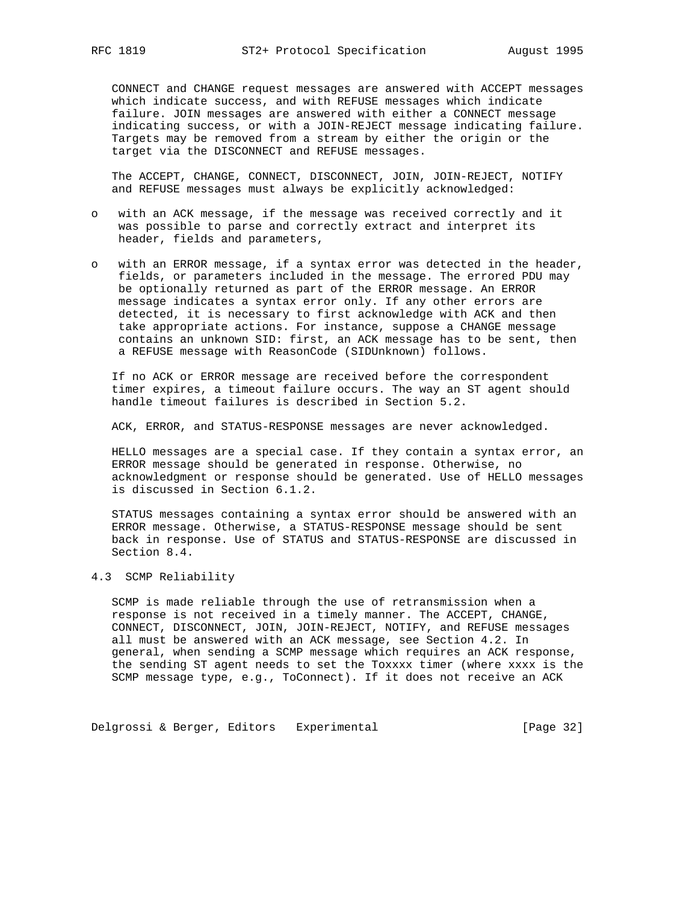CONNECT and CHANGE request messages are answered with ACCEPT messages which indicate success, and with REFUSE messages which indicate failure. JOIN messages are answered with either a CONNECT message indicating success, or with a JOIN-REJECT message indicating failure. Targets may be removed from a stream by either the origin or the target via the DISCONNECT and REFUSE messages.

 The ACCEPT, CHANGE, CONNECT, DISCONNECT, JOIN, JOIN-REJECT, NOTIFY and REFUSE messages must always be explicitly acknowledged:

- o with an ACK message, if the message was received correctly and it was possible to parse and correctly extract and interpret its header, fields and parameters,
- o with an ERROR message, if a syntax error was detected in the header, fields, or parameters included in the message. The errored PDU may be optionally returned as part of the ERROR message. An ERROR message indicates a syntax error only. If any other errors are detected, it is necessary to first acknowledge with ACK and then take appropriate actions. For instance, suppose a CHANGE message contains an unknown SID: first, an ACK message has to be sent, then a REFUSE message with ReasonCode (SIDUnknown) follows.

 If no ACK or ERROR message are received before the correspondent timer expires, a timeout failure occurs. The way an ST agent should handle timeout failures is described in Section 5.2.

ACK, ERROR, and STATUS-RESPONSE messages are never acknowledged.

 HELLO messages are a special case. If they contain a syntax error, an ERROR message should be generated in response. Otherwise, no acknowledgment or response should be generated. Use of HELLO messages is discussed in Section 6.1.2.

 STATUS messages containing a syntax error should be answered with an ERROR message. Otherwise, a STATUS-RESPONSE message should be sent back in response. Use of STATUS and STATUS-RESPONSE are discussed in Section 8.4.

# 4.3 SCMP Reliability

 SCMP is made reliable through the use of retransmission when a response is not received in a timely manner. The ACCEPT, CHANGE, CONNECT, DISCONNECT, JOIN, JOIN-REJECT, NOTIFY, and REFUSE messages all must be answered with an ACK message, see Section 4.2. In general, when sending a SCMP message which requires an ACK response, the sending ST agent needs to set the Toxxxx timer (where xxxx is the SCMP message type, e.g., ToConnect). If it does not receive an ACK

Delgrossi & Berger, Editors Experimental (Page 32)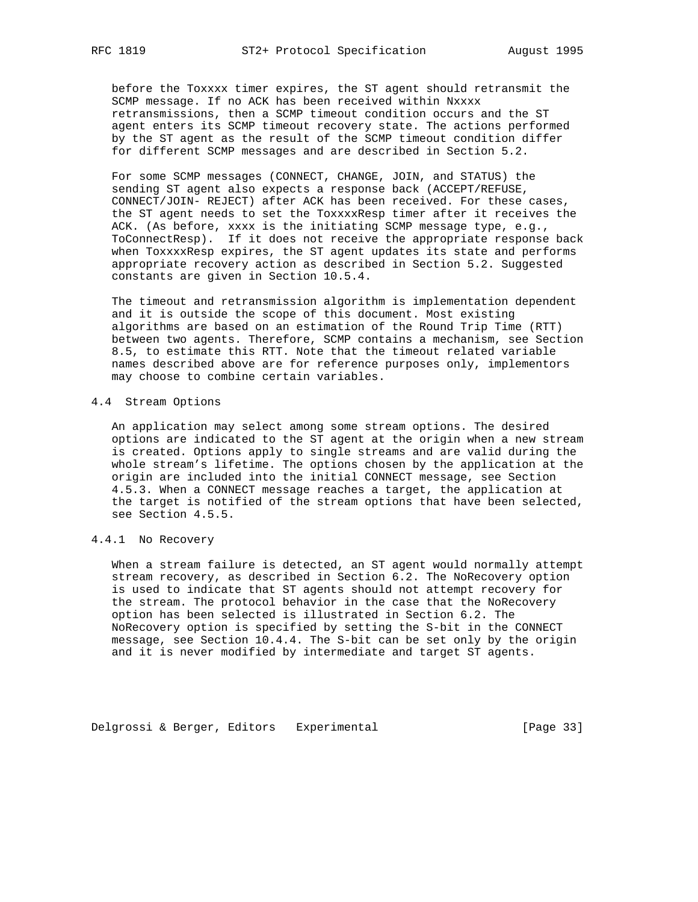before the Toxxxx timer expires, the ST agent should retransmit the SCMP message. If no ACK has been received within Nxxxx retransmissions, then a SCMP timeout condition occurs and the ST agent enters its SCMP timeout recovery state. The actions performed by the ST agent as the result of the SCMP timeout condition differ for different SCMP messages and are described in Section 5.2.

 For some SCMP messages (CONNECT, CHANGE, JOIN, and STATUS) the sending ST agent also expects a response back (ACCEPT/REFUSE, CONNECT/JOIN- REJECT) after ACK has been received. For these cases, the ST agent needs to set the ToxxxxResp timer after it receives the ACK. (As before, xxxx is the initiating SCMP message type, e.g., ToConnectResp). If it does not receive the appropriate response back when ToxxxxResp expires, the ST agent updates its state and performs appropriate recovery action as described in Section 5.2. Suggested constants are given in Section 10.5.4.

 The timeout and retransmission algorithm is implementation dependent and it is outside the scope of this document. Most existing algorithms are based on an estimation of the Round Trip Time (RTT) between two agents. Therefore, SCMP contains a mechanism, see Section 8.5, to estimate this RTT. Note that the timeout related variable names described above are for reference purposes only, implementors may choose to combine certain variables.

### 4.4 Stream Options

 An application may select among some stream options. The desired options are indicated to the ST agent at the origin when a new stream is created. Options apply to single streams and are valid during the whole stream's lifetime. The options chosen by the application at the origin are included into the initial CONNECT message, see Section 4.5.3. When a CONNECT message reaches a target, the application at the target is notified of the stream options that have been selected, see Section 4.5.5.

# 4.4.1 No Recovery

 When a stream failure is detected, an ST agent would normally attempt stream recovery, as described in Section 6.2. The NoRecovery option is used to indicate that ST agents should not attempt recovery for the stream. The protocol behavior in the case that the NoRecovery option has been selected is illustrated in Section 6.2. The NoRecovery option is specified by setting the S-bit in the CONNECT message, see Section 10.4.4. The S-bit can be set only by the origin and it is never modified by intermediate and target ST agents.

Delgrossi & Berger, Editors Experimental (Page 33)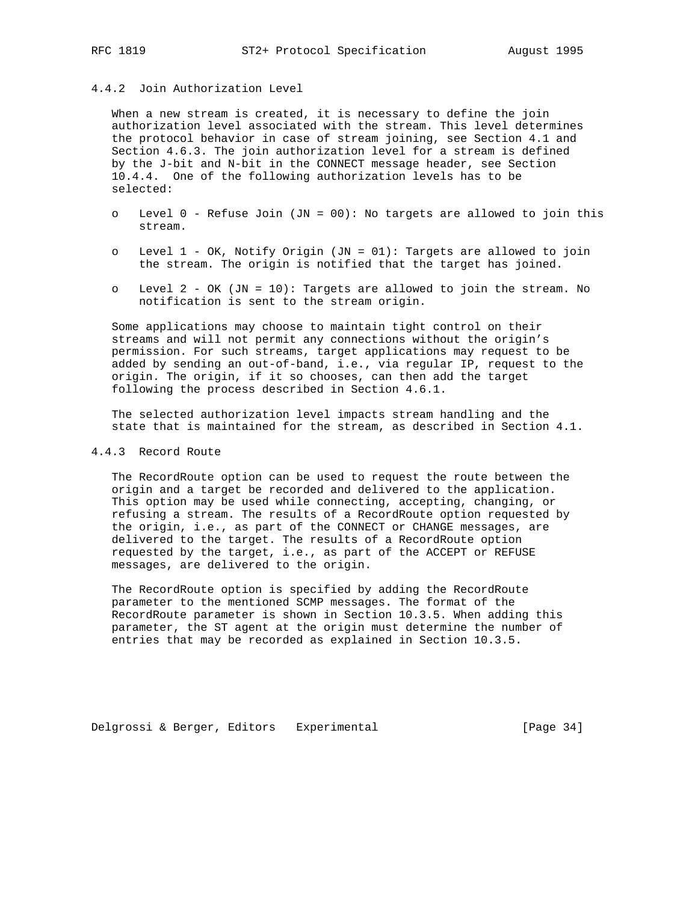# 4.4.2 Join Authorization Level

 When a new stream is created, it is necessary to define the join authorization level associated with the stream. This level determines the protocol behavior in case of stream joining, see Section 4.1 and Section 4.6.3. The join authorization level for a stream is defined by the J-bit and N-bit in the CONNECT message header, see Section 10.4.4. One of the following authorization levels has to be selected:

- o Level 0 Refuse Join (JN = 00): No targets are allowed to join this stream.
- o Level 1 OK, Notify Origin (JN = 01): Targets are allowed to join the stream. The origin is notified that the target has joined.
- o Level 2 OK (JN = 10): Targets are allowed to join the stream. No notification is sent to the stream origin.

 Some applications may choose to maintain tight control on their streams and will not permit any connections without the origin's permission. For such streams, target applications may request to be added by sending an out-of-band, i.e., via regular IP, request to the origin. The origin, if it so chooses, can then add the target following the process described in Section 4.6.1.

 The selected authorization level impacts stream handling and the state that is maintained for the stream, as described in Section 4.1.

# 4.4.3 Record Route

 The RecordRoute option can be used to request the route between the origin and a target be recorded and delivered to the application. This option may be used while connecting, accepting, changing, or refusing a stream. The results of a RecordRoute option requested by the origin, i.e., as part of the CONNECT or CHANGE messages, are delivered to the target. The results of a RecordRoute option requested by the target, i.e., as part of the ACCEPT or REFUSE messages, are delivered to the origin.

 The RecordRoute option is specified by adding the RecordRoute parameter to the mentioned SCMP messages. The format of the RecordRoute parameter is shown in Section 10.3.5. When adding this parameter, the ST agent at the origin must determine the number of entries that may be recorded as explained in Section 10.3.5.

Delgrossi & Berger, Editors Experimental (Page 34)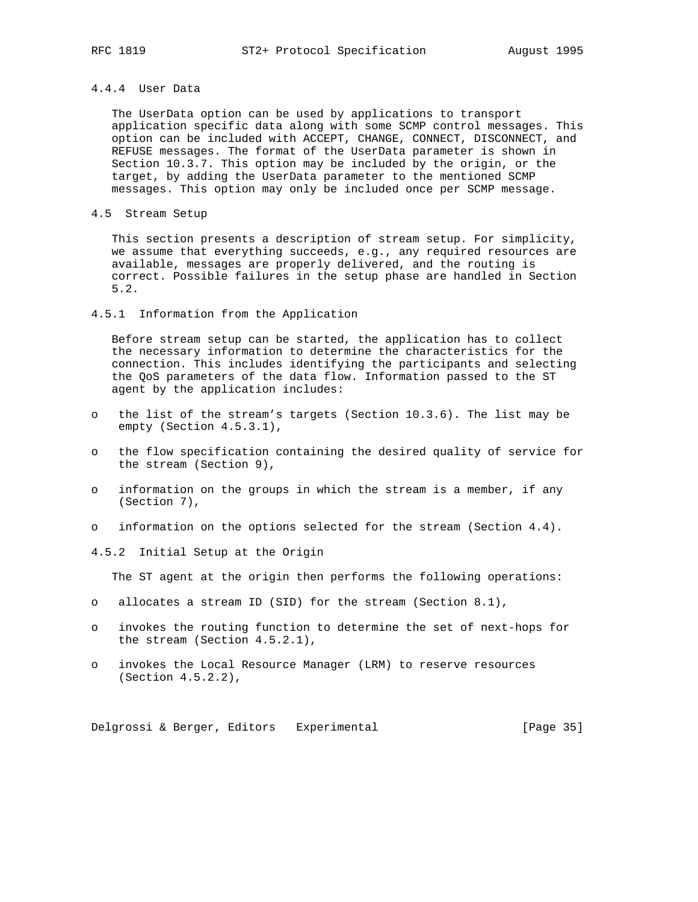#### 4.4.4 User Data

 The UserData option can be used by applications to transport application specific data along with some SCMP control messages. This option can be included with ACCEPT, CHANGE, CONNECT, DISCONNECT, and REFUSE messages. The format of the UserData parameter is shown in Section 10.3.7. This option may be included by the origin, or the target, by adding the UserData parameter to the mentioned SCMP messages. This option may only be included once per SCMP message.

4.5 Stream Setup

 This section presents a description of stream setup. For simplicity, we assume that everything succeeds, e.g., any required resources are available, messages are properly delivered, and the routing is correct. Possible failures in the setup phase are handled in Section 5.2.

#### 4.5.1 Information from the Application

 Before stream setup can be started, the application has to collect the necessary information to determine the characteristics for the connection. This includes identifying the participants and selecting the QoS parameters of the data flow. Information passed to the ST agent by the application includes:

- o the list of the stream's targets (Section 10.3.6). The list may be empty (Section 4.5.3.1),
- o the flow specification containing the desired quality of service for the stream (Section 9),
- o information on the groups in which the stream is a member, if any (Section 7),
- o information on the options selected for the stream (Section 4.4).
- 4.5.2 Initial Setup at the Origin

The ST agent at the origin then performs the following operations:

- o allocates a stream ID (SID) for the stream (Section 8.1),
- o invokes the routing function to determine the set of next-hops for the stream (Section 4.5.2.1),
- o invokes the Local Resource Manager (LRM) to reserve resources (Section 4.5.2.2),

Delgrossi & Berger, Editors Experimental [Page 35]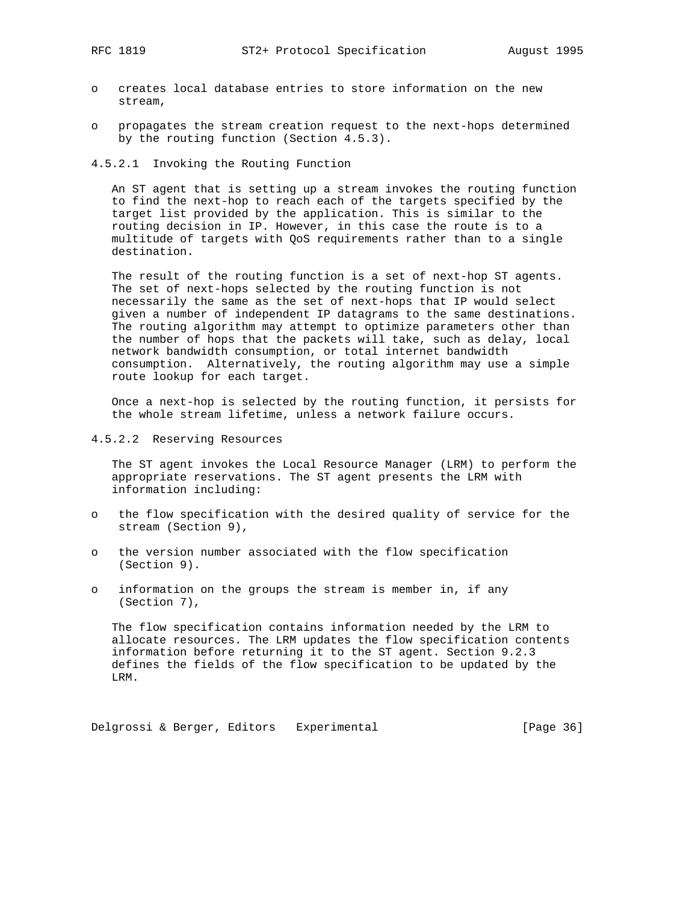- o creates local database entries to store information on the new stream,
- o propagates the stream creation request to the next-hops determined by the routing function (Section 4.5.3).

4.5.2.1 Invoking the Routing Function

 An ST agent that is setting up a stream invokes the routing function to find the next-hop to reach each of the targets specified by the target list provided by the application. This is similar to the routing decision in IP. However, in this case the route is to a multitude of targets with QoS requirements rather than to a single destination.

 The result of the routing function is a set of next-hop ST agents. The set of next-hops selected by the routing function is not necessarily the same as the set of next-hops that IP would select given a number of independent IP datagrams to the same destinations. The routing algorithm may attempt to optimize parameters other than the number of hops that the packets will take, such as delay, local network bandwidth consumption, or total internet bandwidth consumption. Alternatively, the routing algorithm may use a simple route lookup for each target.

 Once a next-hop is selected by the routing function, it persists for the whole stream lifetime, unless a network failure occurs.

4.5.2.2 Reserving Resources

 The ST agent invokes the Local Resource Manager (LRM) to perform the appropriate reservations. The ST agent presents the LRM with information including:

- o the flow specification with the desired quality of service for the stream (Section 9),
- o the version number associated with the flow specification (Section 9).
- o information on the groups the stream is member in, if any (Section 7),

 The flow specification contains information needed by the LRM to allocate resources. The LRM updates the flow specification contents information before returning it to the ST agent. Section 9.2.3 defines the fields of the flow specification to be updated by the LRM.

Delgrossi & Berger, Editors Experimental (Page 36)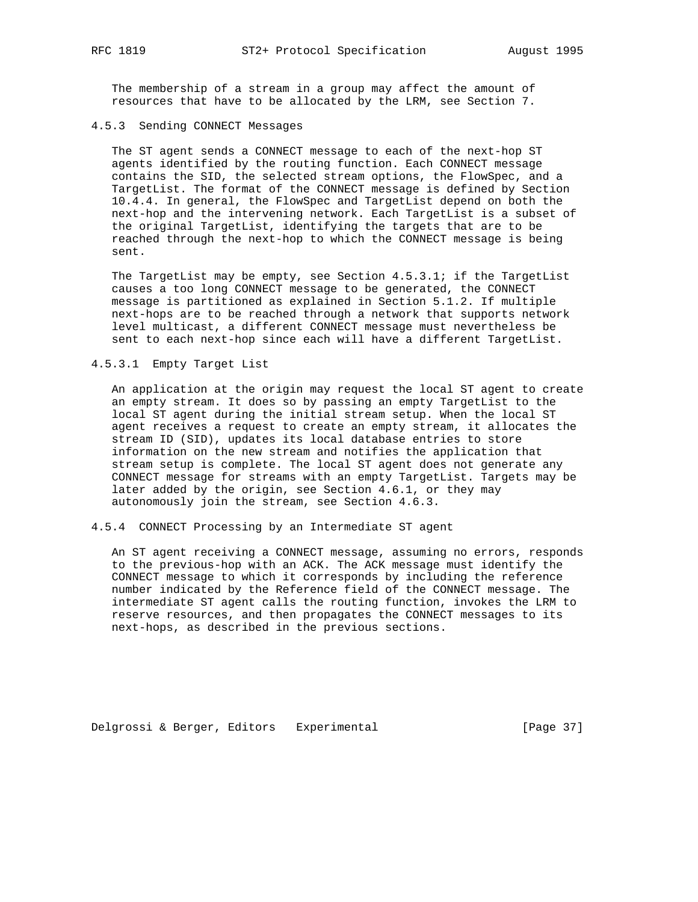The membership of a stream in a group may affect the amount of resources that have to be allocated by the LRM, see Section 7.

#### 4.5.3 Sending CONNECT Messages

 The ST agent sends a CONNECT message to each of the next-hop ST agents identified by the routing function. Each CONNECT message contains the SID, the selected stream options, the FlowSpec, and a TargetList. The format of the CONNECT message is defined by Section 10.4.4. In general, the FlowSpec and TargetList depend on both the next-hop and the intervening network. Each TargetList is a subset of the original TargetList, identifying the targets that are to be reached through the next-hop to which the CONNECT message is being sent.

The TargetList may be empty, see Section 4.5.3.1; if the TargetList causes a too long CONNECT message to be generated, the CONNECT message is partitioned as explained in Section 5.1.2. If multiple next-hops are to be reached through a network that supports network level multicast, a different CONNECT message must nevertheless be sent to each next-hop since each will have a different TargetList.

## 4.5.3.1 Empty Target List

 An application at the origin may request the local ST agent to create an empty stream. It does so by passing an empty TargetList to the local ST agent during the initial stream setup. When the local ST agent receives a request to create an empty stream, it allocates the stream ID (SID), updates its local database entries to store information on the new stream and notifies the application that stream setup is complete. The local ST agent does not generate any CONNECT message for streams with an empty TargetList. Targets may be later added by the origin, see Section 4.6.1, or they may autonomously join the stream, see Section 4.6.3.

4.5.4 CONNECT Processing by an Intermediate ST agent

 An ST agent receiving a CONNECT message, assuming no errors, responds to the previous-hop with an ACK. The ACK message must identify the CONNECT message to which it corresponds by including the reference number indicated by the Reference field of the CONNECT message. The intermediate ST agent calls the routing function, invokes the LRM to reserve resources, and then propagates the CONNECT messages to its next-hops, as described in the previous sections.

Delgrossi & Berger, Editors Experimental [Page 37]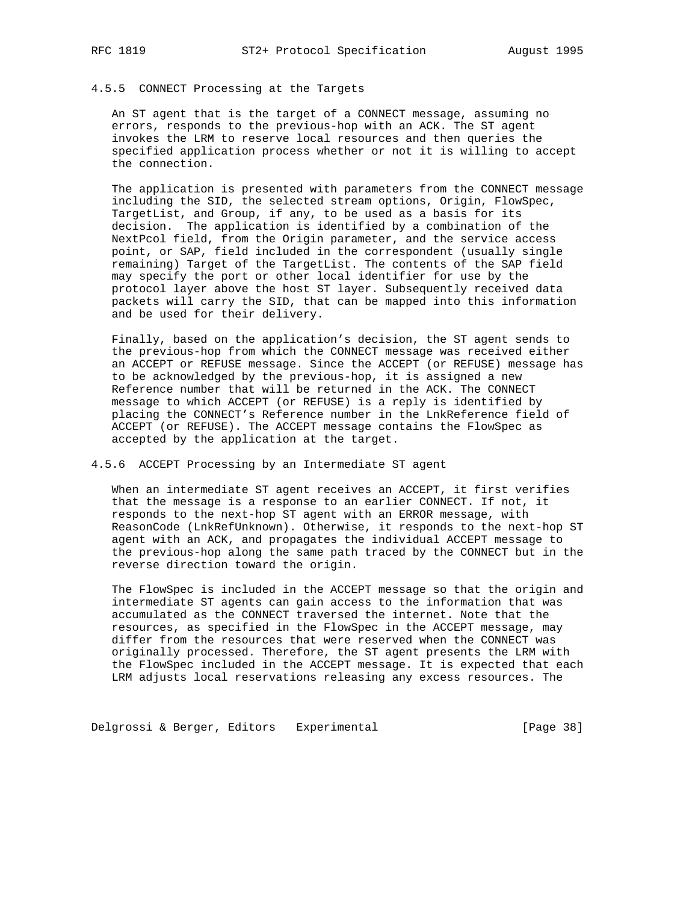# 4.5.5 CONNECT Processing at the Targets

 An ST agent that is the target of a CONNECT message, assuming no errors, responds to the previous-hop with an ACK. The ST agent invokes the LRM to reserve local resources and then queries the specified application process whether or not it is willing to accept the connection.

 The application is presented with parameters from the CONNECT message including the SID, the selected stream options, Origin, FlowSpec, TargetList, and Group, if any, to be used as a basis for its decision. The application is identified by a combination of the NextPcol field, from the Origin parameter, and the service access point, or SAP, field included in the correspondent (usually single remaining) Target of the TargetList. The contents of the SAP field may specify the port or other local identifier for use by the protocol layer above the host ST layer. Subsequently received data packets will carry the SID, that can be mapped into this information and be used for their delivery.

 Finally, based on the application's decision, the ST agent sends to the previous-hop from which the CONNECT message was received either an ACCEPT or REFUSE message. Since the ACCEPT (or REFUSE) message has to be acknowledged by the previous-hop, it is assigned a new Reference number that will be returned in the ACK. The CONNECT message to which ACCEPT (or REFUSE) is a reply is identified by placing the CONNECT's Reference number in the LnkReference field of ACCEPT (or REFUSE). The ACCEPT message contains the FlowSpec as accepted by the application at the target.

## 4.5.6 ACCEPT Processing by an Intermediate ST agent

 When an intermediate ST agent receives an ACCEPT, it first verifies that the message is a response to an earlier CONNECT. If not, it responds to the next-hop ST agent with an ERROR message, with ReasonCode (LnkRefUnknown). Otherwise, it responds to the next-hop ST agent with an ACK, and propagates the individual ACCEPT message to the previous-hop along the same path traced by the CONNECT but in the reverse direction toward the origin.

 The FlowSpec is included in the ACCEPT message so that the origin and intermediate ST agents can gain access to the information that was accumulated as the CONNECT traversed the internet. Note that the resources, as specified in the FlowSpec in the ACCEPT message, may differ from the resources that were reserved when the CONNECT was originally processed. Therefore, the ST agent presents the LRM with the FlowSpec included in the ACCEPT message. It is expected that each LRM adjusts local reservations releasing any excess resources. The

Delgrossi & Berger, Editors Experimental (Page 38)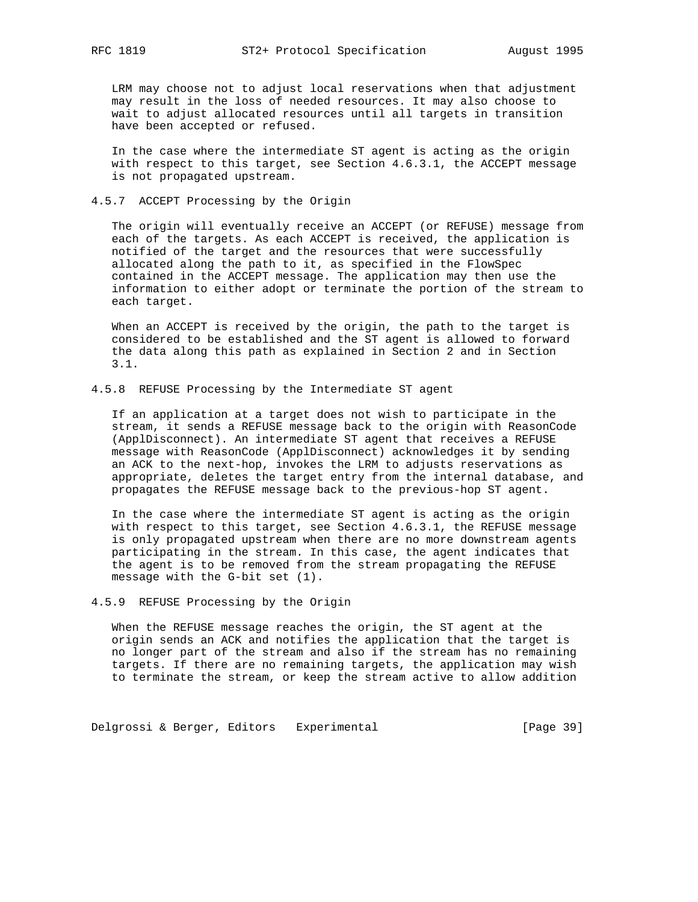LRM may choose not to adjust local reservations when that adjustment may result in the loss of needed resources. It may also choose to wait to adjust allocated resources until all targets in transition have been accepted or refused.

 In the case where the intermediate ST agent is acting as the origin with respect to this target, see Section 4.6.3.1, the ACCEPT message is not propagated upstream.

4.5.7 ACCEPT Processing by the Origin

 The origin will eventually receive an ACCEPT (or REFUSE) message from each of the targets. As each ACCEPT is received, the application is notified of the target and the resources that were successfully allocated along the path to it, as specified in the FlowSpec contained in the ACCEPT message. The application may then use the information to either adopt or terminate the portion of the stream to each target.

 When an ACCEPT is received by the origin, the path to the target is considered to be established and the ST agent is allowed to forward the data along this path as explained in Section 2 and in Section 3.1.

## 4.5.8 REFUSE Processing by the Intermediate ST agent

 If an application at a target does not wish to participate in the stream, it sends a REFUSE message back to the origin with ReasonCode (ApplDisconnect). An intermediate ST agent that receives a REFUSE message with ReasonCode (ApplDisconnect) acknowledges it by sending an ACK to the next-hop, invokes the LRM to adjusts reservations as appropriate, deletes the target entry from the internal database, and propagates the REFUSE message back to the previous-hop ST agent.

 In the case where the intermediate ST agent is acting as the origin with respect to this target, see Section 4.6.3.1, the REFUSE message is only propagated upstream when there are no more downstream agents participating in the stream. In this case, the agent indicates that the agent is to be removed from the stream propagating the REFUSE message with the G-bit set (1).

4.5.9 REFUSE Processing by the Origin

 When the REFUSE message reaches the origin, the ST agent at the origin sends an ACK and notifies the application that the target is no longer part of the stream and also if the stream has no remaining targets. If there are no remaining targets, the application may wish to terminate the stream, or keep the stream active to allow addition

Delgrossi & Berger, Editors Experimental (Page 39)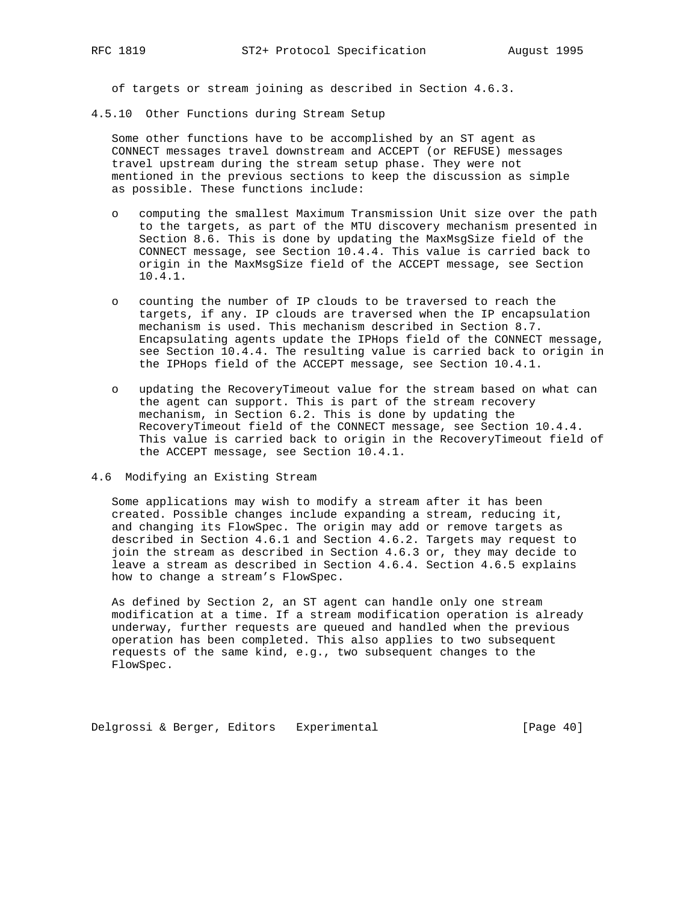of targets or stream joining as described in Section 4.6.3.

4.5.10 Other Functions during Stream Setup

 Some other functions have to be accomplished by an ST agent as CONNECT messages travel downstream and ACCEPT (or REFUSE) messages travel upstream during the stream setup phase. They were not mentioned in the previous sections to keep the discussion as simple as possible. These functions include:

- o computing the smallest Maximum Transmission Unit size over the path to the targets, as part of the MTU discovery mechanism presented in Section 8.6. This is done by updating the MaxMsgSize field of the CONNECT message, see Section 10.4.4. This value is carried back to origin in the MaxMsgSize field of the ACCEPT message, see Section 10.4.1.
- o counting the number of IP clouds to be traversed to reach the targets, if any. IP clouds are traversed when the IP encapsulation mechanism is used. This mechanism described in Section 8.7. Encapsulating agents update the IPHops field of the CONNECT message, see Section 10.4.4. The resulting value is carried back to origin in the IPHops field of the ACCEPT message, see Section 10.4.1.
- o updating the RecoveryTimeout value for the stream based on what can the agent can support. This is part of the stream recovery mechanism, in Section 6.2. This is done by updating the RecoveryTimeout field of the CONNECT message, see Section 10.4.4. This value is carried back to origin in the RecoveryTimeout field of the ACCEPT message, see Section 10.4.1.
- 4.6 Modifying an Existing Stream

 Some applications may wish to modify a stream after it has been created. Possible changes include expanding a stream, reducing it, and changing its FlowSpec. The origin may add or remove targets as described in Section 4.6.1 and Section 4.6.2. Targets may request to join the stream as described in Section 4.6.3 or, they may decide to leave a stream as described in Section 4.6.4. Section 4.6.5 explains how to change a stream's FlowSpec.

 As defined by Section 2, an ST agent can handle only one stream modification at a time. If a stream modification operation is already underway, further requests are queued and handled when the previous operation has been completed. This also applies to two subsequent requests of the same kind, e.g., two subsequent changes to the FlowSpec.

Delgrossi & Berger, Editors Experimental (Page 40)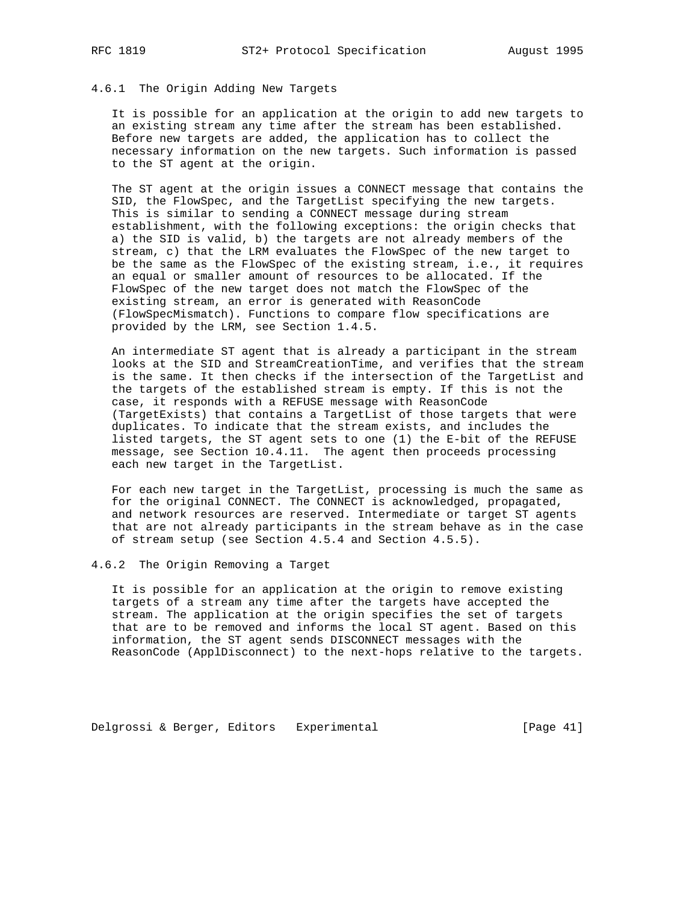#### 4.6.1 The Origin Adding New Targets

 It is possible for an application at the origin to add new targets to an existing stream any time after the stream has been established. Before new targets are added, the application has to collect the necessary information on the new targets. Such information is passed to the ST agent at the origin.

 The ST agent at the origin issues a CONNECT message that contains the SID, the FlowSpec, and the TargetList specifying the new targets. This is similar to sending a CONNECT message during stream establishment, with the following exceptions: the origin checks that a) the SID is valid, b) the targets are not already members of the stream, c) that the LRM evaluates the FlowSpec of the new target to be the same as the FlowSpec of the existing stream, i.e., it requires an equal or smaller amount of resources to be allocated. If the FlowSpec of the new target does not match the FlowSpec of the existing stream, an error is generated with ReasonCode (FlowSpecMismatch). Functions to compare flow specifications are provided by the LRM, see Section 1.4.5.

 An intermediate ST agent that is already a participant in the stream looks at the SID and StreamCreationTime, and verifies that the stream is the same. It then checks if the intersection of the TargetList and the targets of the established stream is empty. If this is not the case, it responds with a REFUSE message with ReasonCode (TargetExists) that contains a TargetList of those targets that were duplicates. To indicate that the stream exists, and includes the listed targets, the ST agent sets to one (1) the E-bit of the REFUSE message, see Section 10.4.11. The agent then proceeds processing each new target in the TargetList.

 For each new target in the TargetList, processing is much the same as for the original CONNECT. The CONNECT is acknowledged, propagated, and network resources are reserved. Intermediate or target ST agents that are not already participants in the stream behave as in the case of stream setup (see Section 4.5.4 and Section 4.5.5).

4.6.2 The Origin Removing a Target

 It is possible for an application at the origin to remove existing targets of a stream any time after the targets have accepted the stream. The application at the origin specifies the set of targets that are to be removed and informs the local ST agent. Based on this information, the ST agent sends DISCONNECT messages with the ReasonCode (ApplDisconnect) to the next-hops relative to the targets.

Delgrossi & Berger, Editors Experimental (Page 41)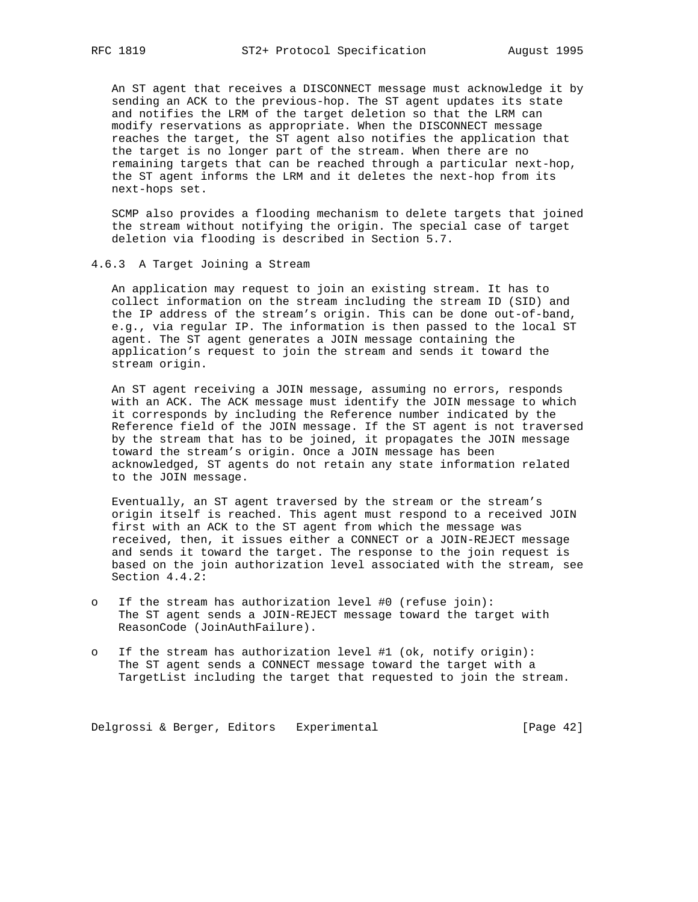An ST agent that receives a DISCONNECT message must acknowledge it by sending an ACK to the previous-hop. The ST agent updates its state and notifies the LRM of the target deletion so that the LRM can modify reservations as appropriate. When the DISCONNECT message reaches the target, the ST agent also notifies the application that the target is no longer part of the stream. When there are no remaining targets that can be reached through a particular next-hop, the ST agent informs the LRM and it deletes the next-hop from its next-hops set.

 SCMP also provides a flooding mechanism to delete targets that joined the stream without notifying the origin. The special case of target deletion via flooding is described in Section 5.7.

## 4.6.3 A Target Joining a Stream

 An application may request to join an existing stream. It has to collect information on the stream including the stream ID (SID) and the IP address of the stream's origin. This can be done out-of-band, e.g., via regular IP. The information is then passed to the local ST agent. The ST agent generates a JOIN message containing the application's request to join the stream and sends it toward the stream origin.

 An ST agent receiving a JOIN message, assuming no errors, responds with an ACK. The ACK message must identify the JOIN message to which it corresponds by including the Reference number indicated by the Reference field of the JOIN message. If the ST agent is not traversed by the stream that has to be joined, it propagates the JOIN message toward the stream's origin. Once a JOIN message has been acknowledged, ST agents do not retain any state information related to the JOIN message.

 Eventually, an ST agent traversed by the stream or the stream's origin itself is reached. This agent must respond to a received JOIN first with an ACK to the ST agent from which the message was received, then, it issues either a CONNECT or a JOIN-REJECT message and sends it toward the target. The response to the join request is based on the join authorization level associated with the stream, see Section 4.4.2:

- o If the stream has authorization level #0 (refuse join): The ST agent sends a JOIN-REJECT message toward the target with ReasonCode (JoinAuthFailure).
- o If the stream has authorization level #1 (ok, notify origin): The ST agent sends a CONNECT message toward the target with a TargetList including the target that requested to join the stream.

Delgrossi & Berger, Editors Experimental (Page 42)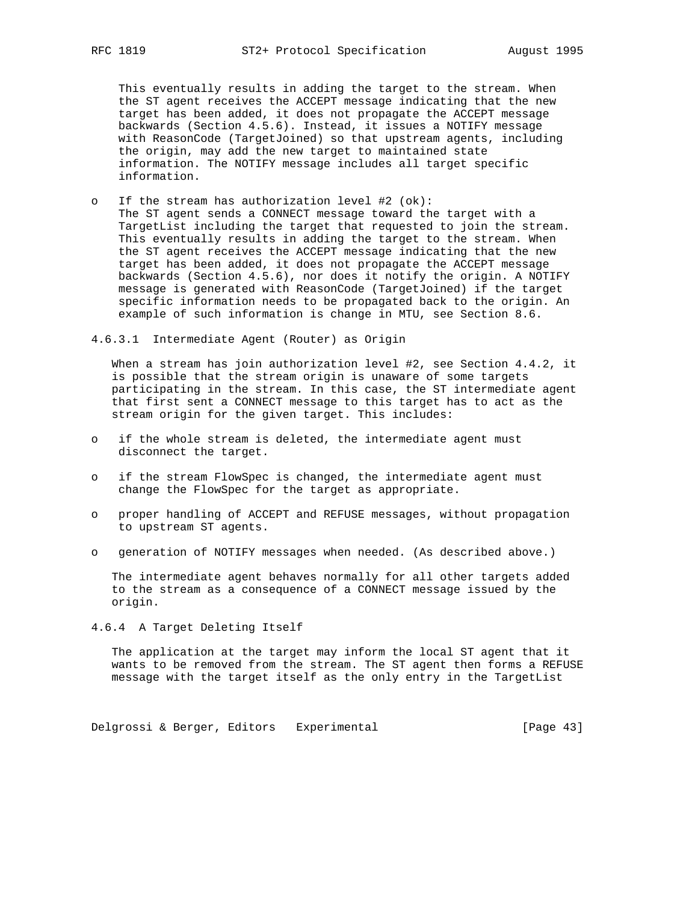This eventually results in adding the target to the stream. When the ST agent receives the ACCEPT message indicating that the new target has been added, it does not propagate the ACCEPT message backwards (Section 4.5.6). Instead, it issues a NOTIFY message with ReasonCode (TargetJoined) so that upstream agents, including the origin, may add the new target to maintained state information. The NOTIFY message includes all target specific information.

o If the stream has authorization level #2 (ok): The ST agent sends a CONNECT message toward the target with a TargetList including the target that requested to join the stream. This eventually results in adding the target to the stream. When the ST agent receives the ACCEPT message indicating that the new target has been added, it does not propagate the ACCEPT message backwards (Section 4.5.6), nor does it notify the origin. A NOTIFY message is generated with ReasonCode (TargetJoined) if the target specific information needs to be propagated back to the origin. An example of such information is change in MTU, see Section 8.6.

4.6.3.1 Intermediate Agent (Router) as Origin

 When a stream has join authorization level #2, see Section 4.4.2, it is possible that the stream origin is unaware of some targets participating in the stream. In this case, the ST intermediate agent that first sent a CONNECT message to this target has to act as the stream origin for the given target. This includes:

- o if the whole stream is deleted, the intermediate agent must disconnect the target.
- o if the stream FlowSpec is changed, the intermediate agent must change the FlowSpec for the target as appropriate.
- o proper handling of ACCEPT and REFUSE messages, without propagation to upstream ST agents.
- o generation of NOTIFY messages when needed. (As described above.)

 The intermediate agent behaves normally for all other targets added to the stream as a consequence of a CONNECT message issued by the origin.

4.6.4 A Target Deleting Itself

 The application at the target may inform the local ST agent that it wants to be removed from the stream. The ST agent then forms a REFUSE message with the target itself as the only entry in the TargetList

Delgrossi & Berger, Editors Experimental (Page 43)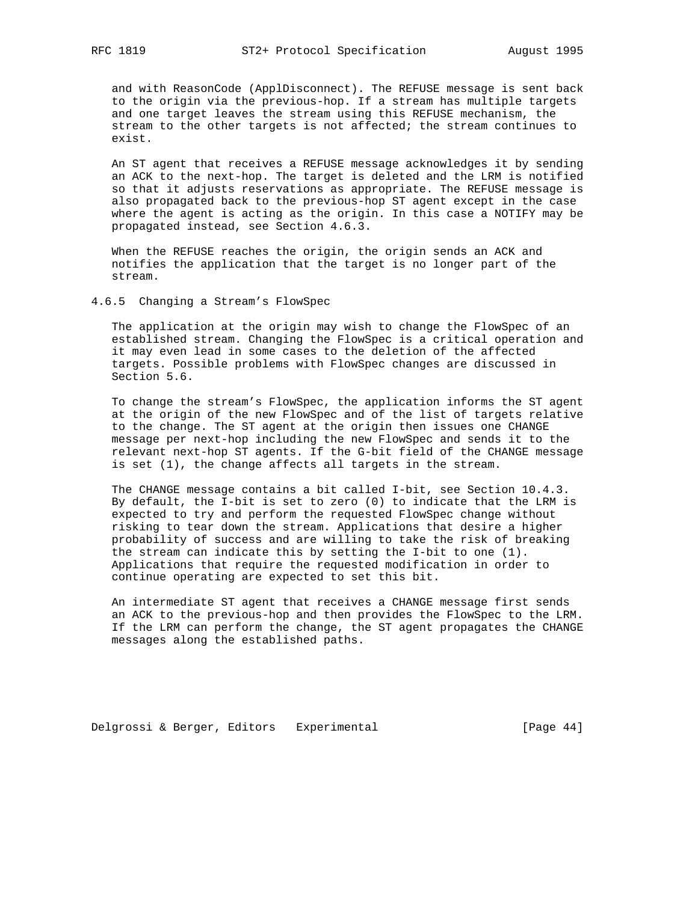and with ReasonCode (ApplDisconnect). The REFUSE message is sent back to the origin via the previous-hop. If a stream has multiple targets and one target leaves the stream using this REFUSE mechanism, the stream to the other targets is not affected; the stream continues to exist.

 An ST agent that receives a REFUSE message acknowledges it by sending an ACK to the next-hop. The target is deleted and the LRM is notified so that it adjusts reservations as appropriate. The REFUSE message is also propagated back to the previous-hop ST agent except in the case where the agent is acting as the origin. In this case a NOTIFY may be propagated instead, see Section 4.6.3.

 When the REFUSE reaches the origin, the origin sends an ACK and notifies the application that the target is no longer part of the stream.

4.6.5 Changing a Stream's FlowSpec

 The application at the origin may wish to change the FlowSpec of an established stream. Changing the FlowSpec is a critical operation and it may even lead in some cases to the deletion of the affected targets. Possible problems with FlowSpec changes are discussed in Section 5.6.

 To change the stream's FlowSpec, the application informs the ST agent at the origin of the new FlowSpec and of the list of targets relative to the change. The ST agent at the origin then issues one CHANGE message per next-hop including the new FlowSpec and sends it to the relevant next-hop ST agents. If the G-bit field of the CHANGE message is set (1), the change affects all targets in the stream.

 The CHANGE message contains a bit called I-bit, see Section 10.4.3. By default, the I-bit is set to zero (0) to indicate that the LRM is expected to try and perform the requested FlowSpec change without risking to tear down the stream. Applications that desire a higher probability of success and are willing to take the risk of breaking the stream can indicate this by setting the I-bit to one (1). Applications that require the requested modification in order to continue operating are expected to set this bit.

 An intermediate ST agent that receives a CHANGE message first sends an ACK to the previous-hop and then provides the FlowSpec to the LRM. If the LRM can perform the change, the ST agent propagates the CHANGE messages along the established paths.

Delgrossi & Berger, Editors Experimental (Page 44)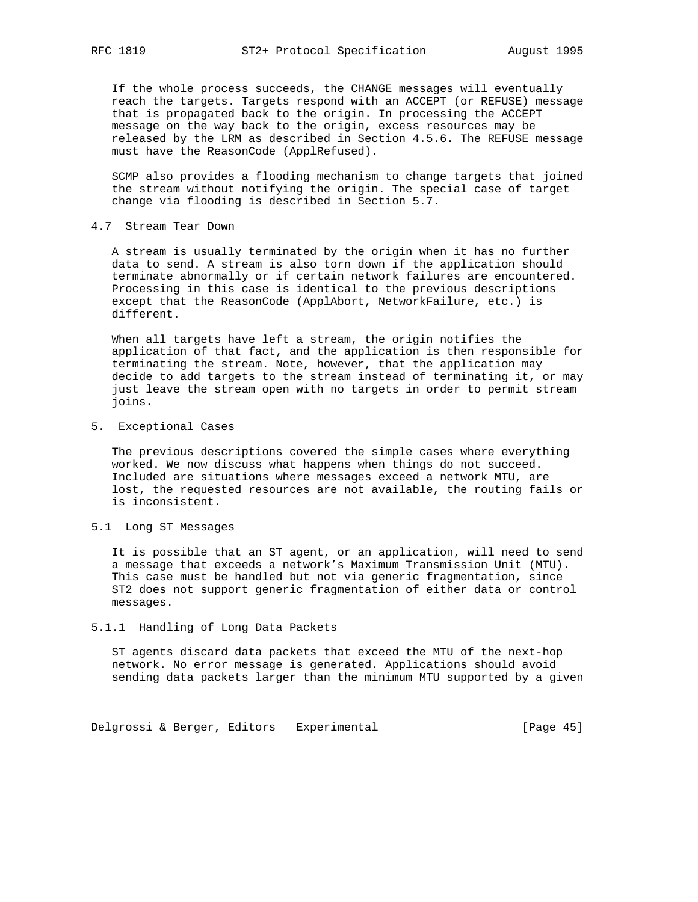If the whole process succeeds, the CHANGE messages will eventually reach the targets. Targets respond with an ACCEPT (or REFUSE) message that is propagated back to the origin. In processing the ACCEPT message on the way back to the origin, excess resources may be released by the LRM as described in Section 4.5.6. The REFUSE message must have the ReasonCode (ApplRefused).

 SCMP also provides a flooding mechanism to change targets that joined the stream without notifying the origin. The special case of target change via flooding is described in Section 5.7.

## 4.7 Stream Tear Down

 A stream is usually terminated by the origin when it has no further data to send. A stream is also torn down if the application should terminate abnormally or if certain network failures are encountered. Processing in this case is identical to the previous descriptions except that the ReasonCode (ApplAbort, NetworkFailure, etc.) is different.

 When all targets have left a stream, the origin notifies the application of that fact, and the application is then responsible for terminating the stream. Note, however, that the application may decide to add targets to the stream instead of terminating it, or may just leave the stream open with no targets in order to permit stream joins.

5. Exceptional Cases

 The previous descriptions covered the simple cases where everything worked. We now discuss what happens when things do not succeed. Included are situations where messages exceed a network MTU, are lost, the requested resources are not available, the routing fails or is inconsistent.

5.1 Long ST Messages

 It is possible that an ST agent, or an application, will need to send a message that exceeds a network's Maximum Transmission Unit (MTU). This case must be handled but not via generic fragmentation, since ST2 does not support generic fragmentation of either data or control messages.

5.1.1 Handling of Long Data Packets

 ST agents discard data packets that exceed the MTU of the next-hop network. No error message is generated. Applications should avoid sending data packets larger than the minimum MTU supported by a given

Delgrossi & Berger, Editors Experimental (Page 45)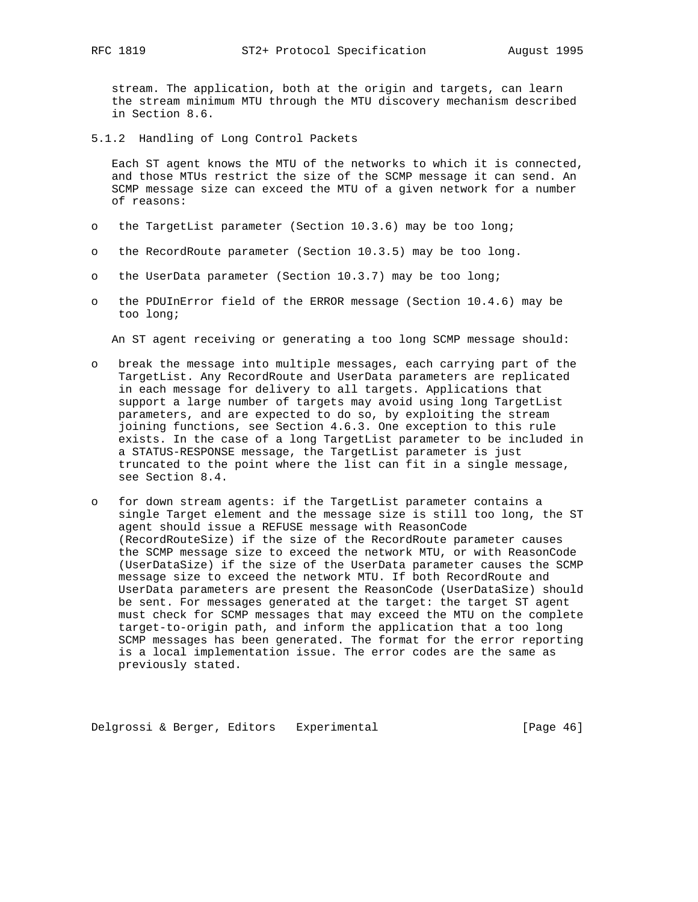stream. The application, both at the origin and targets, can learn the stream minimum MTU through the MTU discovery mechanism described

5.1.2 Handling of Long Control Packets

 Each ST agent knows the MTU of the networks to which it is connected, and those MTUs restrict the size of the SCMP message it can send. An SCMP message size can exceed the MTU of a given network for a number of reasons:

- o the TargetList parameter (Section 10.3.6) may be too long;
- o the RecordRoute parameter (Section 10.3.5) may be too long.
- o the UserData parameter (Section 10.3.7) may be too long;
- o the PDUInError field of the ERROR message (Section 10.4.6) may be too long;

An ST agent receiving or generating a too long SCMP message should:

- o break the message into multiple messages, each carrying part of the TargetList. Any RecordRoute and UserData parameters are replicated in each message for delivery to all targets. Applications that support a large number of targets may avoid using long TargetList parameters, and are expected to do so, by exploiting the stream joining functions, see Section 4.6.3. One exception to this rule exists. In the case of a long TargetList parameter to be included in a STATUS-RESPONSE message, the TargetList parameter is just truncated to the point where the list can fit in a single message, see Section 8.4.
- o for down stream agents: if the TargetList parameter contains a single Target element and the message size is still too long, the ST agent should issue a REFUSE message with ReasonCode (RecordRouteSize) if the size of the RecordRoute parameter causes the SCMP message size to exceed the network MTU, or with ReasonCode (UserDataSize) if the size of the UserData parameter causes the SCMP message size to exceed the network MTU. If both RecordRoute and UserData parameters are present the ReasonCode (UserDataSize) should be sent. For messages generated at the target: the target ST agent must check for SCMP messages that may exceed the MTU on the complete target-to-origin path, and inform the application that a too long SCMP messages has been generated. The format for the error reporting is a local implementation issue. The error codes are the same as previously stated.

Delgrossi & Berger, Editors Experimental (Page 46)

in Section 8.6.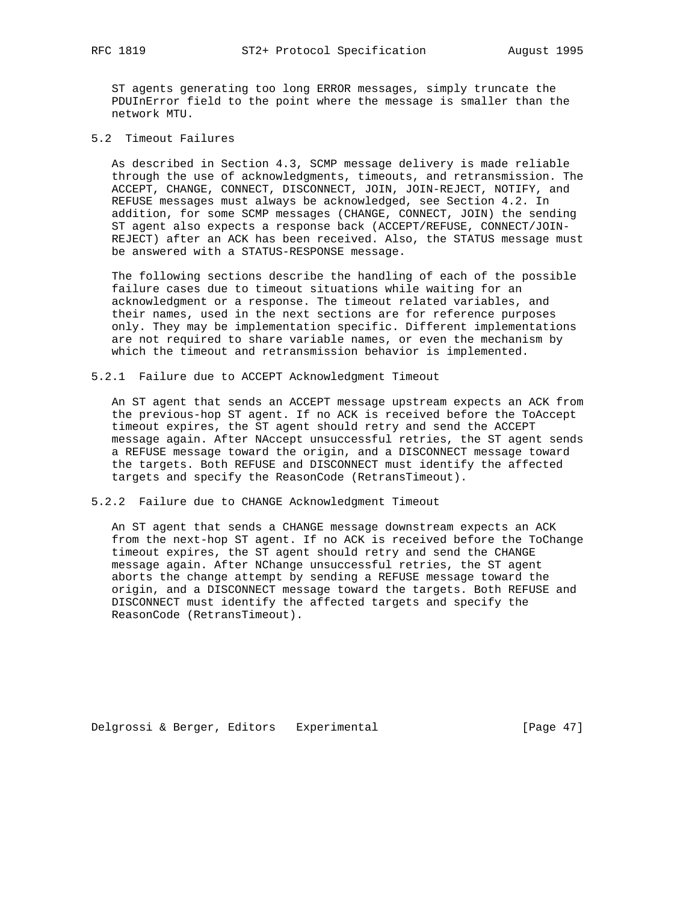ST agents generating too long ERROR messages, simply truncate the PDUInError field to the point where the message is smaller than the network MTU.

5.2 Timeout Failures

 As described in Section 4.3, SCMP message delivery is made reliable through the use of acknowledgments, timeouts, and retransmission. The ACCEPT, CHANGE, CONNECT, DISCONNECT, JOIN, JOIN-REJECT, NOTIFY, and REFUSE messages must always be acknowledged, see Section 4.2. In addition, for some SCMP messages (CHANGE, CONNECT, JOIN) the sending ST agent also expects a response back (ACCEPT/REFUSE, CONNECT/JOIN- REJECT) after an ACK has been received. Also, the STATUS message must be answered with a STATUS-RESPONSE message.

 The following sections describe the handling of each of the possible failure cases due to timeout situations while waiting for an acknowledgment or a response. The timeout related variables, and their names, used in the next sections are for reference purposes only. They may be implementation specific. Different implementations are not required to share variable names, or even the mechanism by which the timeout and retransmission behavior is implemented.

5.2.1 Failure due to ACCEPT Acknowledgment Timeout

 An ST agent that sends an ACCEPT message upstream expects an ACK from the previous-hop ST agent. If no ACK is received before the ToAccept timeout expires, the ST agent should retry and send the ACCEPT message again. After NAccept unsuccessful retries, the ST agent sends a REFUSE message toward the origin, and a DISCONNECT message toward the targets. Both REFUSE and DISCONNECT must identify the affected targets and specify the ReasonCode (RetransTimeout).

5.2.2 Failure due to CHANGE Acknowledgment Timeout

 An ST agent that sends a CHANGE message downstream expects an ACK from the next-hop ST agent. If no ACK is received before the ToChange timeout expires, the ST agent should retry and send the CHANGE message again. After NChange unsuccessful retries, the ST agent aborts the change attempt by sending a REFUSE message toward the origin, and a DISCONNECT message toward the targets. Both REFUSE and DISCONNECT must identify the affected targets and specify the ReasonCode (RetransTimeout).

Delgrossi & Berger, Editors Experimental (Page 47)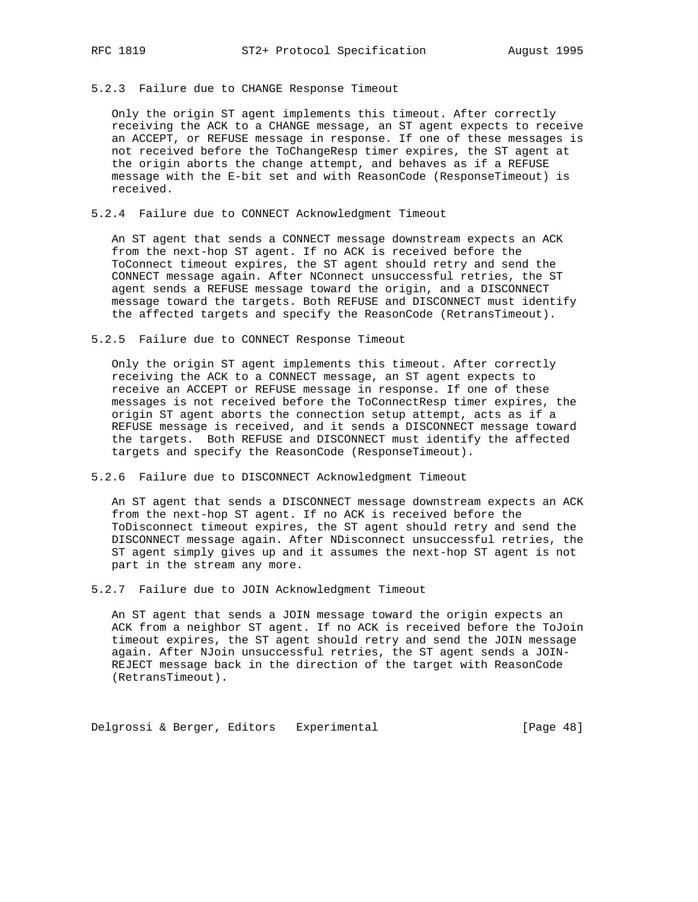## 5.2.3 Failure due to CHANGE Response Timeout

 Only the origin ST agent implements this timeout. After correctly receiving the ACK to a CHANGE message, an ST agent expects to receive an ACCEPT, or REFUSE message in response. If one of these messages is not received before the ToChangeResp timer expires, the ST agent at the origin aborts the change attempt, and behaves as if a REFUSE message with the E-bit set and with ReasonCode (ResponseTimeout) is received.

5.2.4 Failure due to CONNECT Acknowledgment Timeout

 An ST agent that sends a CONNECT message downstream expects an ACK from the next-hop ST agent. If no ACK is received before the ToConnect timeout expires, the ST agent should retry and send the CONNECT message again. After NConnect unsuccessful retries, the ST agent sends a REFUSE message toward the origin, and a DISCONNECT message toward the targets. Both REFUSE and DISCONNECT must identify the affected targets and specify the ReasonCode (RetransTimeout).

5.2.5 Failure due to CONNECT Response Timeout

 Only the origin ST agent implements this timeout. After correctly receiving the ACK to a CONNECT message, an ST agent expects to receive an ACCEPT or REFUSE message in response. If one of these messages is not received before the ToConnectResp timer expires, the origin ST agent aborts the connection setup attempt, acts as if a REFUSE message is received, and it sends a DISCONNECT message toward the targets. Both REFUSE and DISCONNECT must identify the affected targets and specify the ReasonCode (ResponseTimeout).

5.2.6 Failure due to DISCONNECT Acknowledgment Timeout

 An ST agent that sends a DISCONNECT message downstream expects an ACK from the next-hop ST agent. If no ACK is received before the ToDisconnect timeout expires, the ST agent should retry and send the DISCONNECT message again. After NDisconnect unsuccessful retries, the ST agent simply gives up and it assumes the next-hop ST agent is not part in the stream any more.

5.2.7 Failure due to JOIN Acknowledgment Timeout

 An ST agent that sends a JOIN message toward the origin expects an ACK from a neighbor ST agent. If no ACK is received before the ToJoin timeout expires, the ST agent should retry and send the JOIN message again. After NJoin unsuccessful retries, the ST agent sends a JOIN- REJECT message back in the direction of the target with ReasonCode (RetransTimeout).

Delgrossi & Berger, Editors Experimental (Page 48)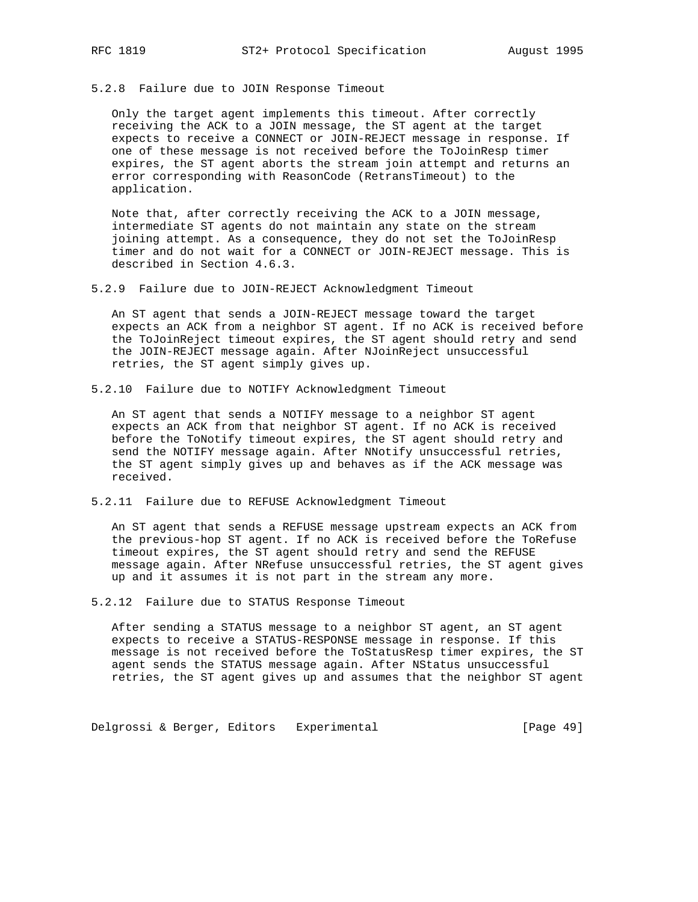#### 5.2.8 Failure due to JOIN Response Timeout

 Only the target agent implements this timeout. After correctly receiving the ACK to a JOIN message, the ST agent at the target expects to receive a CONNECT or JOIN-REJECT message in response. If one of these message is not received before the ToJoinResp timer expires, the ST agent aborts the stream join attempt and returns an error corresponding with ReasonCode (RetransTimeout) to the application.

 Note that, after correctly receiving the ACK to a JOIN message, intermediate ST agents do not maintain any state on the stream joining attempt. As a consequence, they do not set the ToJoinResp timer and do not wait for a CONNECT or JOIN-REJECT message. This is described in Section 4.6.3.

5.2.9 Failure due to JOIN-REJECT Acknowledgment Timeout

 An ST agent that sends a JOIN-REJECT message toward the target expects an ACK from a neighbor ST agent. If no ACK is received before the ToJoinReject timeout expires, the ST agent should retry and send the JOIN-REJECT message again. After NJoinReject unsuccessful retries, the ST agent simply gives up.

5.2.10 Failure due to NOTIFY Acknowledgment Timeout

 An ST agent that sends a NOTIFY message to a neighbor ST agent expects an ACK from that neighbor ST agent. If no ACK is received before the ToNotify timeout expires, the ST agent should retry and send the NOTIFY message again. After NNotify unsuccessful retries, the ST agent simply gives up and behaves as if the ACK message was received.

5.2.11 Failure due to REFUSE Acknowledgment Timeout

 An ST agent that sends a REFUSE message upstream expects an ACK from the previous-hop ST agent. If no ACK is received before the ToRefuse timeout expires, the ST agent should retry and send the REFUSE message again. After NRefuse unsuccessful retries, the ST agent gives up and it assumes it is not part in the stream any more.

5.2.12 Failure due to STATUS Response Timeout

 After sending a STATUS message to a neighbor ST agent, an ST agent expects to receive a STATUS-RESPONSE message in response. If this message is not received before the ToStatusResp timer expires, the ST agent sends the STATUS message again. After NStatus unsuccessful retries, the ST agent gives up and assumes that the neighbor ST agent

Delgrossi & Berger, Editors Experimental (Page 49)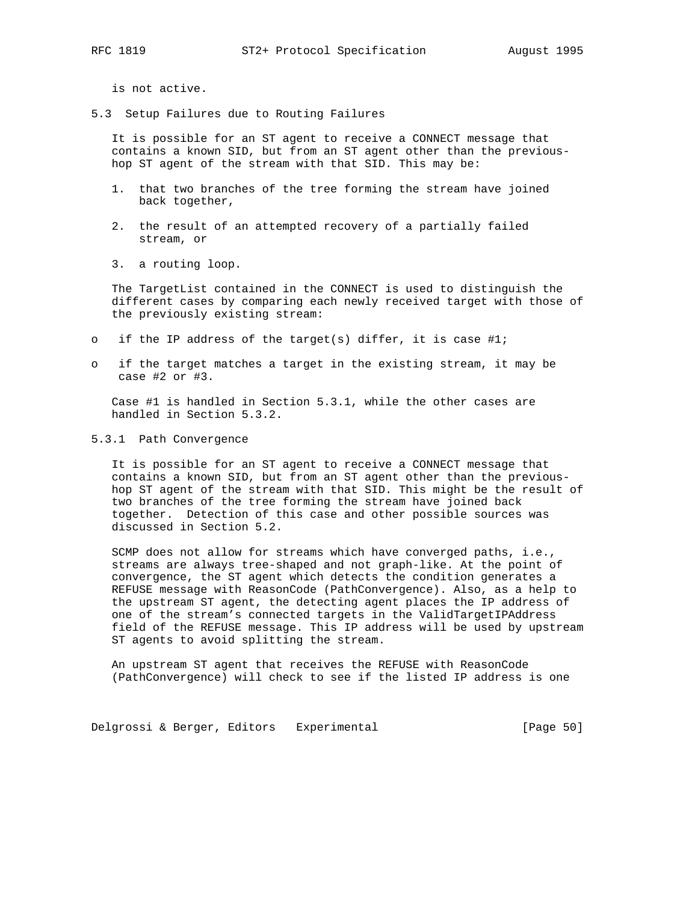is not active.

5.3 Setup Failures due to Routing Failures

 It is possible for an ST agent to receive a CONNECT message that contains a known SID, but from an ST agent other than the previous hop ST agent of the stream with that SID. This may be:

- 1. that two branches of the tree forming the stream have joined back together,
- 2. the result of an attempted recovery of a partially failed stream, or
- 3. a routing loop.

 The TargetList contained in the CONNECT is used to distinguish the different cases by comparing each newly received target with those of the previously existing stream:

- o if the IP address of the target(s) differ, it is case  $#1$ ;
- o if the target matches a target in the existing stream, it may be case #2 or #3.

 Case #1 is handled in Section 5.3.1, while the other cases are handled in Section 5.3.2.

5.3.1 Path Convergence

 It is possible for an ST agent to receive a CONNECT message that contains a known SID, but from an ST agent other than the previous hop ST agent of the stream with that SID. This might be the result of two branches of the tree forming the stream have joined back together. Detection of this case and other possible sources was discussed in Section 5.2.

 SCMP does not allow for streams which have converged paths, i.e., streams are always tree-shaped and not graph-like. At the point of convergence, the ST agent which detects the condition generates a REFUSE message with ReasonCode (PathConvergence). Also, as a help to the upstream ST agent, the detecting agent places the IP address of one of the stream's connected targets in the ValidTargetIPAddress field of the REFUSE message. This IP address will be used by upstream ST agents to avoid splitting the stream.

 An upstream ST agent that receives the REFUSE with ReasonCode (PathConvergence) will check to see if the listed IP address is one

Delgrossi & Berger, Editors Experimental (Page 50)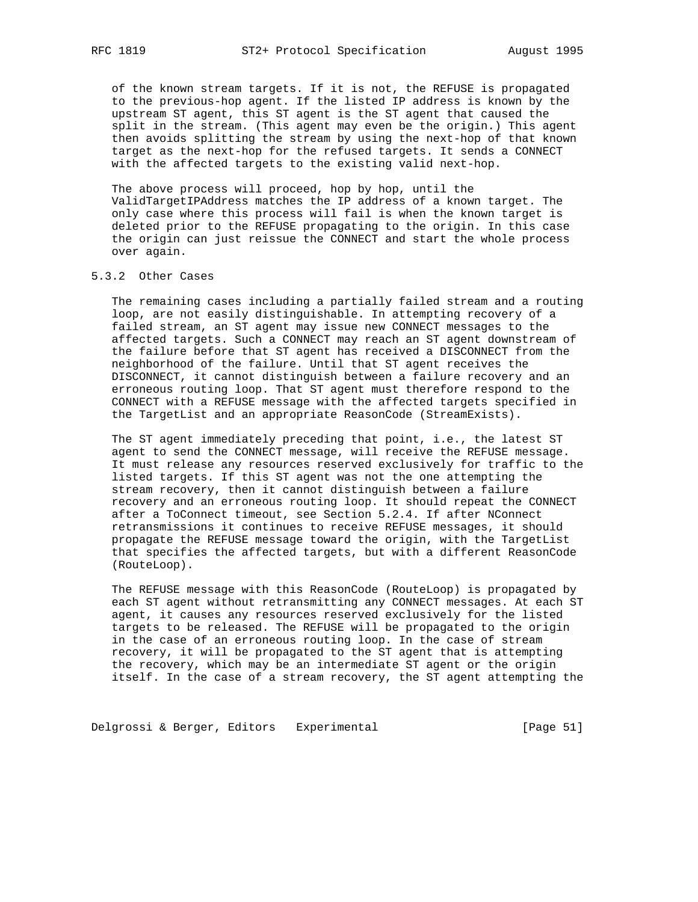of the known stream targets. If it is not, the REFUSE is propagated to the previous-hop agent. If the listed IP address is known by the upstream ST agent, this ST agent is the ST agent that caused the split in the stream. (This agent may even be the origin.) This agent then avoids splitting the stream by using the next-hop of that known target as the next-hop for the refused targets. It sends a CONNECT with the affected targets to the existing valid next-hop.

 The above process will proceed, hop by hop, until the ValidTargetIPAddress matches the IP address of a known target. The only case where this process will fail is when the known target is deleted prior to the REFUSE propagating to the origin. In this case the origin can just reissue the CONNECT and start the whole process over again.

#### 5.3.2 Other Cases

 The remaining cases including a partially failed stream and a routing loop, are not easily distinguishable. In attempting recovery of a failed stream, an ST agent may issue new CONNECT messages to the affected targets. Such a CONNECT may reach an ST agent downstream of the failure before that ST agent has received a DISCONNECT from the neighborhood of the failure. Until that ST agent receives the DISCONNECT, it cannot distinguish between a failure recovery and an erroneous routing loop. That ST agent must therefore respond to the CONNECT with a REFUSE message with the affected targets specified in the TargetList and an appropriate ReasonCode (StreamExists).

 The ST agent immediately preceding that point, i.e., the latest ST agent to send the CONNECT message, will receive the REFUSE message. It must release any resources reserved exclusively for traffic to the listed targets. If this ST agent was not the one attempting the stream recovery, then it cannot distinguish between a failure recovery and an erroneous routing loop. It should repeat the CONNECT after a ToConnect timeout, see Section 5.2.4. If after NConnect retransmissions it continues to receive REFUSE messages, it should propagate the REFUSE message toward the origin, with the TargetList that specifies the affected targets, but with a different ReasonCode (RouteLoop).

 The REFUSE message with this ReasonCode (RouteLoop) is propagated by each ST agent without retransmitting any CONNECT messages. At each ST agent, it causes any resources reserved exclusively for the listed targets to be released. The REFUSE will be propagated to the origin in the case of an erroneous routing loop. In the case of stream recovery, it will be propagated to the ST agent that is attempting the recovery, which may be an intermediate ST agent or the origin itself. In the case of a stream recovery, the ST agent attempting the

Delgrossi & Berger, Editors Experimental (Page 51)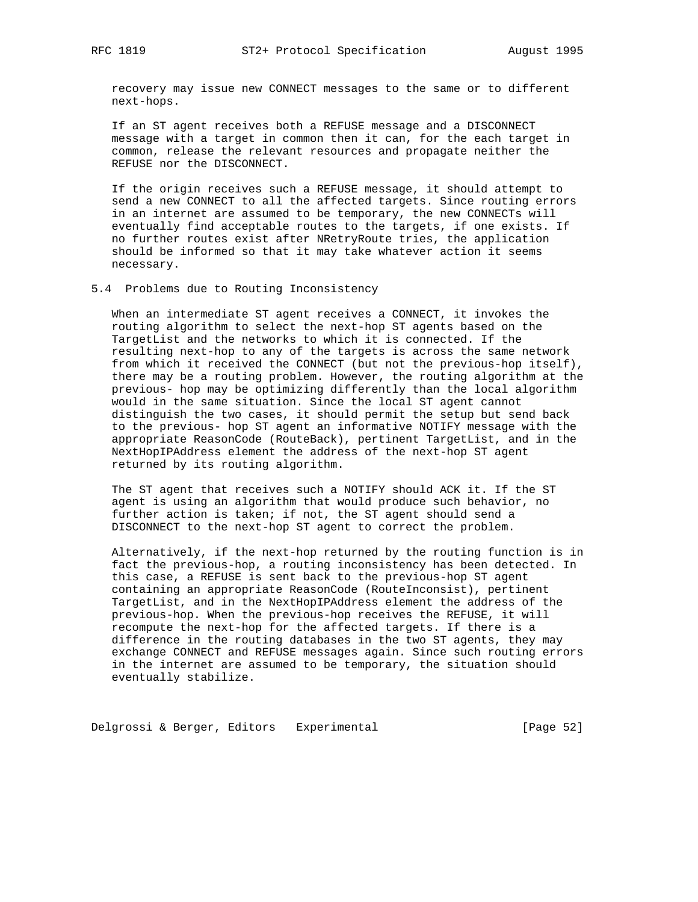recovery may issue new CONNECT messages to the same or to different next-hops.

 If an ST agent receives both a REFUSE message and a DISCONNECT message with a target in common then it can, for the each target in common, release the relevant resources and propagate neither the REFUSE nor the DISCONNECT.

 If the origin receives such a REFUSE message, it should attempt to send a new CONNECT to all the affected targets. Since routing errors in an internet are assumed to be temporary, the new CONNECTs will eventually find acceptable routes to the targets, if one exists. If no further routes exist after NRetryRoute tries, the application should be informed so that it may take whatever action it seems necessary.

5.4 Problems due to Routing Inconsistency

 When an intermediate ST agent receives a CONNECT, it invokes the routing algorithm to select the next-hop ST agents based on the TargetList and the networks to which it is connected. If the resulting next-hop to any of the targets is across the same network from which it received the CONNECT (but not the previous-hop itself), there may be a routing problem. However, the routing algorithm at the previous- hop may be optimizing differently than the local algorithm would in the same situation. Since the local ST agent cannot distinguish the two cases, it should permit the setup but send back to the previous- hop ST agent an informative NOTIFY message with the appropriate ReasonCode (RouteBack), pertinent TargetList, and in the NextHopIPAddress element the address of the next-hop ST agent returned by its routing algorithm.

 The ST agent that receives such a NOTIFY should ACK it. If the ST agent is using an algorithm that would produce such behavior, no further action is taken; if not, the ST agent should send a DISCONNECT to the next-hop ST agent to correct the problem.

 Alternatively, if the next-hop returned by the routing function is in fact the previous-hop, a routing inconsistency has been detected. In this case, a REFUSE is sent back to the previous-hop ST agent containing an appropriate ReasonCode (RouteInconsist), pertinent TargetList, and in the NextHopIPAddress element the address of the previous-hop. When the previous-hop receives the REFUSE, it will recompute the next-hop for the affected targets. If there is a difference in the routing databases in the two ST agents, they may exchange CONNECT and REFUSE messages again. Since such routing errors in the internet are assumed to be temporary, the situation should eventually stabilize.

Delgrossi & Berger, Editors Experimental (Page 52)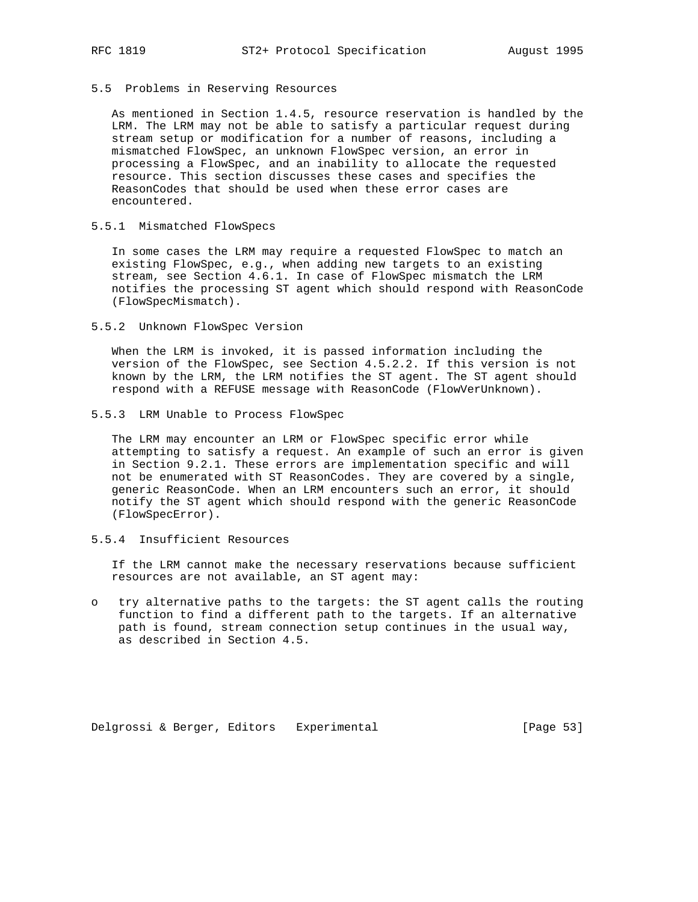## 5.5 Problems in Reserving Resources

 As mentioned in Section 1.4.5, resource reservation is handled by the LRM. The LRM may not be able to satisfy a particular request during stream setup or modification for a number of reasons, including a mismatched FlowSpec, an unknown FlowSpec version, an error in processing a FlowSpec, and an inability to allocate the requested resource. This section discusses these cases and specifies the ReasonCodes that should be used when these error cases are encountered.

## 5.5.1 Mismatched FlowSpecs

 In some cases the LRM may require a requested FlowSpec to match an existing FlowSpec, e.g., when adding new targets to an existing stream, see Section 4.6.1. In case of FlowSpec mismatch the LRM notifies the processing ST agent which should respond with ReasonCode (FlowSpecMismatch).

5.5.2 Unknown FlowSpec Version

 When the LRM is invoked, it is passed information including the version of the FlowSpec, see Section 4.5.2.2. If this version is not known by the LRM, the LRM notifies the ST agent. The ST agent should respond with a REFUSE message with ReasonCode (FlowVerUnknown).

5.5.3 LRM Unable to Process FlowSpec

 The LRM may encounter an LRM or FlowSpec specific error while attempting to satisfy a request. An example of such an error is given in Section 9.2.1. These errors are implementation specific and will not be enumerated with ST ReasonCodes. They are covered by a single, generic ReasonCode. When an LRM encounters such an error, it should notify the ST agent which should respond with the generic ReasonCode (FlowSpecError).

5.5.4 Insufficient Resources

 If the LRM cannot make the necessary reservations because sufficient resources are not available, an ST agent may:

o try alternative paths to the targets: the ST agent calls the routing function to find a different path to the targets. If an alternative path is found, stream connection setup continues in the usual way, as described in Section 4.5.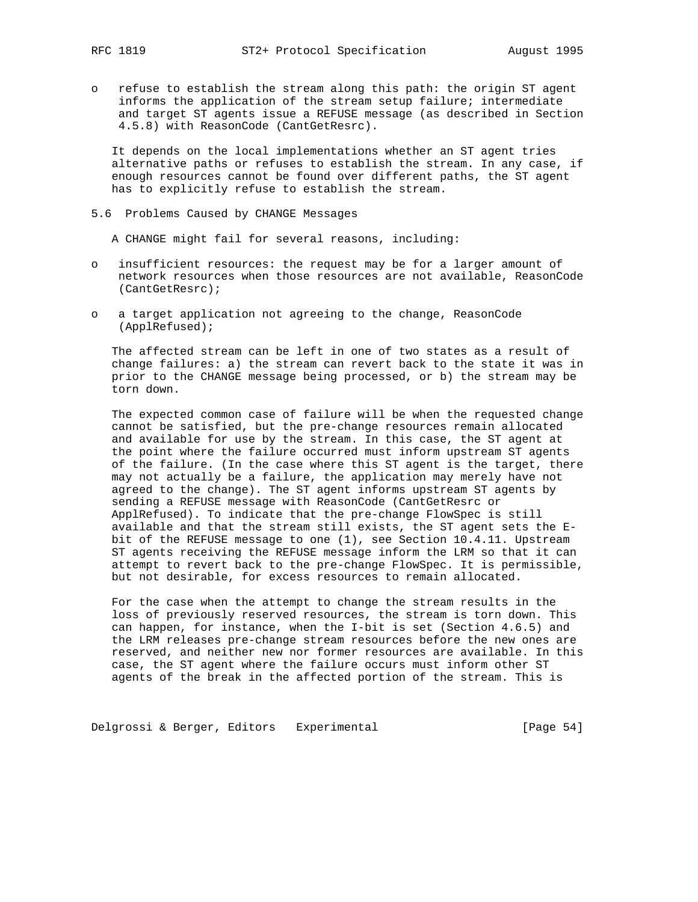o refuse to establish the stream along this path: the origin ST agent informs the application of the stream setup failure; intermediate and target ST agents issue a REFUSE message (as described in Section 4.5.8) with ReasonCode (CantGetResrc).

 It depends on the local implementations whether an ST agent tries alternative paths or refuses to establish the stream. In any case, if enough resources cannot be found over different paths, the ST agent has to explicitly refuse to establish the stream.

5.6 Problems Caused by CHANGE Messages

A CHANGE might fail for several reasons, including:

- o insufficient resources: the request may be for a larger amount of network resources when those resources are not available, ReasonCode (CantGetResrc);
- o a target application not agreeing to the change, ReasonCode (ApplRefused);

 The affected stream can be left in one of two states as a result of change failures: a) the stream can revert back to the state it was in prior to the CHANGE message being processed, or b) the stream may be torn down.

 The expected common case of failure will be when the requested change cannot be satisfied, but the pre-change resources remain allocated and available for use by the stream. In this case, the ST agent at the point where the failure occurred must inform upstream ST agents of the failure. (In the case where this ST agent is the target, there may not actually be a failure, the application may merely have not agreed to the change). The ST agent informs upstream ST agents by sending a REFUSE message with ReasonCode (CantGetResrc or ApplRefused). To indicate that the pre-change FlowSpec is still available and that the stream still exists, the ST agent sets the E bit of the REFUSE message to one (1), see Section 10.4.11. Upstream ST agents receiving the REFUSE message inform the LRM so that it can attempt to revert back to the pre-change FlowSpec. It is permissible, but not desirable, for excess resources to remain allocated.

 For the case when the attempt to change the stream results in the loss of previously reserved resources, the stream is torn down. This can happen, for instance, when the I-bit is set (Section 4.6.5) and the LRM releases pre-change stream resources before the new ones are reserved, and neither new nor former resources are available. In this case, the ST agent where the failure occurs must inform other ST agents of the break in the affected portion of the stream. This is

Delgrossi & Berger, Editors Experimental (Page 54)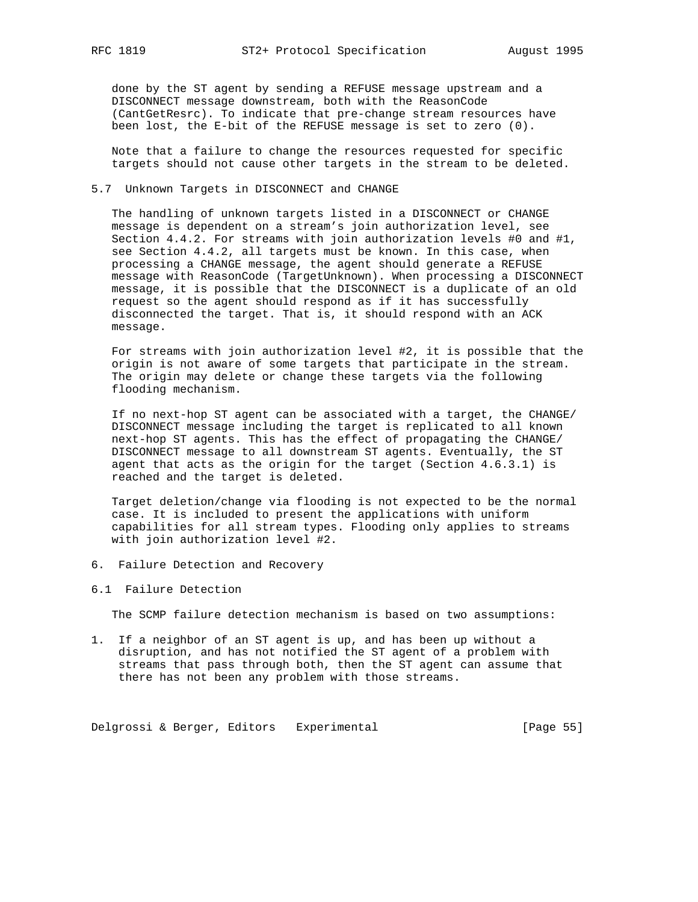done by the ST agent by sending a REFUSE message upstream and a DISCONNECT message downstream, both with the ReasonCode (CantGetResrc). To indicate that pre-change stream resources have been lost, the E-bit of the REFUSE message is set to zero (0).

 Note that a failure to change the resources requested for specific targets should not cause other targets in the stream to be deleted.

#### 5.7 Unknown Targets in DISCONNECT and CHANGE

 The handling of unknown targets listed in a DISCONNECT or CHANGE message is dependent on a stream's join authorization level, see Section 4.4.2. For streams with join authorization levels #0 and #1, see Section 4.4.2, all targets must be known. In this case, when processing a CHANGE message, the agent should generate a REFUSE message with ReasonCode (TargetUnknown). When processing a DISCONNECT message, it is possible that the DISCONNECT is a duplicate of an old request so the agent should respond as if it has successfully disconnected the target. That is, it should respond with an ACK message.

 For streams with join authorization level #2, it is possible that the origin is not aware of some targets that participate in the stream. The origin may delete or change these targets via the following flooding mechanism.

 If no next-hop ST agent can be associated with a target, the CHANGE/ DISCONNECT message including the target is replicated to all known next-hop ST agents. This has the effect of propagating the CHANGE/ DISCONNECT message to all downstream ST agents. Eventually, the ST agent that acts as the origin for the target (Section 4.6.3.1) is reached and the target is deleted.

 Target deletion/change via flooding is not expected to be the normal case. It is included to present the applications with uniform capabilities for all stream types. Flooding only applies to streams with join authorization level #2.

- 6. Failure Detection and Recovery
- 6.1 Failure Detection

The SCMP failure detection mechanism is based on two assumptions:

1. If a neighbor of an ST agent is up, and has been up without a disruption, and has not notified the ST agent of a problem with streams that pass through both, then the ST agent can assume that there has not been any problem with those streams.

Delgrossi & Berger, Editors Experimental (Page 55)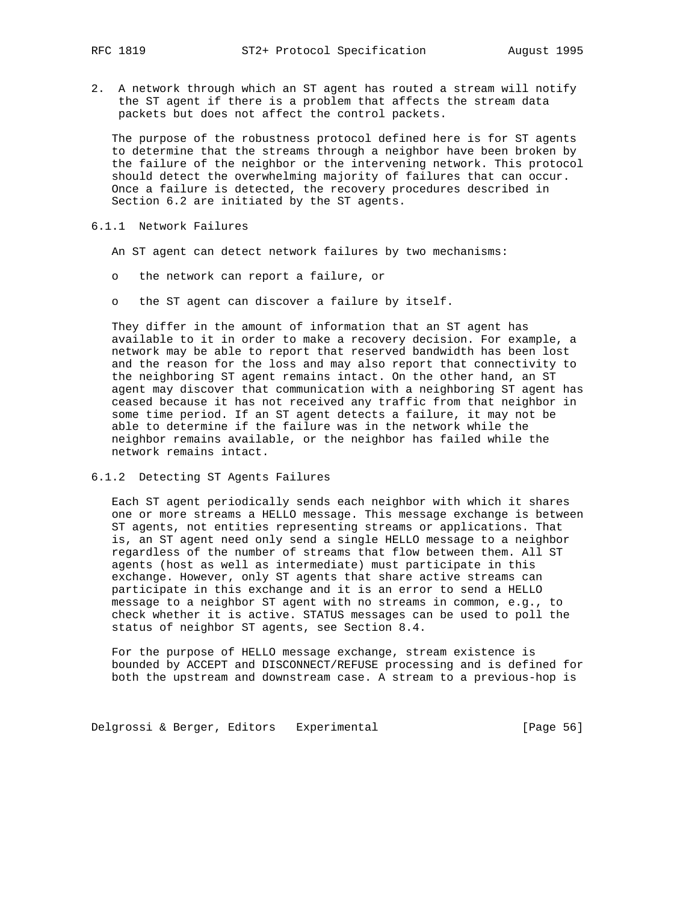2. A network through which an ST agent has routed a stream will notify the ST agent if there is a problem that affects the stream data packets but does not affect the control packets.

 The purpose of the robustness protocol defined here is for ST agents to determine that the streams through a neighbor have been broken by the failure of the neighbor or the intervening network. This protocol should detect the overwhelming majority of failures that can occur. Once a failure is detected, the recovery procedures described in Section 6.2 are initiated by the ST agents.

# 6.1.1 Network Failures

An ST agent can detect network failures by two mechanisms:

- o the network can report a failure, or
- o the ST agent can discover a failure by itself.

 They differ in the amount of information that an ST agent has available to it in order to make a recovery decision. For example, a network may be able to report that reserved bandwidth has been lost and the reason for the loss and may also report that connectivity to the neighboring ST agent remains intact. On the other hand, an ST agent may discover that communication with a neighboring ST agent has ceased because it has not received any traffic from that neighbor in some time period. If an ST agent detects a failure, it may not be able to determine if the failure was in the network while the neighbor remains available, or the neighbor has failed while the network remains intact.

6.1.2 Detecting ST Agents Failures

 Each ST agent periodically sends each neighbor with which it shares one or more streams a HELLO message. This message exchange is between ST agents, not entities representing streams or applications. That is, an ST agent need only send a single HELLO message to a neighbor regardless of the number of streams that flow between them. All ST agents (host as well as intermediate) must participate in this exchange. However, only ST agents that share active streams can participate in this exchange and it is an error to send a HELLO message to a neighbor ST agent with no streams in common, e.g., to check whether it is active. STATUS messages can be used to poll the status of neighbor ST agents, see Section 8.4.

 For the purpose of HELLO message exchange, stream existence is bounded by ACCEPT and DISCONNECT/REFUSE processing and is defined for both the upstream and downstream case. A stream to a previous-hop is

Delgrossi & Berger, Editors Experimental (Page 56)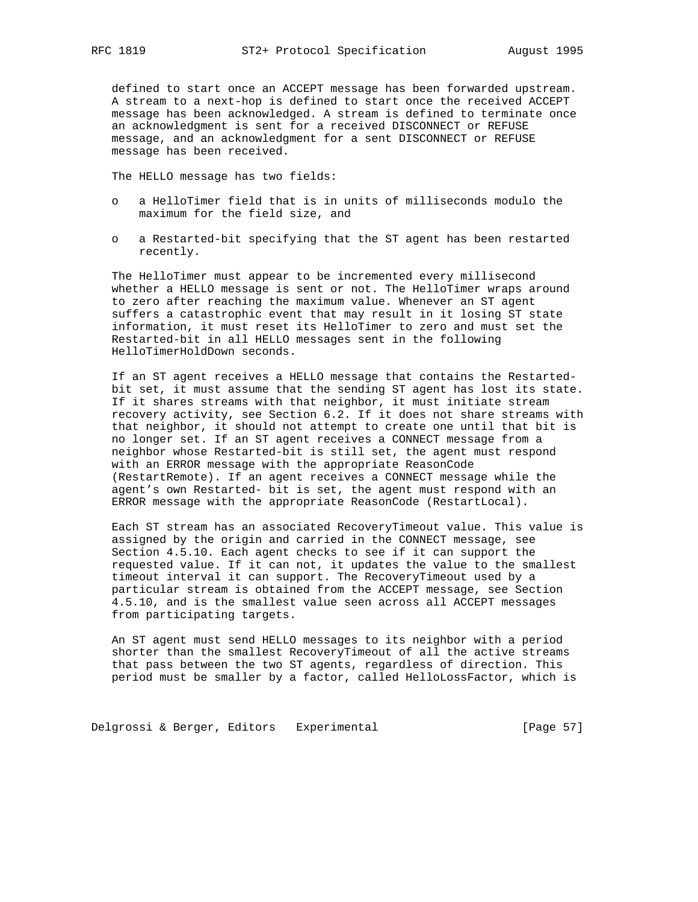defined to start once an ACCEPT message has been forwarded upstream. A stream to a next-hop is defined to start once the received ACCEPT message has been acknowledged. A stream is defined to terminate once an acknowledgment is sent for a received DISCONNECT or REFUSE message, and an acknowledgment for a sent DISCONNECT or REFUSE message has been received.

The HELLO message has two fields:

- o a HelloTimer field that is in units of milliseconds modulo the maximum for the field size, and
- o a Restarted-bit specifying that the ST agent has been restarted recently.

 The HelloTimer must appear to be incremented every millisecond whether a HELLO message is sent or not. The HelloTimer wraps around to zero after reaching the maximum value. Whenever an ST agent suffers a catastrophic event that may result in it losing ST state information, it must reset its HelloTimer to zero and must set the Restarted-bit in all HELLO messages sent in the following HelloTimerHoldDown seconds.

 If an ST agent receives a HELLO message that contains the Restarted bit set, it must assume that the sending ST agent has lost its state. If it shares streams with that neighbor, it must initiate stream recovery activity, see Section 6.2. If it does not share streams with that neighbor, it should not attempt to create one until that bit is no longer set. If an ST agent receives a CONNECT message from a neighbor whose Restarted-bit is still set, the agent must respond with an ERROR message with the appropriate ReasonCode (RestartRemote). If an agent receives a CONNECT message while the agent's own Restarted- bit is set, the agent must respond with an ERROR message with the appropriate ReasonCode (RestartLocal).

 Each ST stream has an associated RecoveryTimeout value. This value is assigned by the origin and carried in the CONNECT message, see Section 4.5.10. Each agent checks to see if it can support the requested value. If it can not, it updates the value to the smallest timeout interval it can support. The RecoveryTimeout used by a particular stream is obtained from the ACCEPT message, see Section 4.5.10, and is the smallest value seen across all ACCEPT messages from participating targets.

 An ST agent must send HELLO messages to its neighbor with a period shorter than the smallest RecoveryTimeout of all the active streams that pass between the two ST agents, regardless of direction. This period must be smaller by a factor, called HelloLossFactor, which is

Delgrossi & Berger, Editors Experimental (Page 57)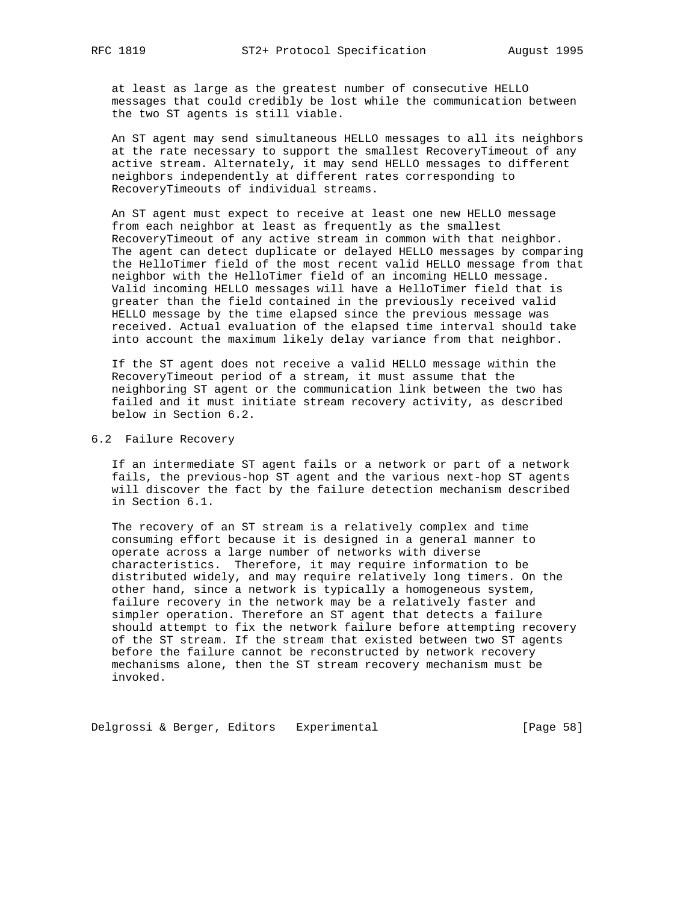at least as large as the greatest number of consecutive HELLO messages that could credibly be lost while the communication between the two ST agents is still viable.

 An ST agent may send simultaneous HELLO messages to all its neighbors at the rate necessary to support the smallest RecoveryTimeout of any active stream. Alternately, it may send HELLO messages to different neighbors independently at different rates corresponding to RecoveryTimeouts of individual streams.

 An ST agent must expect to receive at least one new HELLO message from each neighbor at least as frequently as the smallest RecoveryTimeout of any active stream in common with that neighbor. The agent can detect duplicate or delayed HELLO messages by comparing the HelloTimer field of the most recent valid HELLO message from that neighbor with the HelloTimer field of an incoming HELLO message. Valid incoming HELLO messages will have a HelloTimer field that is greater than the field contained in the previously received valid HELLO message by the time elapsed since the previous message was received. Actual evaluation of the elapsed time interval should take into account the maximum likely delay variance from that neighbor.

 If the ST agent does not receive a valid HELLO message within the RecoveryTimeout period of a stream, it must assume that the neighboring ST agent or the communication link between the two has failed and it must initiate stream recovery activity, as described below in Section 6.2.

#### 6.2 Failure Recovery

 If an intermediate ST agent fails or a network or part of a network fails, the previous-hop ST agent and the various next-hop ST agents will discover the fact by the failure detection mechanism described in Section 6.1.

 The recovery of an ST stream is a relatively complex and time consuming effort because it is designed in a general manner to operate across a large number of networks with diverse characteristics. Therefore, it may require information to be distributed widely, and may require relatively long timers. On the other hand, since a network is typically a homogeneous system, failure recovery in the network may be a relatively faster and simpler operation. Therefore an ST agent that detects a failure should attempt to fix the network failure before attempting recovery of the ST stream. If the stream that existed between two ST agents before the failure cannot be reconstructed by network recovery mechanisms alone, then the ST stream recovery mechanism must be invoked.

Delgrossi & Berger, Editors Experimental (Page 58)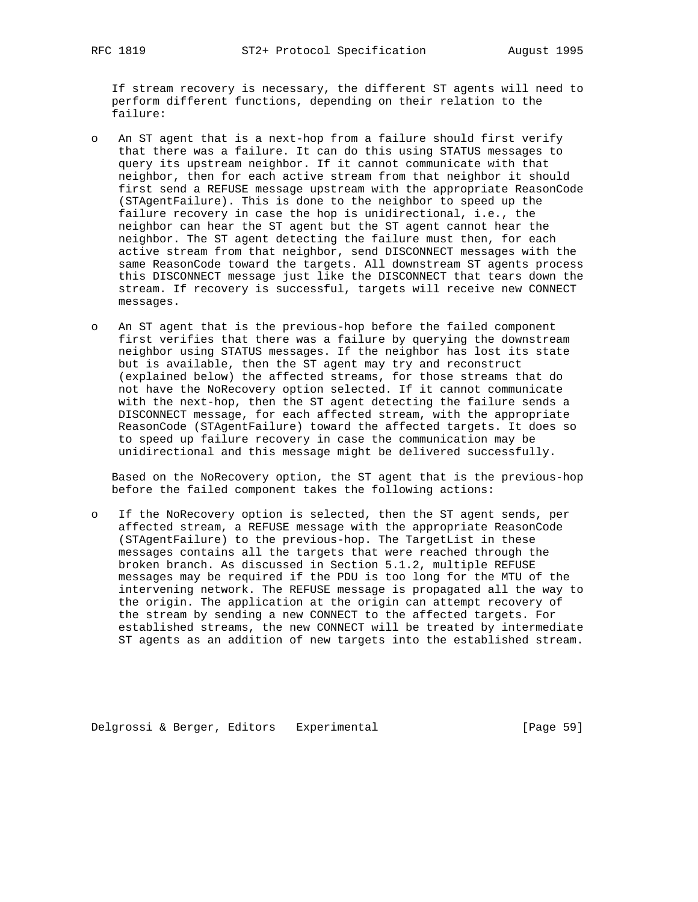If stream recovery is necessary, the different ST agents will need to perform different functions, depending on their relation to the failure:

- o An ST agent that is a next-hop from a failure should first verify that there was a failure. It can do this using STATUS messages to query its upstream neighbor. If it cannot communicate with that neighbor, then for each active stream from that neighbor it should first send a REFUSE message upstream with the appropriate ReasonCode (STAgentFailure). This is done to the neighbor to speed up the failure recovery in case the hop is unidirectional, i.e., the neighbor can hear the ST agent but the ST agent cannot hear the neighbor. The ST agent detecting the failure must then, for each active stream from that neighbor, send DISCONNECT messages with the same ReasonCode toward the targets. All downstream ST agents process this DISCONNECT message just like the DISCONNECT that tears down the stream. If recovery is successful, targets will receive new CONNECT messages.
- o An ST agent that is the previous-hop before the failed component first verifies that there was a failure by querying the downstream neighbor using STATUS messages. If the neighbor has lost its state but is available, then the ST agent may try and reconstruct (explained below) the affected streams, for those streams that do not have the NoRecovery option selected. If it cannot communicate with the next-hop, then the ST agent detecting the failure sends a DISCONNECT message, for each affected stream, with the appropriate ReasonCode (STAgentFailure) toward the affected targets. It does so to speed up failure recovery in case the communication may be unidirectional and this message might be delivered successfully.

 Based on the NoRecovery option, the ST agent that is the previous-hop before the failed component takes the following actions:

o If the NoRecovery option is selected, then the ST agent sends, per affected stream, a REFUSE message with the appropriate ReasonCode (STAgentFailure) to the previous-hop. The TargetList in these messages contains all the targets that were reached through the broken branch. As discussed in Section 5.1.2, multiple REFUSE messages may be required if the PDU is too long for the MTU of the intervening network. The REFUSE message is propagated all the way to the origin. The application at the origin can attempt recovery of the stream by sending a new CONNECT to the affected targets. For established streams, the new CONNECT will be treated by intermediate ST agents as an addition of new targets into the established stream.

Delgrossi & Berger, Editors Experimental (Page 59)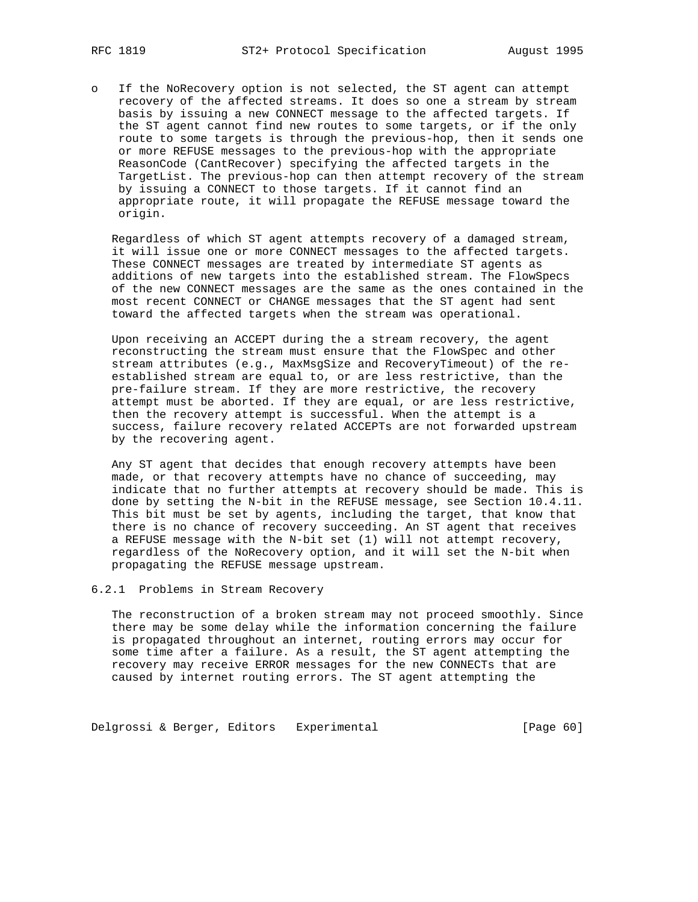o If the NoRecovery option is not selected, the ST agent can attempt recovery of the affected streams. It does so one a stream by stream basis by issuing a new CONNECT message to the affected targets. If the ST agent cannot find new routes to some targets, or if the only route to some targets is through the previous-hop, then it sends one or more REFUSE messages to the previous-hop with the appropriate ReasonCode (CantRecover) specifying the affected targets in the TargetList. The previous-hop can then attempt recovery of the stream by issuing a CONNECT to those targets. If it cannot find an appropriate route, it will propagate the REFUSE message toward the origin.

 Regardless of which ST agent attempts recovery of a damaged stream, it will issue one or more CONNECT messages to the affected targets. These CONNECT messages are treated by intermediate ST agents as additions of new targets into the established stream. The FlowSpecs of the new CONNECT messages are the same as the ones contained in the most recent CONNECT or CHANGE messages that the ST agent had sent toward the affected targets when the stream was operational.

 Upon receiving an ACCEPT during the a stream recovery, the agent reconstructing the stream must ensure that the FlowSpec and other stream attributes (e.g., MaxMsgSize and RecoveryTimeout) of the re established stream are equal to, or are less restrictive, than the pre-failure stream. If they are more restrictive, the recovery attempt must be aborted. If they are equal, or are less restrictive, then the recovery attempt is successful. When the attempt is a success, failure recovery related ACCEPTs are not forwarded upstream by the recovering agent.

 Any ST agent that decides that enough recovery attempts have been made, or that recovery attempts have no chance of succeeding, may indicate that no further attempts at recovery should be made. This is done by setting the N-bit in the REFUSE message, see Section 10.4.11. This bit must be set by agents, including the target, that know that there is no chance of recovery succeeding. An ST agent that receives a REFUSE message with the N-bit set (1) will not attempt recovery, regardless of the NoRecovery option, and it will set the N-bit when propagating the REFUSE message upstream.

## 6.2.1 Problems in Stream Recovery

 The reconstruction of a broken stream may not proceed smoothly. Since there may be some delay while the information concerning the failure is propagated throughout an internet, routing errors may occur for some time after a failure. As a result, the ST agent attempting the recovery may receive ERROR messages for the new CONNECTs that are caused by internet routing errors. The ST agent attempting the

Delgrossi & Berger, Editors Experimental (Page 60)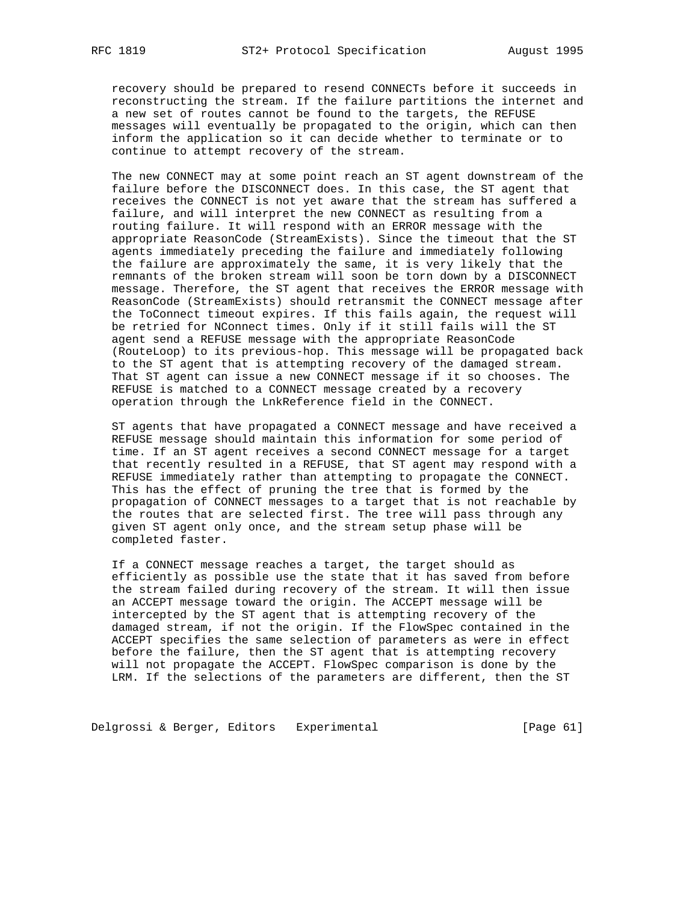recovery should be prepared to resend CONNECTs before it succeeds in reconstructing the stream. If the failure partitions the internet and a new set of routes cannot be found to the targets, the REFUSE messages will eventually be propagated to the origin, which can then inform the application so it can decide whether to terminate or to continue to attempt recovery of the stream.

 The new CONNECT may at some point reach an ST agent downstream of the failure before the DISCONNECT does. In this case, the ST agent that receives the CONNECT is not yet aware that the stream has suffered a failure, and will interpret the new CONNECT as resulting from a routing failure. It will respond with an ERROR message with the appropriate ReasonCode (StreamExists). Since the timeout that the ST agents immediately preceding the failure and immediately following the failure are approximately the same, it is very likely that the remnants of the broken stream will soon be torn down by a DISCONNECT message. Therefore, the ST agent that receives the ERROR message with ReasonCode (StreamExists) should retransmit the CONNECT message after the ToConnect timeout expires. If this fails again, the request will be retried for NConnect times. Only if it still fails will the ST agent send a REFUSE message with the appropriate ReasonCode (RouteLoop) to its previous-hop. This message will be propagated back to the ST agent that is attempting recovery of the damaged stream. That ST agent can issue a new CONNECT message if it so chooses. The REFUSE is matched to a CONNECT message created by a recovery operation through the LnkReference field in the CONNECT.

 ST agents that have propagated a CONNECT message and have received a REFUSE message should maintain this information for some period of time. If an ST agent receives a second CONNECT message for a target that recently resulted in a REFUSE, that ST agent may respond with a REFUSE immediately rather than attempting to propagate the CONNECT. This has the effect of pruning the tree that is formed by the propagation of CONNECT messages to a target that is not reachable by the routes that are selected first. The tree will pass through any given ST agent only once, and the stream setup phase will be completed faster.

 If a CONNECT message reaches a target, the target should as efficiently as possible use the state that it has saved from before the stream failed during recovery of the stream. It will then issue an ACCEPT message toward the origin. The ACCEPT message will be intercepted by the ST agent that is attempting recovery of the damaged stream, if not the origin. If the FlowSpec contained in the ACCEPT specifies the same selection of parameters as were in effect before the failure, then the ST agent that is attempting recovery will not propagate the ACCEPT. FlowSpec comparison is done by the LRM. If the selections of the parameters are different, then the ST

Delgrossi & Berger, Editors Experimental (Page 61)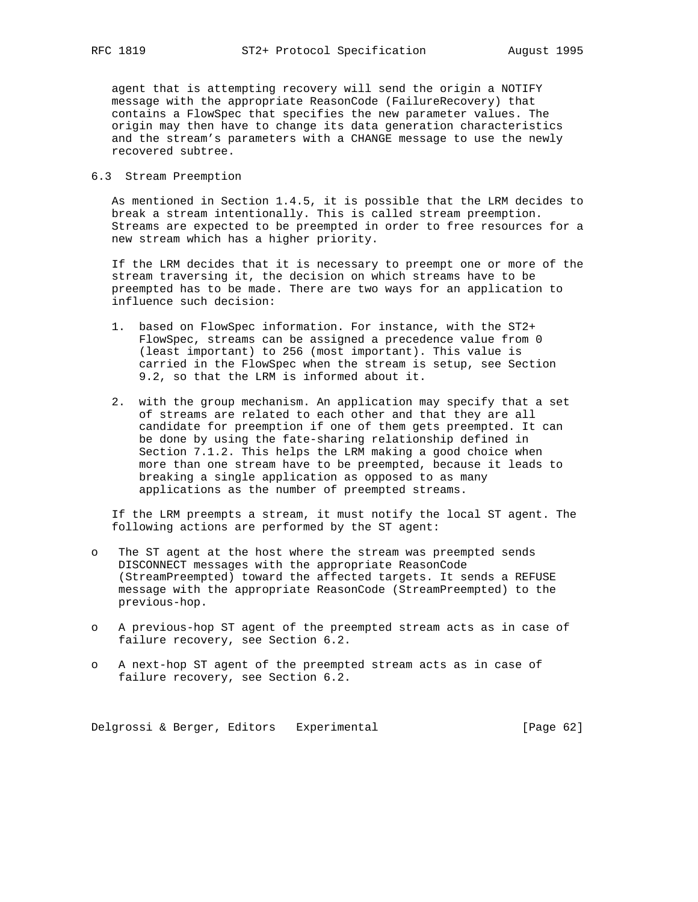agent that is attempting recovery will send the origin a NOTIFY message with the appropriate ReasonCode (FailureRecovery) that contains a FlowSpec that specifies the new parameter values. The origin may then have to change its data generation characteristics and the stream's parameters with a CHANGE message to use the newly recovered subtree.

## 6.3 Stream Preemption

 As mentioned in Section 1.4.5, it is possible that the LRM decides to break a stream intentionally. This is called stream preemption. Streams are expected to be preempted in order to free resources for a new stream which has a higher priority.

 If the LRM decides that it is necessary to preempt one or more of the stream traversing it, the decision on which streams have to be preempted has to be made. There are two ways for an application to influence such decision:

- 1. based on FlowSpec information. For instance, with the ST2+ FlowSpec, streams can be assigned a precedence value from 0 (least important) to 256 (most important). This value is carried in the FlowSpec when the stream is setup, see Section 9.2, so that the LRM is informed about it.
- 2. with the group mechanism. An application may specify that a set of streams are related to each other and that they are all candidate for preemption if one of them gets preempted. It can be done by using the fate-sharing relationship defined in Section 7.1.2. This helps the LRM making a good choice when more than one stream have to be preempted, because it leads to breaking a single application as opposed to as many applications as the number of preempted streams.

 If the LRM preempts a stream, it must notify the local ST agent. The following actions are performed by the ST agent:

- o The ST agent at the host where the stream was preempted sends DISCONNECT messages with the appropriate ReasonCode (StreamPreempted) toward the affected targets. It sends a REFUSE message with the appropriate ReasonCode (StreamPreempted) to the previous-hop.
- o A previous-hop ST agent of the preempted stream acts as in case of failure recovery, see Section 6.2.
- o A next-hop ST agent of the preempted stream acts as in case of failure recovery, see Section 6.2.

Delgrossi & Berger, Editors Experimental (Page 62)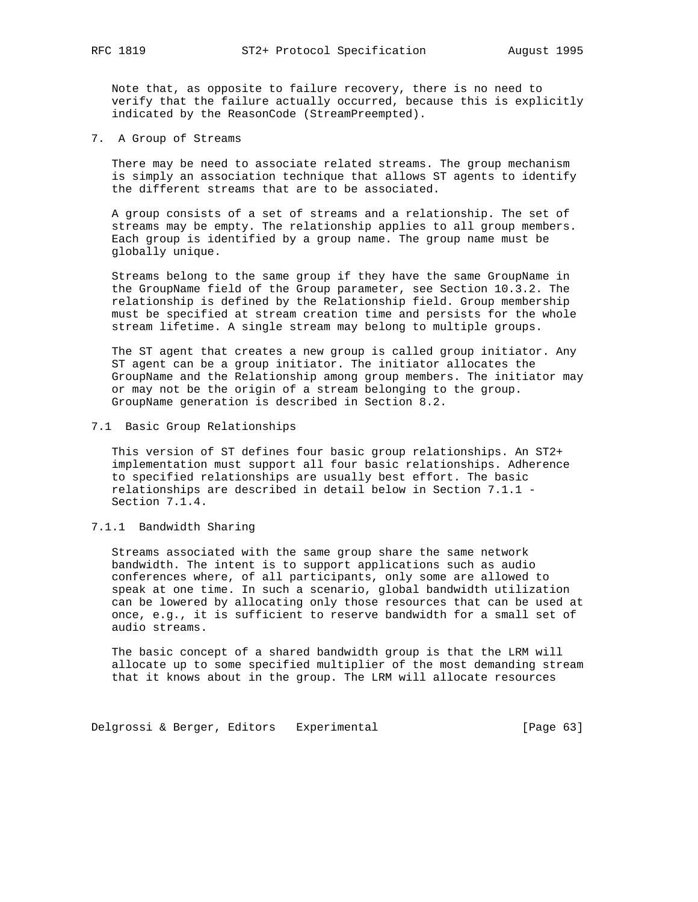Note that, as opposite to failure recovery, there is no need to verify that the failure actually occurred, because this is explicitly indicated by the ReasonCode (StreamPreempted).

7. A Group of Streams

 There may be need to associate related streams. The group mechanism is simply an association technique that allows ST agents to identify the different streams that are to be associated.

 A group consists of a set of streams and a relationship. The set of streams may be empty. The relationship applies to all group members. Each group is identified by a group name. The group name must be globally unique.

 Streams belong to the same group if they have the same GroupName in the GroupName field of the Group parameter, see Section 10.3.2. The relationship is defined by the Relationship field. Group membership must be specified at stream creation time and persists for the whole stream lifetime. A single stream may belong to multiple groups.

 The ST agent that creates a new group is called group initiator. Any ST agent can be a group initiator. The initiator allocates the GroupName and the Relationship among group members. The initiator may or may not be the origin of a stream belonging to the group. GroupName generation is described in Section 8.2.

7.1 Basic Group Relationships

 This version of ST defines four basic group relationships. An ST2+ implementation must support all four basic relationships. Adherence to specified relationships are usually best effort. The basic relationships are described in detail below in Section 7.1.1 - Section 7.1.4.

## 7.1.1 Bandwidth Sharing

 Streams associated with the same group share the same network bandwidth. The intent is to support applications such as audio conferences where, of all participants, only some are allowed to speak at one time. In such a scenario, global bandwidth utilization can be lowered by allocating only those resources that can be used at once, e.g., it is sufficient to reserve bandwidth for a small set of audio streams.

 The basic concept of a shared bandwidth group is that the LRM will allocate up to some specified multiplier of the most demanding stream that it knows about in the group. The LRM will allocate resources

Delgrossi & Berger, Editors Experimental (Page 63)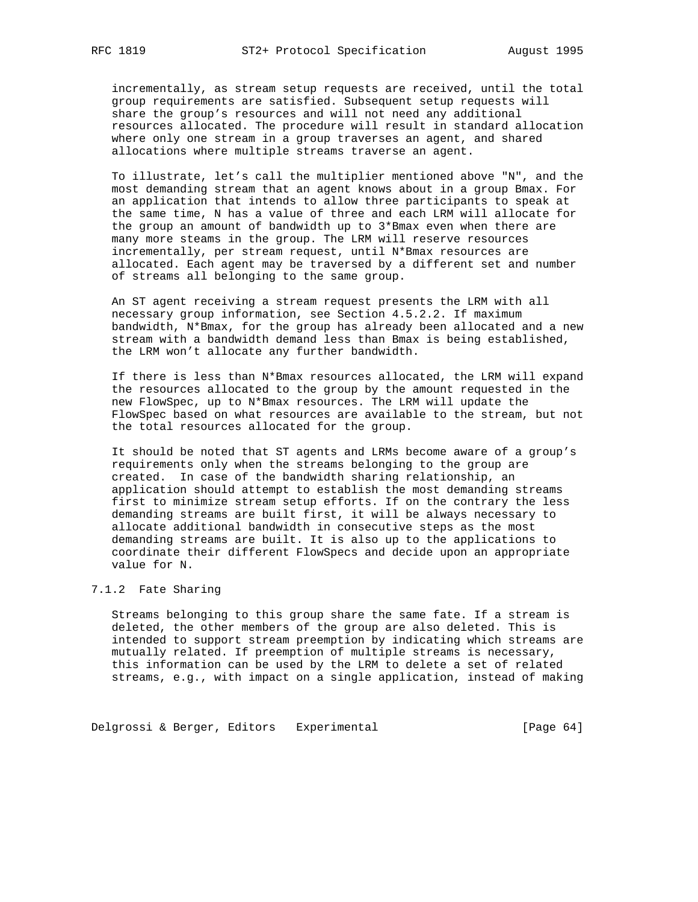incrementally, as stream setup requests are received, until the total group requirements are satisfied. Subsequent setup requests will share the group's resources and will not need any additional resources allocated. The procedure will result in standard allocation where only one stream in a group traverses an agent, and shared allocations where multiple streams traverse an agent.

 To illustrate, let's call the multiplier mentioned above "N", and the most demanding stream that an agent knows about in a group Bmax. For an application that intends to allow three participants to speak at the same time, N has a value of three and each LRM will allocate for the group an amount of bandwidth up to 3\*Bmax even when there are many more steams in the group. The LRM will reserve resources incrementally, per stream request, until N\*Bmax resources are allocated. Each agent may be traversed by a different set and number of streams all belonging to the same group.

 An ST agent receiving a stream request presents the LRM with all necessary group information, see Section 4.5.2.2. If maximum bandwidth, N\*Bmax, for the group has already been allocated and a new stream with a bandwidth demand less than Bmax is being established, the LRM won't allocate any further bandwidth.

 If there is less than N\*Bmax resources allocated, the LRM will expand the resources allocated to the group by the amount requested in the new FlowSpec, up to N\*Bmax resources. The LRM will update the FlowSpec based on what resources are available to the stream, but not the total resources allocated for the group.

 It should be noted that ST agents and LRMs become aware of a group's requirements only when the streams belonging to the group are created. In case of the bandwidth sharing relationship, an application should attempt to establish the most demanding streams first to minimize stream setup efforts. If on the contrary the less demanding streams are built first, it will be always necessary to allocate additional bandwidth in consecutive steps as the most demanding streams are built. It is also up to the applications to coordinate their different FlowSpecs and decide upon an appropriate value for N.

## 7.1.2 Fate Sharing

 Streams belonging to this group share the same fate. If a stream is deleted, the other members of the group are also deleted. This is intended to support stream preemption by indicating which streams are mutually related. If preemption of multiple streams is necessary, this information can be used by the LRM to delete a set of related streams, e.g., with impact on a single application, instead of making

Delgrossi & Berger, Editors Experimental (Page 64)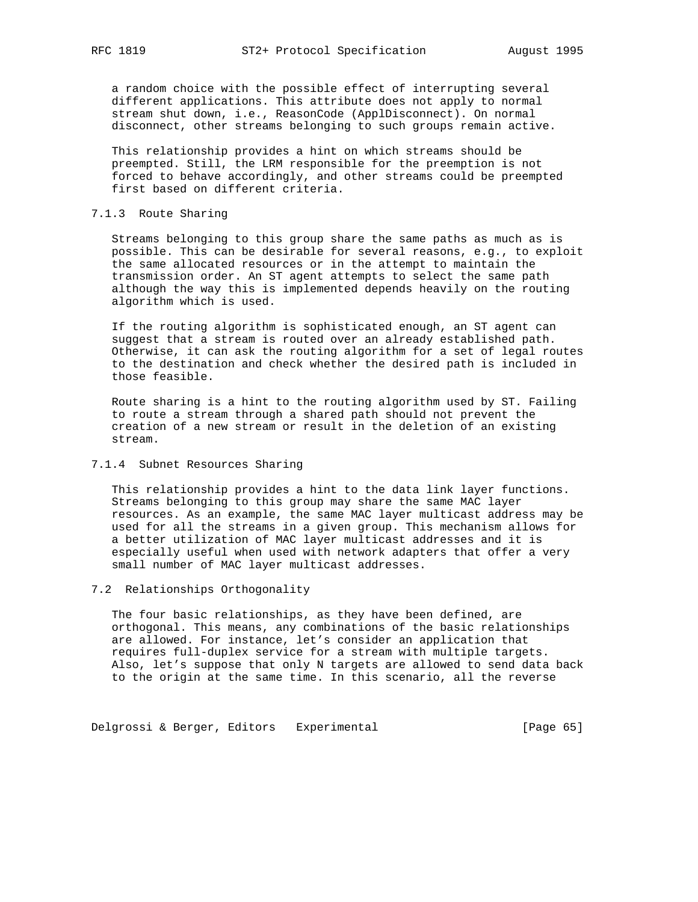a random choice with the possible effect of interrupting several different applications. This attribute does not apply to normal stream shut down, i.e., ReasonCode (ApplDisconnect). On normal disconnect, other streams belonging to such groups remain active.

 This relationship provides a hint on which streams should be preempted. Still, the LRM responsible for the preemption is not forced to behave accordingly, and other streams could be preempted first based on different criteria.

#### 7.1.3 Route Sharing

 Streams belonging to this group share the same paths as much as is possible. This can be desirable for several reasons, e.g., to exploit the same allocated resources or in the attempt to maintain the transmission order. An ST agent attempts to select the same path although the way this is implemented depends heavily on the routing algorithm which is used.

 If the routing algorithm is sophisticated enough, an ST agent can suggest that a stream is routed over an already established path. Otherwise, it can ask the routing algorithm for a set of legal routes to the destination and check whether the desired path is included in those feasible.

 Route sharing is a hint to the routing algorithm used by ST. Failing to route a stream through a shared path should not prevent the creation of a new stream or result in the deletion of an existing stream.

## 7.1.4 Subnet Resources Sharing

 This relationship provides a hint to the data link layer functions. Streams belonging to this group may share the same MAC layer resources. As an example, the same MAC layer multicast address may be used for all the streams in a given group. This mechanism allows for a better utilization of MAC layer multicast addresses and it is especially useful when used with network adapters that offer a very small number of MAC layer multicast addresses.

7.2 Relationships Orthogonality

 The four basic relationships, as they have been defined, are orthogonal. This means, any combinations of the basic relationships are allowed. For instance, let's consider an application that requires full-duplex service for a stream with multiple targets. Also, let's suppose that only N targets are allowed to send data back to the origin at the same time. In this scenario, all the reverse

Delgrossi & Berger, Editors Experimental (Page 65)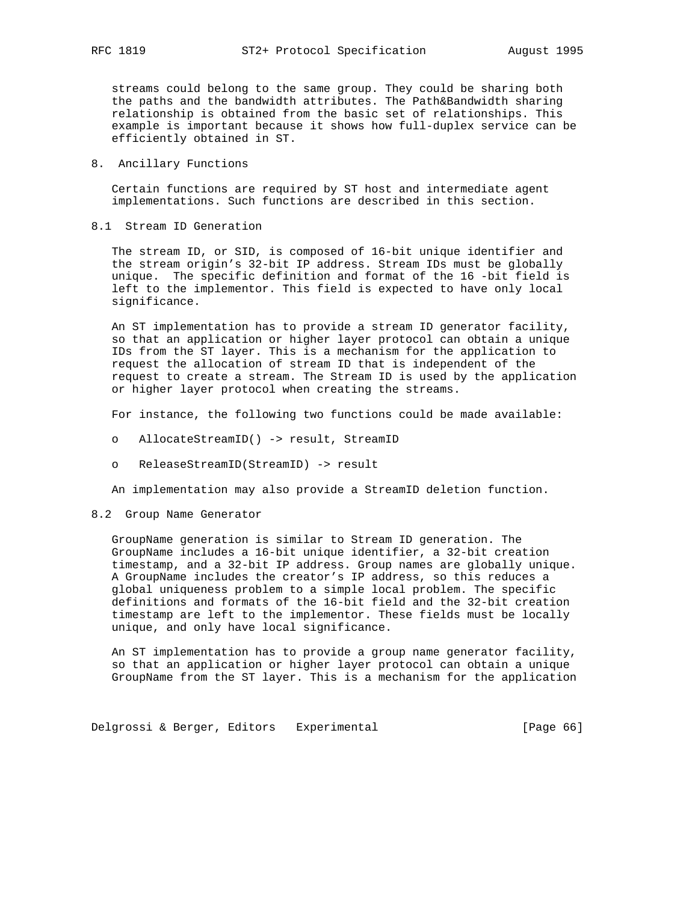streams could belong to the same group. They could be sharing both the paths and the bandwidth attributes. The Path&Bandwidth sharing relationship is obtained from the basic set of relationships. This example is important because it shows how full-duplex service can be efficiently obtained in ST.

8. Ancillary Functions

 Certain functions are required by ST host and intermediate agent implementations. Such functions are described in this section.

8.1 Stream ID Generation

 The stream ID, or SID, is composed of 16-bit unique identifier and the stream origin's 32-bit IP address. Stream IDs must be globally unique. The specific definition and format of the 16 -bit field is left to the implementor. This field is expected to have only local significance.

 An ST implementation has to provide a stream ID generator facility, so that an application or higher layer protocol can obtain a unique IDs from the ST layer. This is a mechanism for the application to request the allocation of stream ID that is independent of the request to create a stream. The Stream ID is used by the application or higher layer protocol when creating the streams.

For instance, the following two functions could be made available:

- o AllocateStreamID() -> result, StreamID
- o ReleaseStreamID(StreamID) -> result

An implementation may also provide a StreamID deletion function.

#### 8.2 Group Name Generator

 GroupName generation is similar to Stream ID generation. The GroupName includes a 16-bit unique identifier, a 32-bit creation timestamp, and a 32-bit IP address. Group names are globally unique. A GroupName includes the creator's IP address, so this reduces a global uniqueness problem to a simple local problem. The specific definitions and formats of the 16-bit field and the 32-bit creation timestamp are left to the implementor. These fields must be locally unique, and only have local significance.

 An ST implementation has to provide a group name generator facility, so that an application or higher layer protocol can obtain a unique GroupName from the ST layer. This is a mechanism for the application

Delgrossi & Berger, Editors Experimental (Page 66)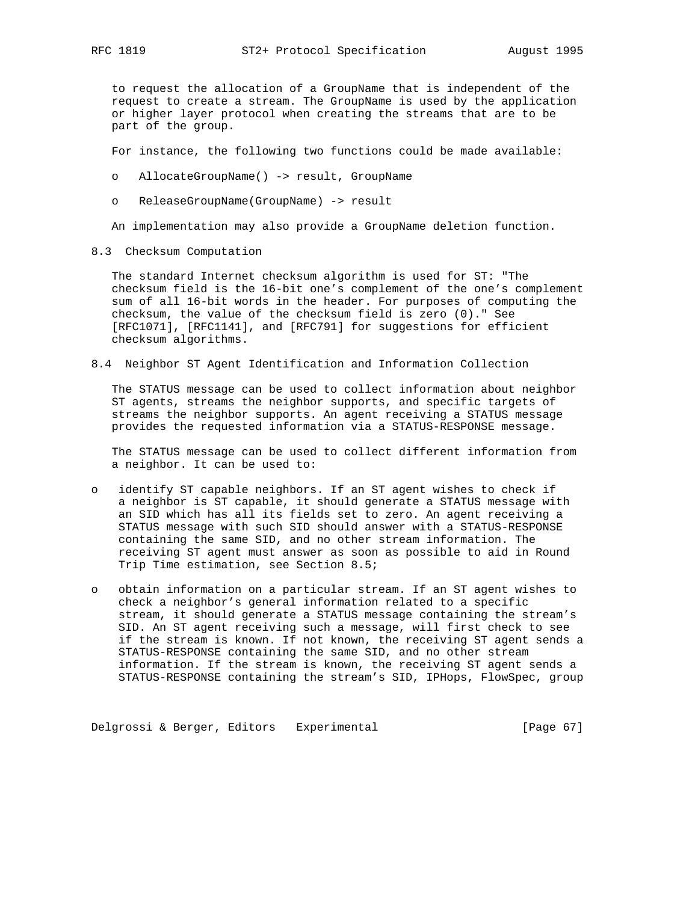to request the allocation of a GroupName that is independent of the request to create a stream. The GroupName is used by the application or higher layer protocol when creating the streams that are to be part of the group.

For instance, the following two functions could be made available:

- o AllocateGroupName() -> result, GroupName
- o ReleaseGroupName(GroupName) -> result

An implementation may also provide a GroupName deletion function.

8.3 Checksum Computation

 The standard Internet checksum algorithm is used for ST: "The checksum field is the 16-bit one's complement of the one's complement sum of all 16-bit words in the header. For purposes of computing the checksum, the value of the checksum field is zero (0)." See [RFC1071], [RFC1141], and [RFC791] for suggestions for efficient checksum algorithms.

8.4 Neighbor ST Agent Identification and Information Collection

 The STATUS message can be used to collect information about neighbor ST agents, streams the neighbor supports, and specific targets of streams the neighbor supports. An agent receiving a STATUS message provides the requested information via a STATUS-RESPONSE message.

 The STATUS message can be used to collect different information from a neighbor. It can be used to:

- identify ST capable neighbors. If an ST agent wishes to check if a neighbor is ST capable, it should generate a STATUS message with an SID which has all its fields set to zero. An agent receiving a STATUS message with such SID should answer with a STATUS-RESPONSE containing the same SID, and no other stream information. The receiving ST agent must answer as soon as possible to aid in Round Trip Time estimation, see Section 8.5;
- o obtain information on a particular stream. If an ST agent wishes to check a neighbor's general information related to a specific stream, it should generate a STATUS message containing the stream's SID. An ST agent receiving such a message, will first check to see if the stream is known. If not known, the receiving ST agent sends a STATUS-RESPONSE containing the same SID, and no other stream information. If the stream is known, the receiving ST agent sends a STATUS-RESPONSE containing the stream's SID, IPHops, FlowSpec, group

Delgrossi & Berger, Editors Experimental (Page 67)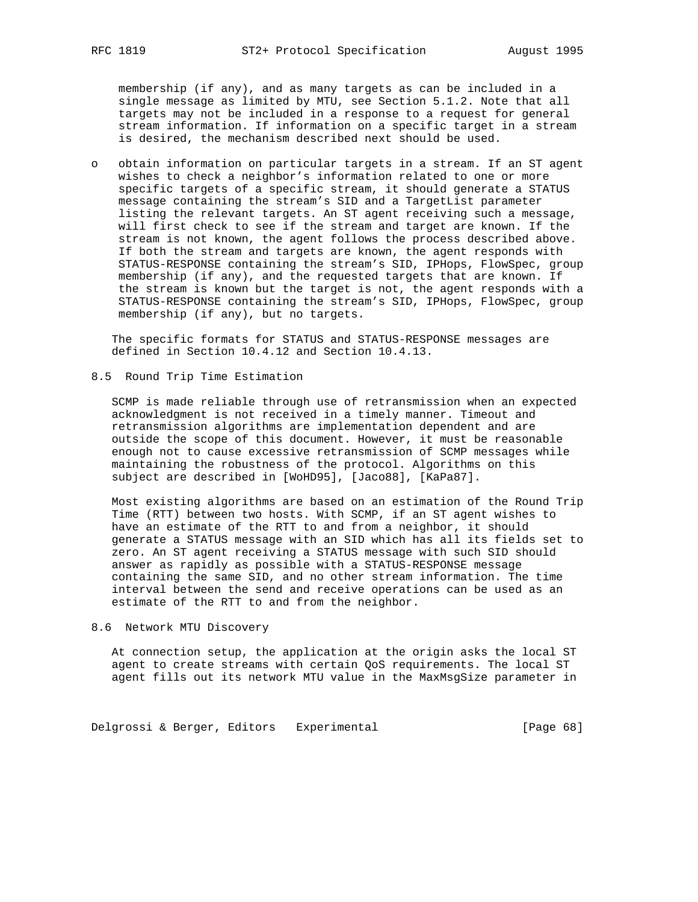membership (if any), and as many targets as can be included in a single message as limited by MTU, see Section 5.1.2. Note that all targets may not be included in a response to a request for general stream information. If information on a specific target in a stream is desired, the mechanism described next should be used.

o obtain information on particular targets in a stream. If an ST agent wishes to check a neighbor's information related to one or more specific targets of a specific stream, it should generate a STATUS message containing the stream's SID and a TargetList parameter listing the relevant targets. An ST agent receiving such a message, will first check to see if the stream and target are known. If the stream is not known, the agent follows the process described above. If both the stream and targets are known, the agent responds with STATUS-RESPONSE containing the stream's SID, IPHops, FlowSpec, group membership (if any), and the requested targets that are known. If the stream is known but the target is not, the agent responds with a STATUS-RESPONSE containing the stream's SID, IPHops, FlowSpec, group membership (if any), but no targets.

 The specific formats for STATUS and STATUS-RESPONSE messages are defined in Section 10.4.12 and Section 10.4.13.

#### 8.5 Round Trip Time Estimation

 SCMP is made reliable through use of retransmission when an expected acknowledgment is not received in a timely manner. Timeout and retransmission algorithms are implementation dependent and are outside the scope of this document. However, it must be reasonable enough not to cause excessive retransmission of SCMP messages while maintaining the robustness of the protocol. Algorithms on this subject are described in [WoHD95], [Jaco88], [KaPa87].

 Most existing algorithms are based on an estimation of the Round Trip Time (RTT) between two hosts. With SCMP, if an ST agent wishes to have an estimate of the RTT to and from a neighbor, it should generate a STATUS message with an SID which has all its fields set to zero. An ST agent receiving a STATUS message with such SID should answer as rapidly as possible with a STATUS-RESPONSE message containing the same SID, and no other stream information. The time interval between the send and receive operations can be used as an estimate of the RTT to and from the neighbor.

8.6 Network MTU Discovery

 At connection setup, the application at the origin asks the local ST agent to create streams with certain QoS requirements. The local ST agent fills out its network MTU value in the MaxMsgSize parameter in

Delgrossi & Berger, Editors Experimental (Page 68)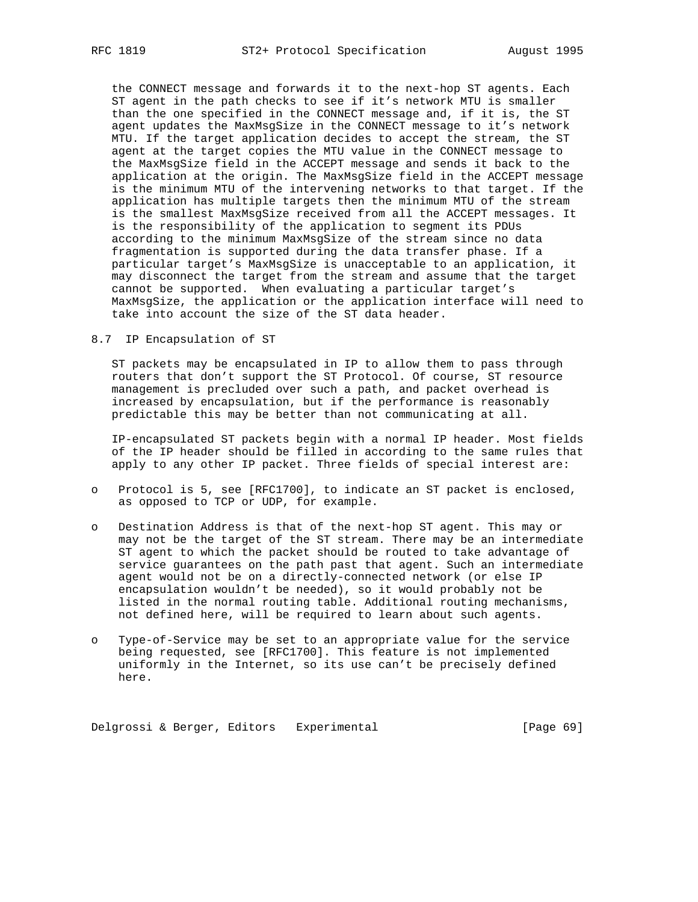the CONNECT message and forwards it to the next-hop ST agents. Each ST agent in the path checks to see if it's network MTU is smaller than the one specified in the CONNECT message and, if it is, the ST agent updates the MaxMsgSize in the CONNECT message to it's network MTU. If the target application decides to accept the stream, the ST agent at the target copies the MTU value in the CONNECT message to the MaxMsgSize field in the ACCEPT message and sends it back to the application at the origin. The MaxMsgSize field in the ACCEPT message is the minimum MTU of the intervening networks to that target. If the application has multiple targets then the minimum MTU of the stream is the smallest MaxMsgSize received from all the ACCEPT messages. It is the responsibility of the application to segment its PDUs according to the minimum MaxMsgSize of the stream since no data fragmentation is supported during the data transfer phase. If a particular target's MaxMsgSize is unacceptable to an application, it may disconnect the target from the stream and assume that the target cannot be supported. When evaluating a particular target's MaxMsgSize, the application or the application interface will need to take into account the size of the ST data header.

#### 8.7 IP Encapsulation of ST

 ST packets may be encapsulated in IP to allow them to pass through routers that don't support the ST Protocol. Of course, ST resource management is precluded over such a path, and packet overhead is increased by encapsulation, but if the performance is reasonably predictable this may be better than not communicating at all.

 IP-encapsulated ST packets begin with a normal IP header. Most fields of the IP header should be filled in according to the same rules that apply to any other IP packet. Three fields of special interest are:

- o Protocol is 5, see [RFC1700], to indicate an ST packet is enclosed, as opposed to TCP or UDP, for example.
- o Destination Address is that of the next-hop ST agent. This may or may not be the target of the ST stream. There may be an intermediate ST agent to which the packet should be routed to take advantage of service guarantees on the path past that agent. Such an intermediate agent would not be on a directly-connected network (or else IP encapsulation wouldn't be needed), so it would probably not be listed in the normal routing table. Additional routing mechanisms, not defined here, will be required to learn about such agents.
- o Type-of-Service may be set to an appropriate value for the service being requested, see [RFC1700]. This feature is not implemented uniformly in the Internet, so its use can't be precisely defined here.

Delgrossi & Berger, Editors Experimental (Page 69)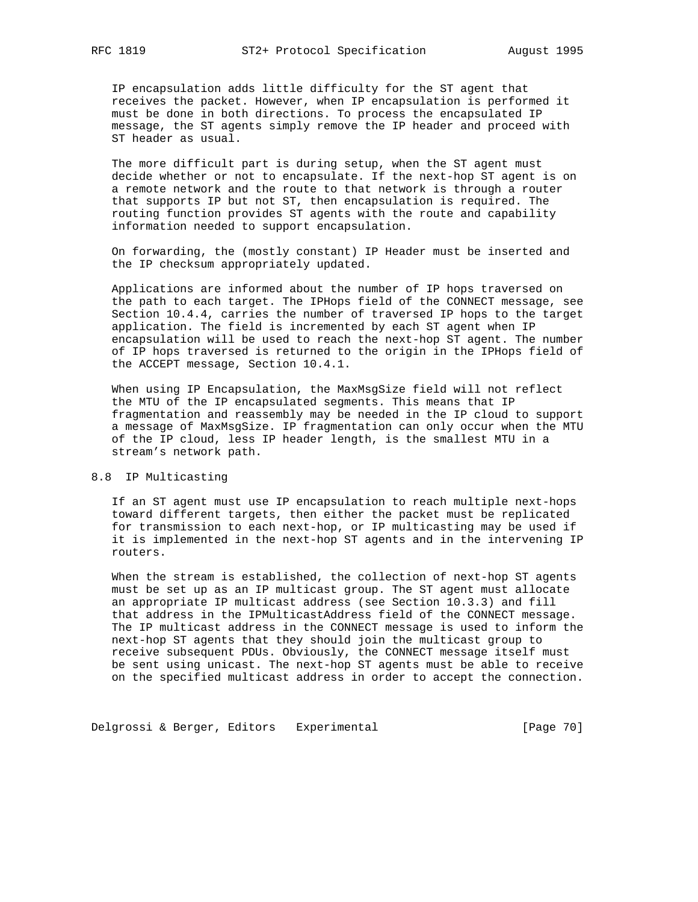IP encapsulation adds little difficulty for the ST agent that receives the packet. However, when IP encapsulation is performed it must be done in both directions. To process the encapsulated IP message, the ST agents simply remove the IP header and proceed with ST header as usual.

 The more difficult part is during setup, when the ST agent must decide whether or not to encapsulate. If the next-hop ST agent is on a remote network and the route to that network is through a router that supports IP but not ST, then encapsulation is required. The routing function provides ST agents with the route and capability information needed to support encapsulation.

 On forwarding, the (mostly constant) IP Header must be inserted and the IP checksum appropriately updated.

 Applications are informed about the number of IP hops traversed on the path to each target. The IPHops field of the CONNECT message, see Section 10.4.4, carries the number of traversed IP hops to the target application. The field is incremented by each ST agent when IP encapsulation will be used to reach the next-hop ST agent. The number of IP hops traversed is returned to the origin in the IPHops field of the ACCEPT message, Section 10.4.1.

 When using IP Encapsulation, the MaxMsgSize field will not reflect the MTU of the IP encapsulated segments. This means that IP fragmentation and reassembly may be needed in the IP cloud to support a message of MaxMsgSize. IP fragmentation can only occur when the MTU of the IP cloud, less IP header length, is the smallest MTU in a stream's network path.

## 8.8 IP Multicasting

 If an ST agent must use IP encapsulation to reach multiple next-hops toward different targets, then either the packet must be replicated for transmission to each next-hop, or IP multicasting may be used if it is implemented in the next-hop ST agents and in the intervening IP routers.

 When the stream is established, the collection of next-hop ST agents must be set up as an IP multicast group. The ST agent must allocate an appropriate IP multicast address (see Section 10.3.3) and fill that address in the IPMulticastAddress field of the CONNECT message. The IP multicast address in the CONNECT message is used to inform the next-hop ST agents that they should join the multicast group to receive subsequent PDUs. Obviously, the CONNECT message itself must be sent using unicast. The next-hop ST agents must be able to receive on the specified multicast address in order to accept the connection.

Delgrossi & Berger, Editors Experimental (Page 70)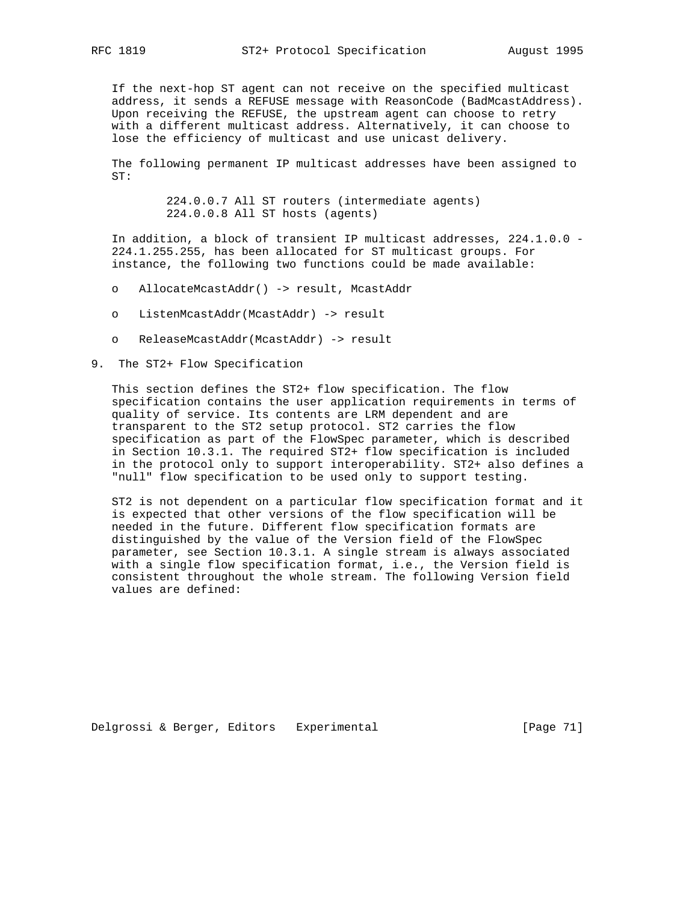If the next-hop ST agent can not receive on the specified multicast address, it sends a REFUSE message with ReasonCode (BadMcastAddress). Upon receiving the REFUSE, the upstream agent can choose to retry with a different multicast address. Alternatively, it can choose to lose the efficiency of multicast and use unicast delivery.

 The following permanent IP multicast addresses have been assigned to ST:

> 224.0.0.7 All ST routers (intermediate agents) 224.0.0.8 All ST hosts (agents)

 In addition, a block of transient IP multicast addresses, 224.1.0.0 - 224.1.255.255, has been allocated for ST multicast groups. For instance, the following two functions could be made available:

- o AllocateMcastAddr() -> result, McastAddr
- o ListenMcastAddr(McastAddr) -> result
- o ReleaseMcastAddr(McastAddr) -> result
- 9. The ST2+ Flow Specification

 This section defines the ST2+ flow specification. The flow specification contains the user application requirements in terms of quality of service. Its contents are LRM dependent and are transparent to the ST2 setup protocol. ST2 carries the flow specification as part of the FlowSpec parameter, which is described in Section 10.3.1. The required ST2+ flow specification is included in the protocol only to support interoperability. ST2+ also defines a "null" flow specification to be used only to support testing.

 ST2 is not dependent on a particular flow specification format and it is expected that other versions of the flow specification will be needed in the future. Different flow specification formats are distinguished by the value of the Version field of the FlowSpec parameter, see Section 10.3.1. A single stream is always associated with a single flow specification format, i.e., the Version field is consistent throughout the whole stream. The following Version field values are defined:

Delgrossi & Berger, Editors Experimental [Page 71]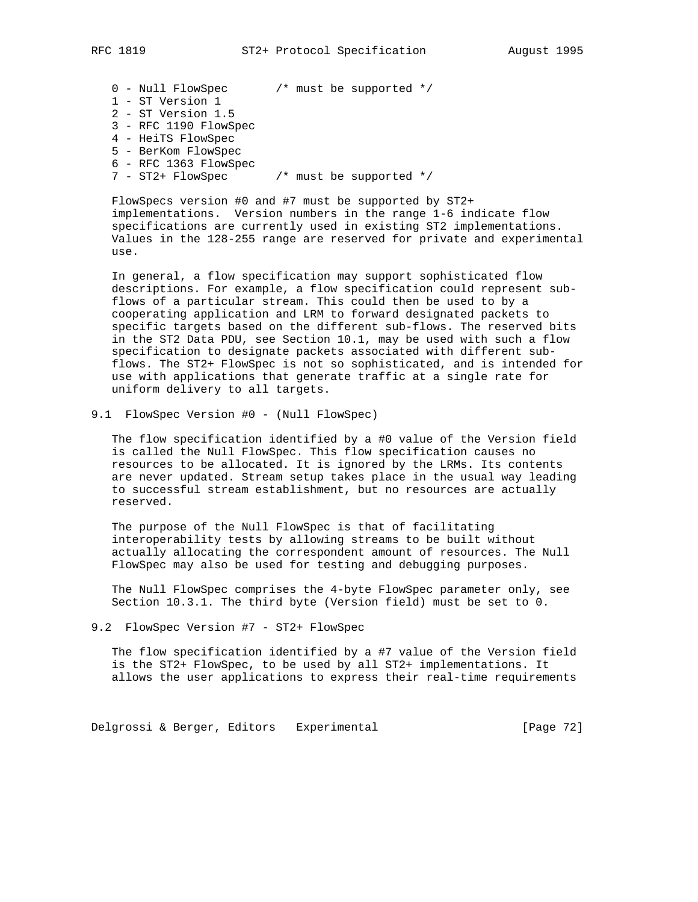0 - Null FlowSpec /\* must be supported \*/ 1 - ST Version 1 2 - ST Version 1.5 3 - RFC 1190 FlowSpec 4 - HeiTS FlowSpec 5 - BerKom FlowSpec 6 - RFC 1363 FlowSpec 7 - ST2+ FlowSpec /\* must be supported \*/

 FlowSpecs version #0 and #7 must be supported by ST2+ implementations. Version numbers in the range 1-6 indicate flow specifications are currently used in existing ST2 implementations. Values in the 128-255 range are reserved for private and experimental use.

 In general, a flow specification may support sophisticated flow descriptions. For example, a flow specification could represent sub flows of a particular stream. This could then be used to by a cooperating application and LRM to forward designated packets to specific targets based on the different sub-flows. The reserved bits in the ST2 Data PDU, see Section 10.1, may be used with such a flow specification to designate packets associated with different sub flows. The ST2+ FlowSpec is not so sophisticated, and is intended for use with applications that generate traffic at a single rate for uniform delivery to all targets.

9.1 FlowSpec Version #0 - (Null FlowSpec)

 The flow specification identified by a #0 value of the Version field is called the Null FlowSpec. This flow specification causes no resources to be allocated. It is ignored by the LRMs. Its contents are never updated. Stream setup takes place in the usual way leading to successful stream establishment, but no resources are actually reserved.

 The purpose of the Null FlowSpec is that of facilitating interoperability tests by allowing streams to be built without actually allocating the correspondent amount of resources. The Null FlowSpec may also be used for testing and debugging purposes.

 The Null FlowSpec comprises the 4-byte FlowSpec parameter only, see Section 10.3.1. The third byte (Version field) must be set to 0.

9.2 FlowSpec Version #7 - ST2+ FlowSpec

 The flow specification identified by a #7 value of the Version field is the ST2+ FlowSpec, to be used by all ST2+ implementations. It allows the user applications to express their real-time requirements

Delgrossi & Berger, Editors Experimental (Page 72)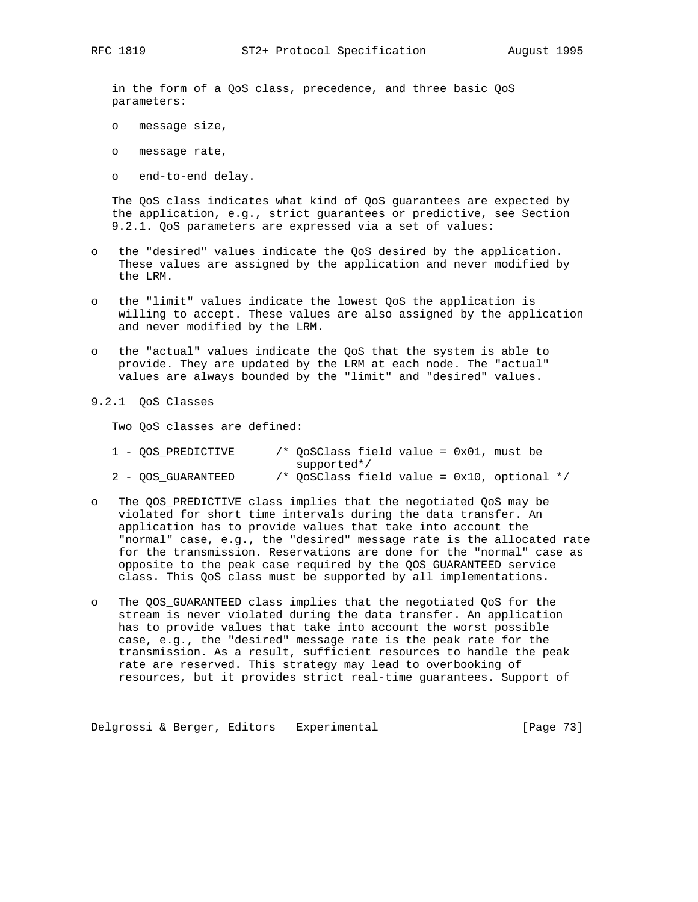in the form of a QoS class, precedence, and three basic QoS parameters:

- o message size,
- o message rate,
- o end-to-end delay.

 The QoS class indicates what kind of QoS guarantees are expected by the application, e.g., strict guarantees or predictive, see Section 9.2.1. QoS parameters are expressed via a set of values:

- the "desired" values indicate the QoS desired by the application. These values are assigned by the application and never modified by the LRM.
- o the "limit" values indicate the lowest QoS the application is willing to accept. These values are also assigned by the application and never modified by the LRM.
- o the "actual" values indicate the QoS that the system is able to provide. They are updated by the LRM at each node. The "actual" values are always bounded by the "limit" and "desired" values.
- 9.2.1 QoS Classes

Two QoS classes are defined:

| 1 - OOS PREDICTIVE | $/*$ OoSClass field value = 0x01, must be      |  |  |  |
|--------------------|------------------------------------------------|--|--|--|
|                    | supported*/                                    |  |  |  |
| 2 - OOS GUARANTEED | /* OoSClass field value = $0x10$ , optional */ |  |  |  |

- o The QOS\_PREDICTIVE class implies that the negotiated QoS may be violated for short time intervals during the data transfer. An application has to provide values that take into account the "normal" case, e.g., the "desired" message rate is the allocated rate for the transmission. Reservations are done for the "normal" case as opposite to the peak case required by the QOS\_GUARANTEED service class. This QoS class must be supported by all implementations.
- o The QOS\_GUARANTEED class implies that the negotiated QoS for the stream is never violated during the data transfer. An application has to provide values that take into account the worst possible case, e.g., the "desired" message rate is the peak rate for the transmission. As a result, sufficient resources to handle the peak rate are reserved. This strategy may lead to overbooking of resources, but it provides strict real-time guarantees. Support of

Delgrossi & Berger, Editors Experimental (Page 73)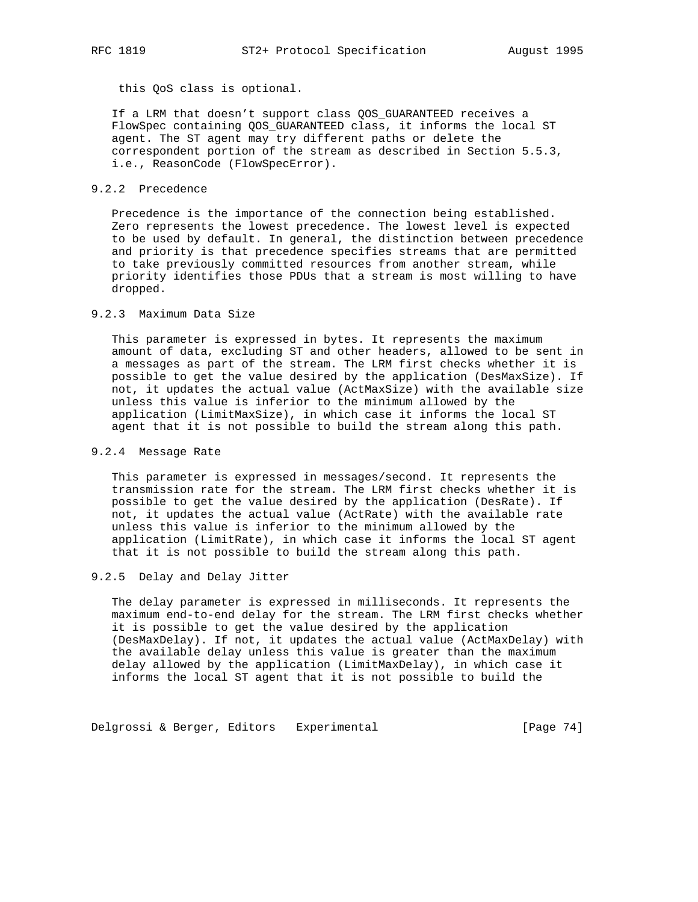this QoS class is optional.

 If a LRM that doesn't support class QOS\_GUARANTEED receives a FlowSpec containing QOS\_GUARANTEED class, it informs the local ST agent. The ST agent may try different paths or delete the correspondent portion of the stream as described in Section 5.5.3, i.e., ReasonCode (FlowSpecError).

### 9.2.2 Precedence

 Precedence is the importance of the connection being established. Zero represents the lowest precedence. The lowest level is expected to be used by default. In general, the distinction between precedence and priority is that precedence specifies streams that are permitted to take previously committed resources from another stream, while priority identifies those PDUs that a stream is most willing to have dropped.

### 9.2.3 Maximum Data Size

 This parameter is expressed in bytes. It represents the maximum amount of data, excluding ST and other headers, allowed to be sent in a messages as part of the stream. The LRM first checks whether it is possible to get the value desired by the application (DesMaxSize). If not, it updates the actual value (ActMaxSize) with the available size unless this value is inferior to the minimum allowed by the application (LimitMaxSize), in which case it informs the local ST agent that it is not possible to build the stream along this path.

### 9.2.4 Message Rate

 This parameter is expressed in messages/second. It represents the transmission rate for the stream. The LRM first checks whether it is possible to get the value desired by the application (DesRate). If not, it updates the actual value (ActRate) with the available rate unless this value is inferior to the minimum allowed by the application (LimitRate), in which case it informs the local ST agent that it is not possible to build the stream along this path.

### 9.2.5 Delay and Delay Jitter

 The delay parameter is expressed in milliseconds. It represents the maximum end-to-end delay for the stream. The LRM first checks whether it is possible to get the value desired by the application (DesMaxDelay). If not, it updates the actual value (ActMaxDelay) with the available delay unless this value is greater than the maximum delay allowed by the application (LimitMaxDelay), in which case it informs the local ST agent that it is not possible to build the

Delgrossi & Berger, Editors Experimental (Page 74)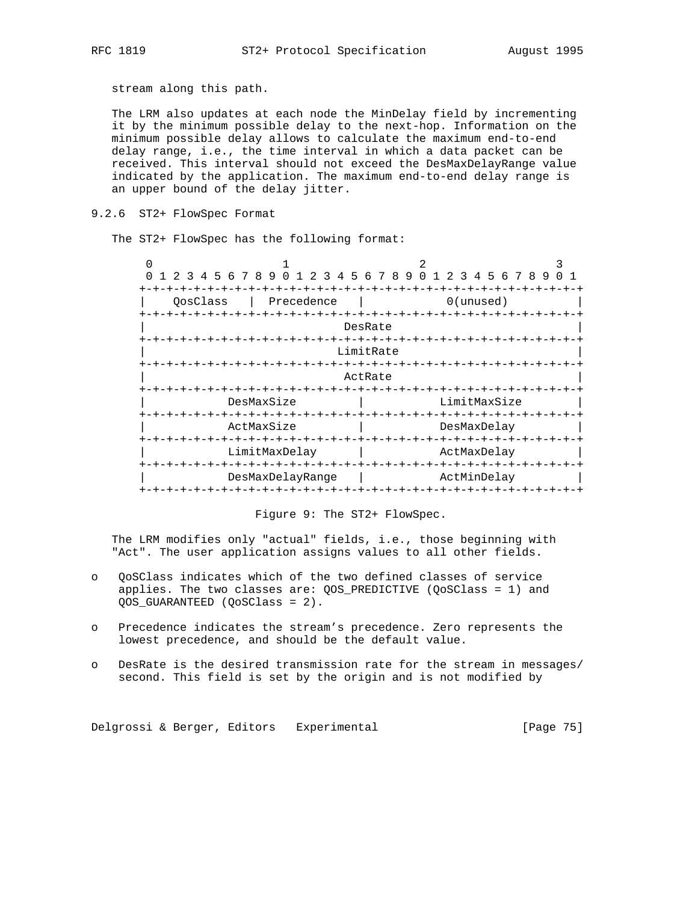stream along this path.

 The LRM also updates at each node the MinDelay field by incrementing it by the minimum possible delay to the next-hop. Information on the minimum possible delay allows to calculate the maximum end-to-end delay range, i.e., the time interval in which a data packet can be received. This interval should not exceed the DesMaxDelayRange value indicated by the application. The maximum end-to-end delay range is an upper bound of the delay jitter.

#### 9.2.6 ST2+ FlowSpec Format

The ST2+ FlowSpec has the following format:

|          | 0 1 2 3 4 5 6 7 8 9 0 1 2 3 4 5 6 7 8 9 0 1 2 3 4 5 6 7 8 9 0 1 |           |              |  |
|----------|-----------------------------------------------------------------|-----------|--------------|--|
| OosClass | Precedence                                                      |           | 0(unused)    |  |
|          |                                                                 | DesRate   |              |  |
|          |                                                                 | LimitRate |              |  |
|          |                                                                 | ActRate   |              |  |
|          | DesMaxSize                                                      |           | LimitMaxSize |  |
|          | ActMaxSize                                                      |           | DesMaxDelay  |  |
|          | LimitMaxDelay                                                   |           | ActMaxDelay  |  |
|          | DesMaxDelayRange                                                |           | ActMinDelay  |  |

#### Figure 9: The ST2+ FlowSpec.

 The LRM modifies only "actual" fields, i.e., those beginning with "Act". The user application assigns values to all other fields.

- o QoSClass indicates which of the two defined classes of service applies. The two classes are: QOS\_PREDICTIVE (QoSClass = 1) and QOS\_GUARANTEED (QoSClass = 2).
- o Precedence indicates the stream's precedence. Zero represents the lowest precedence, and should be the default value.
- o DesRate is the desired transmission rate for the stream in messages/ second. This field is set by the origin and is not modified by

Delgrossi & Berger, Editors Experimental (Page 75)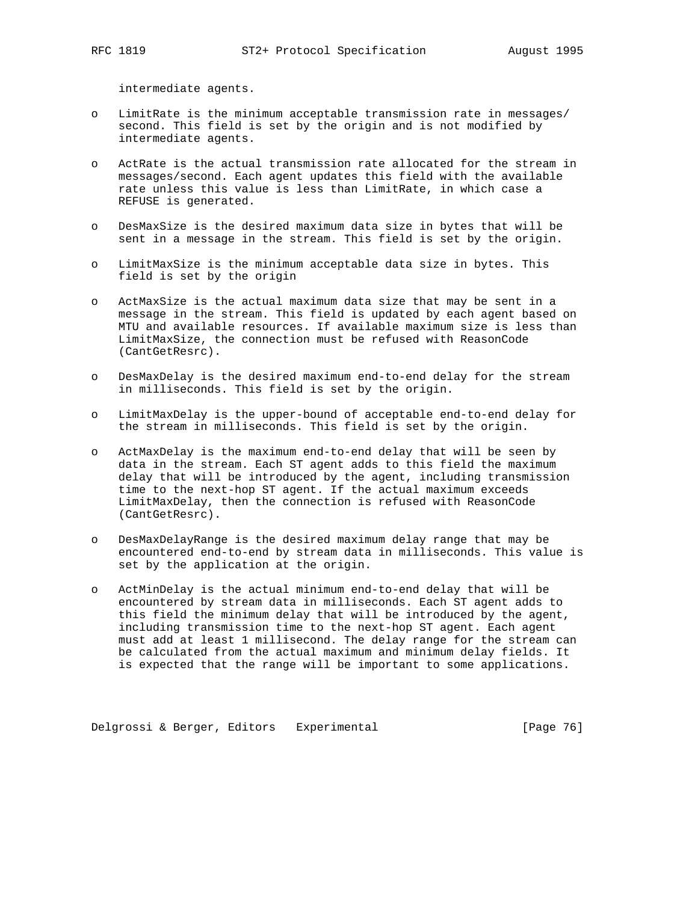intermediate agents.

- o LimitRate is the minimum acceptable transmission rate in messages/ second. This field is set by the origin and is not modified by intermediate agents.
- o ActRate is the actual transmission rate allocated for the stream in messages/second. Each agent updates this field with the available rate unless this value is less than LimitRate, in which case a REFUSE is generated.
- o DesMaxSize is the desired maximum data size in bytes that will be sent in a message in the stream. This field is set by the origin.
- o LimitMaxSize is the minimum acceptable data size in bytes. This field is set by the origin
- o ActMaxSize is the actual maximum data size that may be sent in a message in the stream. This field is updated by each agent based on MTU and available resources. If available maximum size is less than LimitMaxSize, the connection must be refused with ReasonCode (CantGetResrc).
- o DesMaxDelay is the desired maximum end-to-end delay for the stream in milliseconds. This field is set by the origin.
- o LimitMaxDelay is the upper-bound of acceptable end-to-end delay for the stream in milliseconds. This field is set by the origin.
- o ActMaxDelay is the maximum end-to-end delay that will be seen by data in the stream. Each ST agent adds to this field the maximum delay that will be introduced by the agent, including transmission time to the next-hop ST agent. If the actual maximum exceeds LimitMaxDelay, then the connection is refused with ReasonCode (CantGetResrc).
- o DesMaxDelayRange is the desired maximum delay range that may be encountered end-to-end by stream data in milliseconds. This value is set by the application at the origin.
- o ActMinDelay is the actual minimum end-to-end delay that will be encountered by stream data in milliseconds. Each ST agent adds to this field the minimum delay that will be introduced by the agent, including transmission time to the next-hop ST agent. Each agent must add at least 1 millisecond. The delay range for the stream can be calculated from the actual maximum and minimum delay fields. It is expected that the range will be important to some applications.

Delgrossi & Berger, Editors Experimental (Page 76)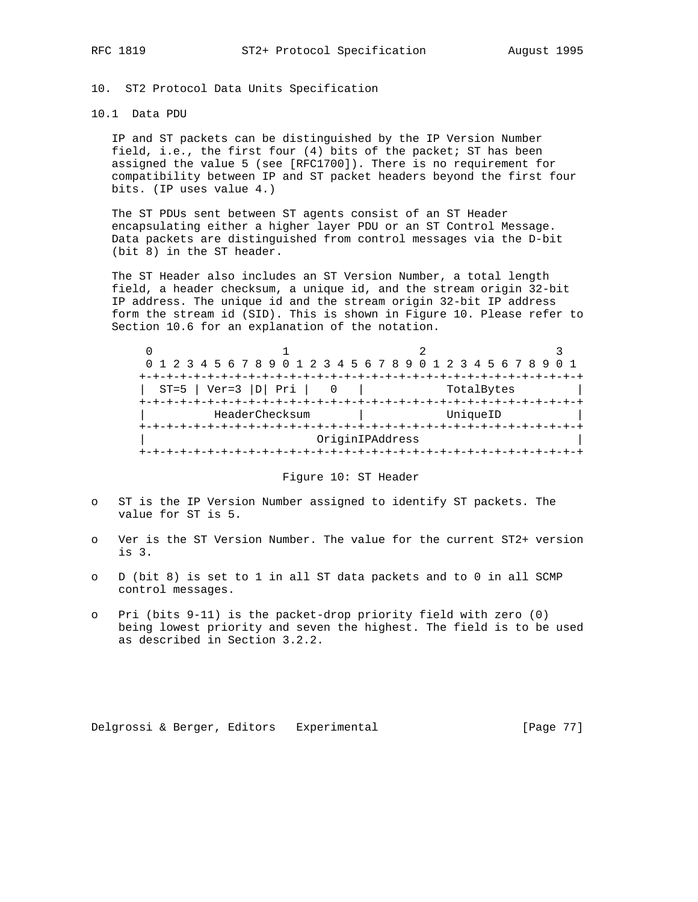10. ST2 Protocol Data Units Specification

#### 10.1 Data PDU

 IP and ST packets can be distinguished by the IP Version Number field, i.e., the first four (4) bits of the packet; ST has been assigned the value 5 (see [RFC1700]). There is no requirement for compatibility between IP and ST packet headers beyond the first four bits. (IP uses value 4.)

 The ST PDUs sent between ST agents consist of an ST Header encapsulating either a higher layer PDU or an ST Control Message. Data packets are distinguished from control messages via the D-bit (bit 8) in the ST header.

 The ST Header also includes an ST Version Number, a total length field, a header checksum, a unique id, and the stream origin 32-bit IP address. The unique id and the stream origin 32-bit IP address form the stream id (SID). This is shown in Figure 10. Please refer to Section 10.6 for an explanation of the notation.

| 0 1 2 3 4 5 6 7 8 9 0 1 2 3 4 5 6 7 8 9 0 1 2 3 4 5 6 7 8 9 |                |                 |                                      |  |
|-------------------------------------------------------------|----------------|-----------------|--------------------------------------|--|
|                                                             |                |                 | -+-+-+-+-+-+-+-+-+-+-+-+-+-+-+-+-+-+ |  |
| $ST=5$   $Ver=3$   $D$   $Pri$                              |                |                 | TotalBytes                           |  |
|                                                             |                |                 |                                      |  |
|                                                             | HeaderChecksum |                 | UniqueID                             |  |
|                                                             |                |                 |                                      |  |
|                                                             |                | OriginIPAddress |                                      |  |
|                                                             |                |                 |                                      |  |

#### Figure 10: ST Header

- o ST is the IP Version Number assigned to identify ST packets. The value for ST is 5.
- o Ver is the ST Version Number. The value for the current ST2+ version is 3.
- o D (bit 8) is set to 1 in all ST data packets and to 0 in all SCMP control messages.
- o Pri (bits 9-11) is the packet-drop priority field with zero (0) being lowest priority and seven the highest. The field is to be used as described in Section 3.2.2.

Delgrossi & Berger, Editors Experimental [Page 77]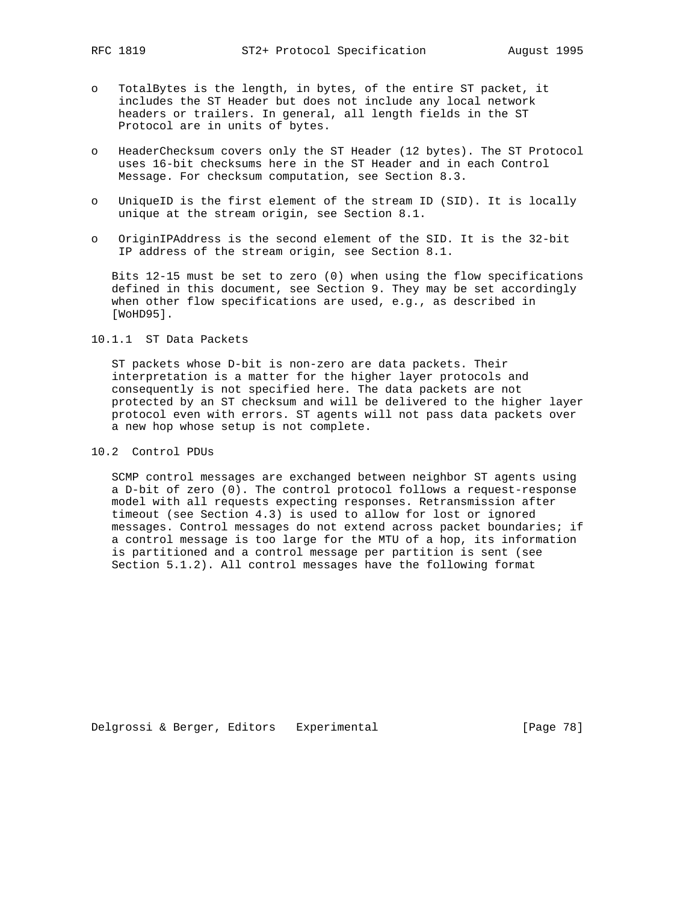- o TotalBytes is the length, in bytes, of the entire ST packet, it includes the ST Header but does not include any local network headers or trailers. In general, all length fields in the ST Protocol are in units of bytes.
- o HeaderChecksum covers only the ST Header (12 bytes). The ST Protocol uses 16-bit checksums here in the ST Header and in each Control Message. For checksum computation, see Section 8.3.
- o UniqueID is the first element of the stream ID (SID). It is locally unique at the stream origin, see Section 8.1.
- o OriginIPAddress is the second element of the SID. It is the 32-bit IP address of the stream origin, see Section 8.1.

 Bits 12-15 must be set to zero (0) when using the flow specifications defined in this document, see Section 9. They may be set accordingly when other flow specifications are used, e.g., as described in [WoHD95].

## 10.1.1 ST Data Packets

 ST packets whose D-bit is non-zero are data packets. Their interpretation is a matter for the higher layer protocols and consequently is not specified here. The data packets are not protected by an ST checksum and will be delivered to the higher layer protocol even with errors. ST agents will not pass data packets over a new hop whose setup is not complete.

## 10.2 Control PDUs

 SCMP control messages are exchanged between neighbor ST agents using a D-bit of zero (0). The control protocol follows a request-response model with all requests expecting responses. Retransmission after timeout (see Section 4.3) is used to allow for lost or ignored messages. Control messages do not extend across packet boundaries; if a control message is too large for the MTU of a hop, its information is partitioned and a control message per partition is sent (see Section 5.1.2). All control messages have the following format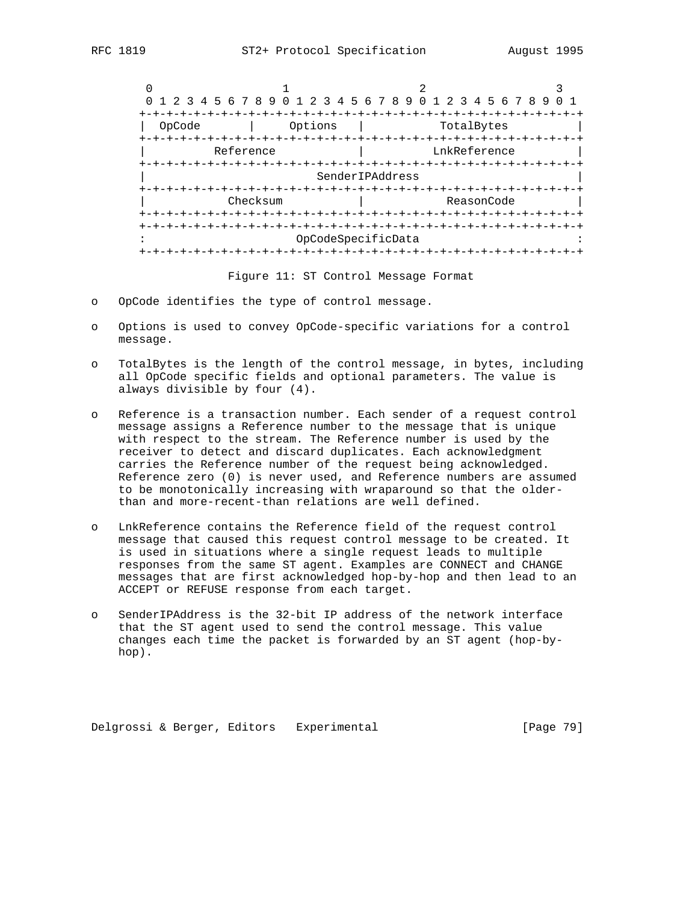|                                           | 0 1 2 3 4 5 6 7 8 9 0 1 2 3 4 5 6 7 8 9 0 1 2 3 4 5 6 7 8<br>9 |
|-------------------------------------------|----------------------------------------------------------------|
| $+ - + - +$<br>Options<br>OpCode          | +-+-+-+-+-+-+-+<br>-+-+-+-+-+-+-+-+-+-+-+<br>TotalBytes        |
| Reference<br>+-+-+-+-+-+-+-+-+-+-+        | LnkReference                                                   |
|                                           | SenderIPAddress                                                |
| Checksum<br>-+-+-+-+-+-+-+<br>$+ - + - +$ | ReasonCode<br>-+-+-+-+-+-+-+-+-+-                              |
|                                           |                                                                |

Figure 11: ST Control Message Format

- o OpCode identifies the type of control message.
- o Options is used to convey OpCode-specific variations for a control message.
- o TotalBytes is the length of the control message, in bytes, including all OpCode specific fields and optional parameters. The value is always divisible by four (4).
- o Reference is a transaction number. Each sender of a request control message assigns a Reference number to the message that is unique with respect to the stream. The Reference number is used by the receiver to detect and discard duplicates. Each acknowledgment carries the Reference number of the request being acknowledged. Reference zero (0) is never used, and Reference numbers are assumed to be monotonically increasing with wraparound so that the older than and more-recent-than relations are well defined.
- o LnkReference contains the Reference field of the request control message that caused this request control message to be created. It is used in situations where a single request leads to multiple responses from the same ST agent. Examples are CONNECT and CHANGE messages that are first acknowledged hop-by-hop and then lead to an ACCEPT or REFUSE response from each target.
- o SenderIPAddress is the 32-bit IP address of the network interface that the ST agent used to send the control message. This value changes each time the packet is forwarded by an ST agent (hop-by hop).

Delgrossi & Berger, Editors Experimental [Page 79]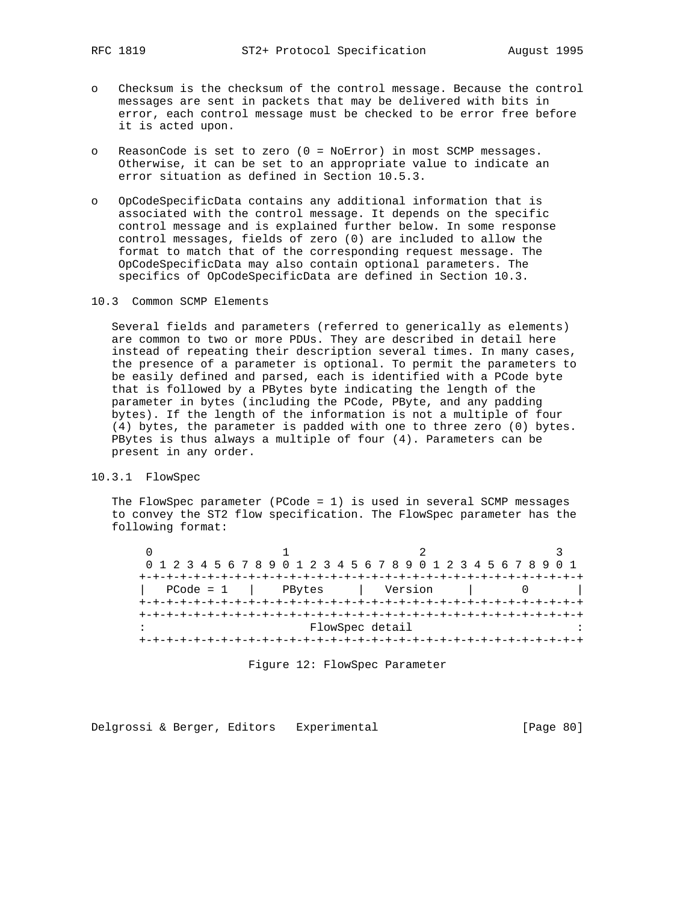- o Checksum is the checksum of the control message. Because the control messages are sent in packets that may be delivered with bits in error, each control message must be checked to be error free before it is acted upon.
- o ReasonCode is set to zero (0 = NoError) in most SCMP messages. Otherwise, it can be set to an appropriate value to indicate an error situation as defined in Section 10.5.3.
- o OpCodeSpecificData contains any additional information that is associated with the control message. It depends on the specific control message and is explained further below. In some response control messages, fields of zero (0) are included to allow the format to match that of the corresponding request message. The OpCodeSpecificData may also contain optional parameters. The specifics of OpCodeSpecificData are defined in Section 10.3.
- 10.3 Common SCMP Elements

 Several fields and parameters (referred to generically as elements) are common to two or more PDUs. They are described in detail here instead of repeating their description several times. In many cases, the presence of a parameter is optional. To permit the parameters to be easily defined and parsed, each is identified with a PCode byte that is followed by a PBytes byte indicating the length of the parameter in bytes (including the PCode, PByte, and any padding bytes). If the length of the information is not a multiple of four (4) bytes, the parameter is padded with one to three zero (0) bytes. PBytes is thus always a multiple of four (4). Parameters can be present in any order.

10.3.1 FlowSpec

 The FlowSpec parameter (PCode = 1) is used in several SCMP messages to convey the ST2 flow specification. The FlowSpec parameter has the following format:

 $0$  1 2 3 0 1 2 3 4 5 6 7 8 9 0 1 2 3 4 5 6 7 8 9 0 1 2 3 4 5 6 7 8 9 0 1 +-+-+-+-+-+-+-+-+-+-+-+-+-+-+-+-+-+-+-+-+-+-+-+-+-+-+-+-+-+-+-+-+ | PCode = 1 | PBytes | Version | 0 | +-+-+-+-+-+-+-+-+-+-+-+-+-+-+-+-+-+-+-+-+-+-+-+-+-+-+-+-+-+-+-+-+ +-+-+-+-+-+-+-+-+-+-+-+-+-+-+-+-+-+-+-+-+-+-+-+-+-+-+-+-+-+-+-+-+ FlowSpec detail +-+-+-+-+-+-+-+-+-+-+-+-+-+-+-+-+-+-+-+-+-+-+-+-+-+-+-+-+-+-+-+-+

Figure 12: FlowSpec Parameter

Delgrossi & Berger, Editors Experimental (Page 80)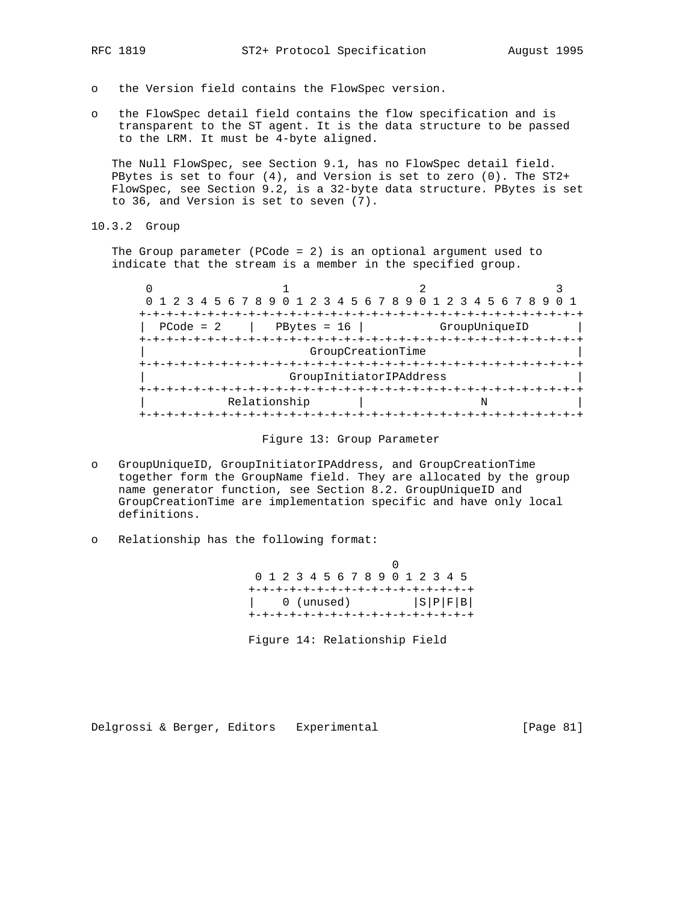- 
- o the Version field contains the FlowSpec version.
- o the FlowSpec detail field contains the flow specification and is transparent to the ST agent. It is the data structure to be passed to the LRM. It must be 4-byte aligned.

 The Null FlowSpec, see Section 9.1, has no FlowSpec detail field. PBytes is set to four (4), and Version is set to zero (0). The ST2+ FlowSpec, see Section 9.2, is a 32-byte data structure. PBytes is set to 36, and Version is set to seven (7).

10.3.2 Group

 The Group parameter (PCode = 2) is an optional argument used to indicate that the stream is a member in the specified group.

 $0$  1 2 3 0 1 2 3 4 5 6 7 8 9 0 1 2 3 4 5 6 7 8 9 0 1 2 3 4 5 6 7 8 9 0 1 +-+-+-+-+-+-+-+-+-+-+-+-+-+-+-+-+-+-+-+-+-+-+-+-+-+-+-+-+-+-+-+-+ | PCode = 2 | PBytes = 16 | GroupUniqueID | +-+-+-+-+-+-+-+-+-+-+-+-+-+-+-+-+-+-+-+-+-+-+-+-+-+-+-+-+-+-+-+-+ | GroupCreationTime | +-+-+-+-+-+-+-+-+-+-+-+-+-+-+-+-+-+-+-+-+-+-+-+-+-+-+-+-+-+-+-+-+ | GroupInitiatorIPAddress | +-+-+-+-+-+-+-+-+-+-+-+-+-+-+-+-+-+-+-+-+-+-+-+-+-+-+-+-+-+-+-+-+ Relationship | +-+-+-+-+-+-+-+-+-+-+-+-+-+-+-+-+-+-+-+-+-+-+-+-+-+-+-+-+-+-+-+-+

Figure 13: Group Parameter

- o GroupUniqueID, GroupInitiatorIPAddress, and GroupCreationTime together form the GroupName field. They are allocated by the group name generator function, see Section 8.2. GroupUniqueID and GroupCreationTime are implementation specific and have only local definitions.
- o Relationship has the following format:

 0 0 1 2 3 4 5 6 7 8 9 0 1 2 3 4 5 +-+-+-+-+-+-+-+-+-+-+-+-+-+-+-+-+  $| 0 \text{ (unused)} |S|P|F|B|$ +-+-+-+-+-+-+-+-+-+-+-+-+-+-+-+-+

Figure 14: Relationship Field

Delgrossi & Berger, Editors Experimental (Page 81)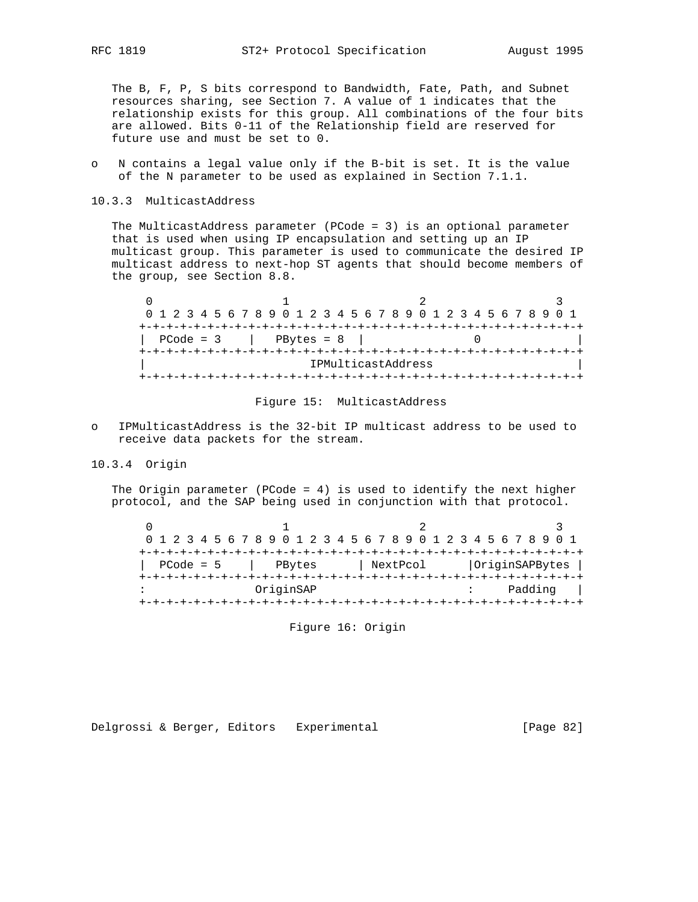The B, F, P, S bits correspond to Bandwidth, Fate, Path, and Subnet resources sharing, see Section 7. A value of 1 indicates that the relationship exists for this group. All combinations of the four bits are allowed. Bits 0-11 of the Relationship field are reserved for future use and must be set to 0.

- o N contains a legal value only if the B-bit is set. It is the value of the N parameter to be used as explained in Section 7.1.1.
- 10.3.3 MulticastAddress

 The MulticastAddress parameter (PCode = 3) is an optional parameter that is used when using IP encapsulation and setting up an IP multicast group. This parameter is used to communicate the desired IP multicast address to next-hop ST agents that should become members of the group, see Section 8.8.

 $0$  1 2 3 0 1 2 3 4 5 6 7 8 9 0 1 2 3 4 5 6 7 8 9 0 1 2 3 4 5 6 7 8 9 0 1 +-+-+-+-+-+-+-+-+-+-+-+-+-+-+-+-+-+-+-+-+-+-+-+-+-+-+-+-+-+-+-+-+ | PCode = 3 | PBytes = 8 | 0 | +-+-+-+-+-+-+-+-+-+-+-+-+-+-+-+-+-+-+-+-+-+-+-+-+-+-+-+-+-+-+-+-+ | IPMulticastAddress | +-+-+-+-+-+-+-+-+-+-+-+-+-+-+-+-+-+-+-+-+-+-+-+-+-+-+-+-+-+-+-+-+



- o IPMulticastAddress is the 32-bit IP multicast address to be used to receive data packets for the stream.
- 10.3.4 Origin

The Origin parameter (PCode =  $4$ ) is used to identify the next higher protocol, and the SAP being used in conjunction with that protocol.

 $0$  1 2 3 0 1 2 3 4 5 6 7 8 9 0 1 2 3 4 5 6 7 8 9 0 1 2 3 4 5 6 7 8 9 0 1 +-+-+-+-+-+-+-+-+-+-+-+-+-+-+-+-+-+-+-+-+-+-+-+-+-+-+-+-+-+-+-+-+ | PCode = 5 | PBytes | NextPcol |OriginSAPBytes | +-+-+-+-+-+-+-+-+-+-+-+-+-+-+-+-+-+-+-+-+-+-+-+-+-+-+-+-+-+-+-+-+ : OriginSAP : Padding | +-+-+-+-+-+-+-+-+-+-+-+-+-+-+-+-+-+-+-+-+-+-+-+-+-+-+-+-+-+-+-+-+

Figure 16: Origin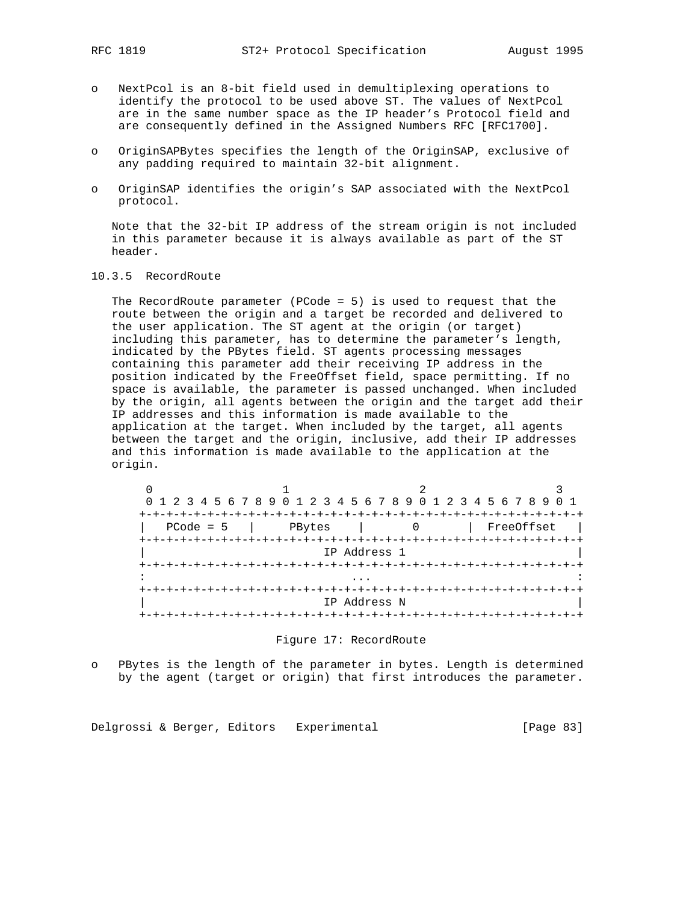- o NextPcol is an 8-bit field used in demultiplexing operations to identify the protocol to be used above ST. The values of NextPcol are in the same number space as the IP header's Protocol field and are consequently defined in the Assigned Numbers RFC [RFC1700].
- o OriginSAPBytes specifies the length of the OriginSAP, exclusive of any padding required to maintain 32-bit alignment.
- o OriginSAP identifies the origin's SAP associated with the NextPcol protocol.

 Note that the 32-bit IP address of the stream origin is not included in this parameter because it is always available as part of the ST header.

10.3.5 RecordRoute

 The RecordRoute parameter (PCode = 5) is used to request that the route between the origin and a target be recorded and delivered to the user application. The ST agent at the origin (or target) including this parameter, has to determine the parameter's length, indicated by the PBytes field. ST agents processing messages containing this parameter add their receiving IP address in the position indicated by the FreeOffset field, space permitting. If no space is available, the parameter is passed unchanged. When included by the origin, all agents between the origin and the target add their IP addresses and this information is made available to the application at the target. When included by the target, all agents between the target and the origin, inclusive, add their IP addresses and this information is made available to the application at the origin.

|             | 0 1 2 3 4 5 6 7 8 9 0 1 2 3 4 5 6 7 8 9 0 1 2 3 4 5 6 7 8 9 0 1 |              |            |  |
|-------------|-----------------------------------------------------------------|--------------|------------|--|
|             |                                                                 |              |            |  |
| $PCode = 5$ | PBytes                                                          |              | FreeOffset |  |
|             | +-+-+-+-+-+-+-+-+-+-+-+-+-+-+-+-+-                              |              |            |  |
|             |                                                                 | IP Address 1 |            |  |
|             |                                                                 |              |            |  |
|             |                                                                 |              |            |  |
|             |                                                                 |              |            |  |
|             |                                                                 | IP Address N |            |  |
|             |                                                                 |              |            |  |

|  | Figure 17: RecordRoute |
|--|------------------------|
|  |                        |

o PBytes is the length of the parameter in bytes. Length is determined by the agent (target or origin) that first introduces the parameter.

Delgrossi & Berger, Editors Experimental (Page 83)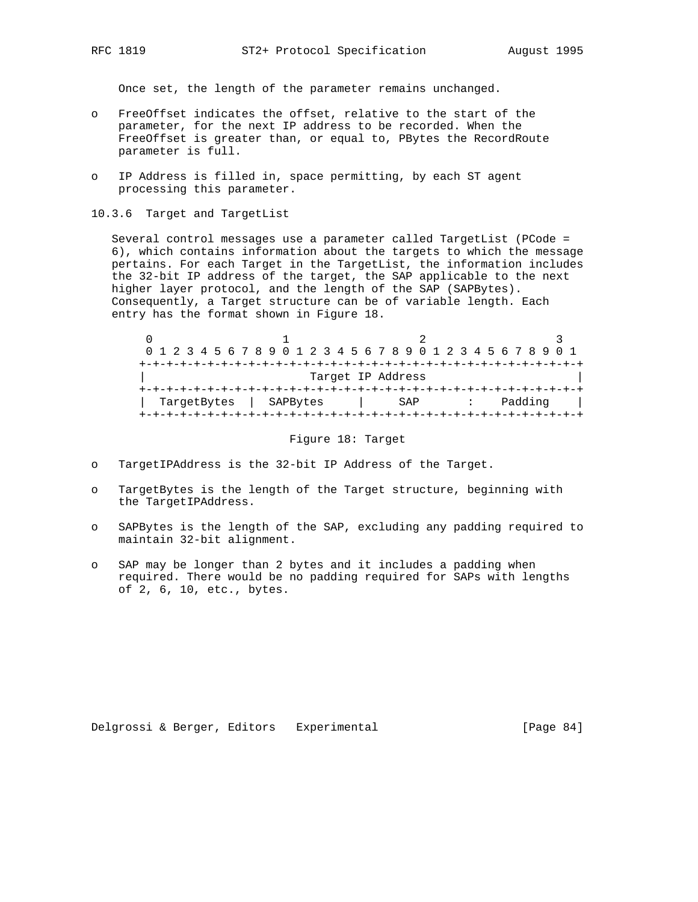Once set, the length of the parameter remains unchanged.

- o FreeOffset indicates the offset, relative to the start of the parameter, for the next IP address to be recorded. When the FreeOffset is greater than, or equal to, PBytes the RecordRoute parameter is full.
- o IP Address is filled in, space permitting, by each ST agent processing this parameter.
- 10.3.6 Target and TargetList

 Several control messages use a parameter called TargetList (PCode = 6), which contains information about the targets to which the message pertains. For each Target in the TargetList, the information includes the 32-bit IP address of the target, the SAP applicable to the next higher layer protocol, and the length of the SAP (SAPBytes). Consequently, a Target structure can be of variable length. Each entry has the format shown in Figure 18.

 $0$  1 2 3 0 1 2 3 4 5 6 7 8 9 0 1 2 3 4 5 6 7 8 9 0 1 2 3 4 5 6 7 8 9 0 1 +-+-+-+-+-+-+-+-+-+-+-+-+-+-+-+-+-+-+-+-+-+-+-+-+-+-+-+-+-+-+-+-+ | Target IP Address | +-+-+-+-+-+-+-+-+-+-+-+-+-+-+-+-+-+-+-+-+-+-+-+-+-+-+-+-+-+-+-+-+ | TargetBytes | SAPBytes | SAP : Padding | +-+-+-+-+-+-+-+-+-+-+-+-+-+-+-+-+-+-+-+-+-+-+-+-+-+-+-+-+-+-+-+-+

### Figure 18: Target

- o TargetIPAddress is the 32-bit IP Address of the Target.
- o TargetBytes is the length of the Target structure, beginning with the TargetIPAddress.
- o SAPBytes is the length of the SAP, excluding any padding required to maintain 32-bit alignment.
- o SAP may be longer than 2 bytes and it includes a padding when required. There would be no padding required for SAPs with lengths of 2, 6, 10, etc., bytes.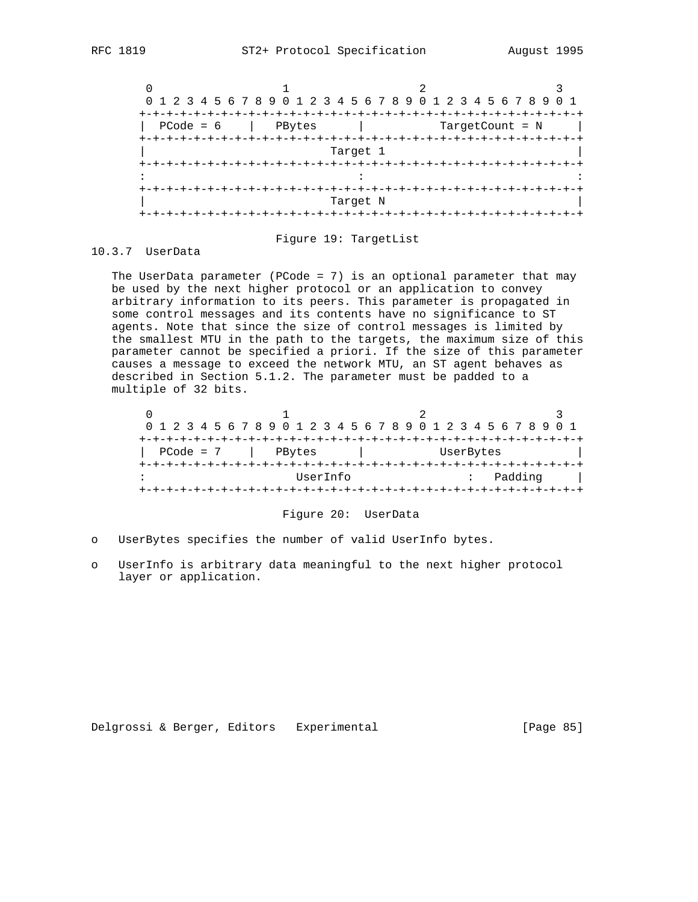|                                    | 0 1 2 3 4 5 6 7 8 9 0 1 2 3 4 5 6 7 8 9 0 1 2 3 4 5 6 7 8 9 |                         |                 |
|------------------------------------|-------------------------------------------------------------|-------------------------|-----------------|
| $+ - + - + - + - +$<br>$PCode = 6$ | -+-+-+-+-+-+-+<br>PBytes                                    | -+-+-+-+-+-+-+          | TargetCount = N |
|                                    |                                                             | Target 1                |                 |
| $+ - + - + - +$                    |                                                             | $+ - + - + - + - + - +$ |                 |
|                                    |                                                             |                         |                 |
|                                    |                                                             |                         |                 |
|                                    |                                                             | Target N                |                 |
|                                    |                                                             |                         |                 |

## Figure 19: TargetList

## 10.3.7 UserData

 The UserData parameter (PCode = 7) is an optional parameter that may be used by the next higher protocol or an application to convey arbitrary information to its peers. This parameter is propagated in some control messages and its contents have no significance to ST agents. Note that since the size of control messages is limited by the smallest MTU in the path to the targets, the maximum size of this parameter cannot be specified a priori. If the size of this parameter causes a message to exceed the network MTU, an ST agent behaves as described in Section 5.1.2. The parameter must be padded to a multiple of 32 bits.

|             |          | 0 1 2 3 4 5 6 7 8 9 0 1 2 3 4 5 6 7 8 9 0 1 2 3 4 5 6 7 8 9 0 1 |         |
|-------------|----------|-----------------------------------------------------------------|---------|
|             |          |                                                                 |         |
| $PCode = 7$ | PBytes   | UserBytes                                                       |         |
|             |          | +-+-+-+-+-+-+-+-+-+-+-+-                                        |         |
|             | UserInfo |                                                                 | Padding |
|             |          |                                                                 |         |

## Figure 20: UserData

- o UserBytes specifies the number of valid UserInfo bytes.
- o UserInfo is arbitrary data meaningful to the next higher protocol layer or application.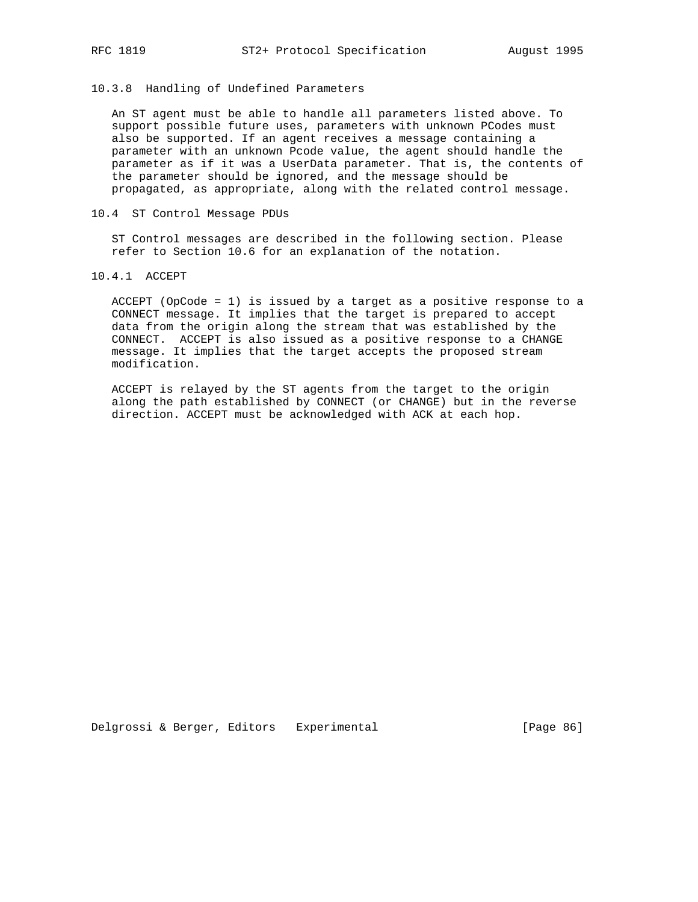## 10.3.8 Handling of Undefined Parameters

 An ST agent must be able to handle all parameters listed above. To support possible future uses, parameters with unknown PCodes must also be supported. If an agent receives a message containing a parameter with an unknown Pcode value, the agent should handle the parameter as if it was a UserData parameter. That is, the contents of the parameter should be ignored, and the message should be propagated, as appropriate, along with the related control message.

10.4 ST Control Message PDUs

 ST Control messages are described in the following section. Please refer to Section 10.6 for an explanation of the notation.

10.4.1 ACCEPT

 ACCEPT (OpCode = 1) is issued by a target as a positive response to a CONNECT message. It implies that the target is prepared to accept data from the origin along the stream that was established by the CONNECT. ACCEPT is also issued as a positive response to a CHANGE message. It implies that the target accepts the proposed stream modification.

 ACCEPT is relayed by the ST agents from the target to the origin along the path established by CONNECT (or CHANGE) but in the reverse direction. ACCEPT must be acknowledged with ACK at each hop.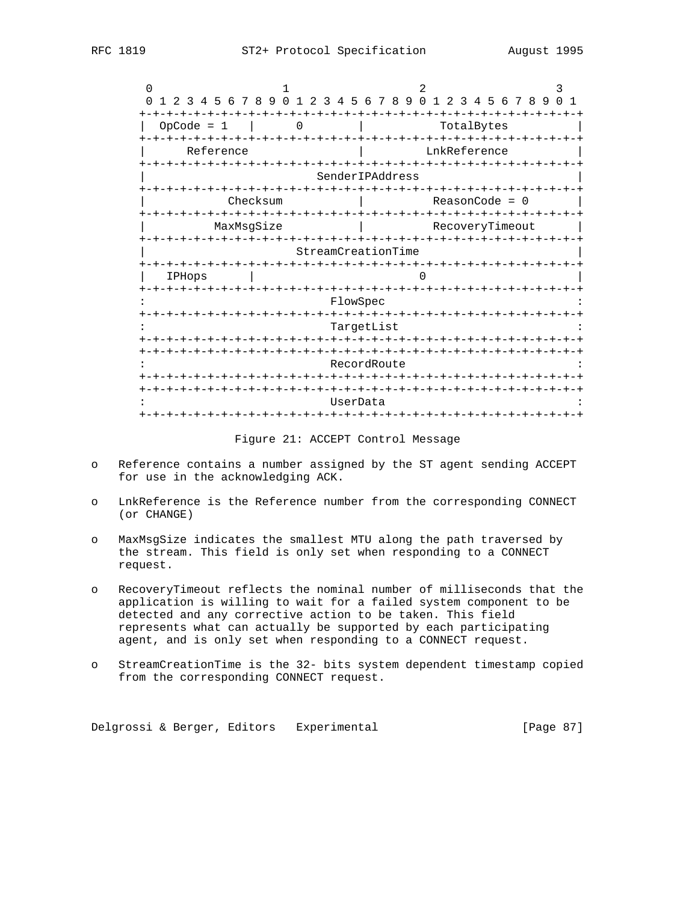| <sup>0</sup>                                                  |                                                |                    | 2                               | 3                               |
|---------------------------------------------------------------|------------------------------------------------|--------------------|---------------------------------|---------------------------------|
| 3 4 5 6 7 8 9<br>$\Omega$<br>$\overline{2}$<br>$\overline{1}$ | $\Omega$<br>$\mathbf{1}$<br>2<br>$\mathcal{R}$ |                    | 4 5 6 7 8 9 0 1 2 3 4 5 6 7 8   | $\Omega$<br>9<br>$\overline{1}$ |
|                                                               |                                                |                    |                                 |                                 |
| $OpCode = 1$                                                  | 0                                              |                    | TotalBytes                      |                                 |
| +-+-+-+-+-+-+-+                                               | $+ - + - + - + -$                              |                    | +-+-+-+-+-+-+-+-+-+             | -+-+-+-+-+-+                    |
| Reference                                                     |                                                |                    | LnkReference                    |                                 |
| -+-+-+-+-+-+-+-+                                              |                                                |                    | -+-+-+-+-+-+-+-+-+              |                                 |
|                                                               |                                                | SenderIPAddress    |                                 |                                 |
| $+ - + - + - +$                                               | -+-+-+-+-+-+-+-+-+-+                           | -+                 | +-+-+-+-+-+-+-+-+-+             | -+-+-+-+-+                      |
|                                                               | Checksum                                       |                    | $ReasonCode = 0$<br>$+ - + - +$ |                                 |
| MaxMsgSize                                                    |                                                |                    | RecoveryTimeout                 |                                 |
| -+-+-+-+-+-+-+                                                |                                                |                    | -+-+-+-                         | - + – + – + – +                 |
|                                                               |                                                | StreamCreationTime |                                 |                                 |
|                                                               |                                                |                    |                                 |                                 |
| IPHops                                                        |                                                |                    |                                 |                                 |
| ナーナーナーナーナーナ                                                   | -+-+-+-+                                       | ーナーナーナーナ           |                                 |                                 |
|                                                               |                                                | FlowSpec           |                                 |                                 |
|                                                               |                                                | -+-+-+             |                                 |                                 |
|                                                               |                                                | TargetList         |                                 |                                 |
|                                                               |                                                |                    |                                 |                                 |
|                                                               |                                                |                    |                                 |                                 |
|                                                               |                                                | RecordRoute        |                                 |                                 |
|                                                               |                                                |                    |                                 |                                 |
|                                                               |                                                |                    |                                 |                                 |
|                                                               |                                                | UserData           |                                 |                                 |
| $+$                                                           |                                                |                    |                                 |                                 |

Figure 21: ACCEPT Control Message

- o Reference contains a number assigned by the ST agent sending ACCEPT for use in the acknowledging ACK.
- o LnkReference is the Reference number from the corresponding CONNECT (or CHANGE)
- o MaxMsgSize indicates the smallest MTU along the path traversed by the stream. This field is only set when responding to a CONNECT request.
- o RecoveryTimeout reflects the nominal number of milliseconds that the application is willing to wait for a failed system component to be detected and any corrective action to be taken. This field represents what can actually be supported by each participating agent, and is only set when responding to a CONNECT request.
- o StreamCreationTime is the 32- bits system dependent timestamp copied from the corresponding CONNECT request.

Delgrossi & Berger, Editors Experimental (Page 87)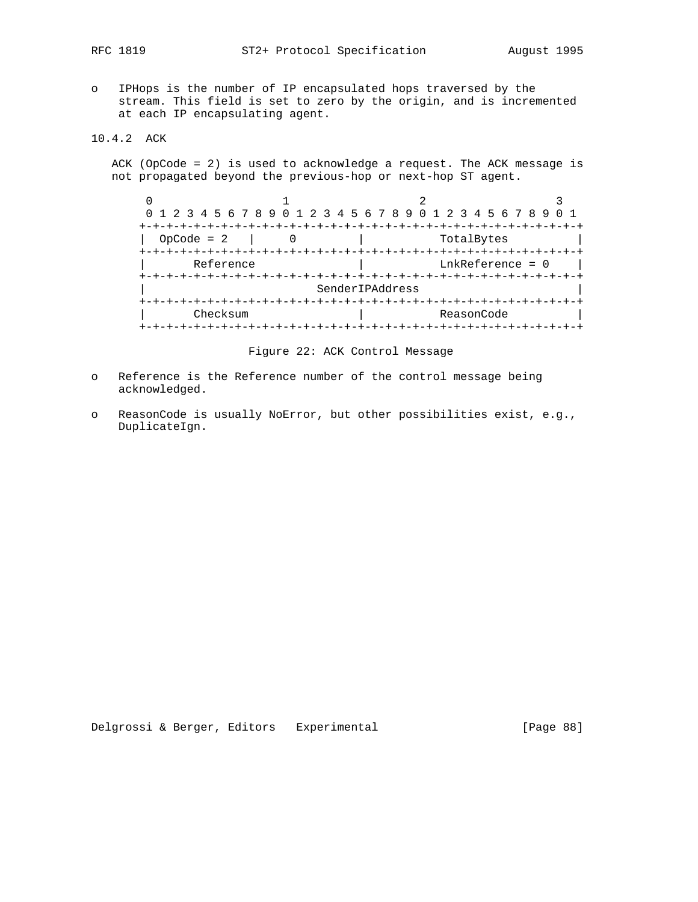- o IPHops is the number of IP encapsulated hops traversed by the stream. This field is set to zero by the origin, and is incremented at each IP encapsulating agent.
- 10.4.2 ACK

 ACK (OpCode = 2) is used to acknowledge a request. The ACK message is not propagated beyond the previous-hop or next-hop ST agent.

| 0 1 2 3 4 5 6 7 8 9 0 1 2 3 4 5 6 7 8 9 0 1 2 3 4 5 6 7 8 9 |                 |                    |  |
|-------------------------------------------------------------|-----------------|--------------------|--|
|                                                             |                 |                    |  |
| $OpCode = 2$                                                |                 | TotalBytes         |  |
|                                                             |                 |                    |  |
| Reference                                                   |                 | $LnkReference = 0$ |  |
|                                                             |                 |                    |  |
|                                                             | SenderIPAddress |                    |  |
|                                                             |                 |                    |  |
| Checksum                                                    |                 | ReasonCode         |  |
|                                                             |                 |                    |  |

Figure 22: ACK Control Message

- o Reference is the Reference number of the control message being acknowledged.
- o ReasonCode is usually NoError, but other possibilities exist, e.g., DuplicateIgn.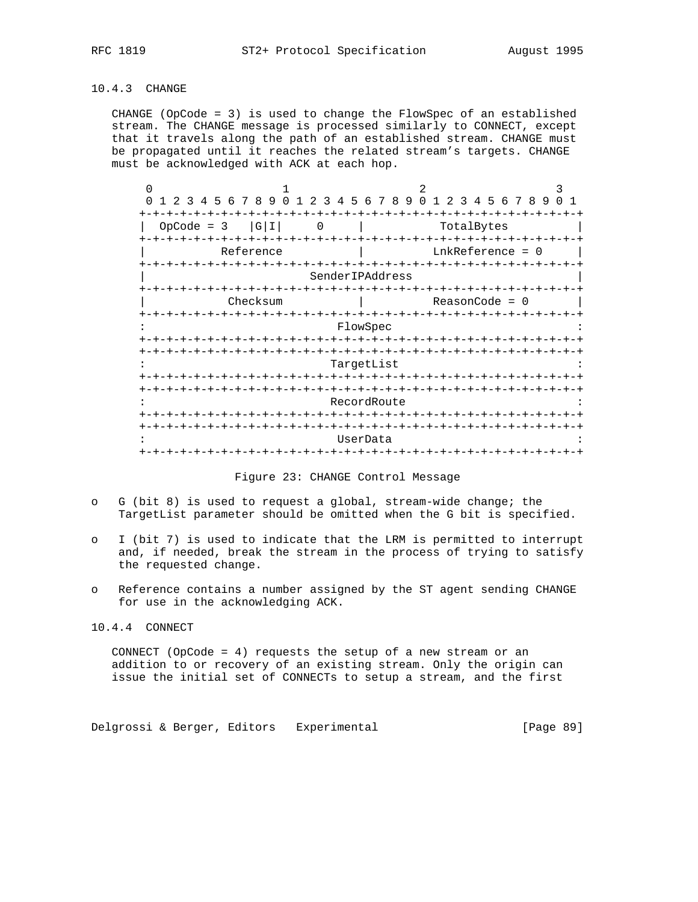## 10.4.3 CHANGE

 CHANGE (OpCode = 3) is used to change the FlowSpec of an established stream. The CHANGE message is processed similarly to CONNECT, except that it travels along the path of an established stream. CHANGE must be propagated until it reaches the related stream's targets. CHANGE must be acknowledged with ACK at each hop.

|             |                                 |               |               |                         |      |          |                   |  |     |     | 3   |  |
|-------------|---------------------------------|---------------|---------------|-------------------------|------|----------|-------------------|--|-----|-----|-----|--|
| 0<br>1 2 3  | 4 5 6 7 8 9                     | $\Omega$<br>2 | 3             | 67<br>45                | 89   | $\Omega$ | 2 3 4 5 6 7 8     |  |     | 9   | 0 1 |  |
| $+ - + - +$ |                                 |               |               |                         |      |          |                   |  |     |     |     |  |
| $OpCode =$  | G I <br>$\overline{\mathbf{3}}$ | 0             |               |                         |      |          | TotalBytes        |  |     |     |     |  |
|             |                                 |               | $-+$          |                         |      |          |                   |  |     |     |     |  |
|             | Reference                       |               |               |                         | $-+$ |          | LnkReference =    |  |     | - 0 |     |  |
|             | -+-+-+-+-+-+-+-                 |               | $+ - + - + -$ | $-+$<br>SenderIPAddress |      |          | -+-+-+-+-+-+-+-+- |  |     |     |     |  |
|             |                                 |               |               |                         |      |          |                   |  |     |     |     |  |
|             | Checksum                        |               |               |                         |      |          | ReasonCode =      |  | - 0 |     |     |  |
|             | -+-+-+                          |               |               |                         |      |          | - + - + - + - + - |  |     |     |     |  |
|             |                                 |               |               | FlowSpec                |      |          |                   |  |     |     |     |  |
|             |                                 |               |               | $+ - + - +$             |      |          |                   |  |     |     |     |  |
|             |                                 |               |               | $-+$                    |      |          |                   |  |     |     |     |  |
|             |                                 |               |               | TargetList              |      |          |                   |  |     |     |     |  |
|             |                                 |               |               |                         |      |          |                   |  |     |     |     |  |
|             |                                 |               |               | $+-+$<br>$- + - +$      | -+   |          | -+-+-+-+-+-       |  |     |     |     |  |
|             |                                 |               |               | RecordRoute             |      |          |                   |  |     |     |     |  |
|             |                                 |               |               |                         |      |          |                   |  |     |     |     |  |
|             |                                 |               |               |                         |      |          |                   |  |     |     |     |  |
|             |                                 |               |               | UserData                |      |          |                   |  |     |     |     |  |
| $+ - + - +$ |                                 |               |               | ーナーナーナーナーナ              |      |          | -+-+-+-+-+-+-+-+  |  |     |     |     |  |

| Figure 23: CHANGE Control Message |  |
|-----------------------------------|--|
|-----------------------------------|--|

- o G (bit 8) is used to request a global, stream-wide change; the TargetList parameter should be omitted when the G bit is specified.
- o I (bit 7) is used to indicate that the LRM is permitted to interrupt and, if needed, break the stream in the process of trying to satisfy the requested change.
- o Reference contains a number assigned by the ST agent sending CHANGE for use in the acknowledging ACK.
- 10.4.4 CONNECT

 CONNECT (OpCode = 4) requests the setup of a new stream or an addition to or recovery of an existing stream. Only the origin can issue the initial set of CONNECTs to setup a stream, and the first

Delgrossi & Berger, Editors Experimental (Page 89)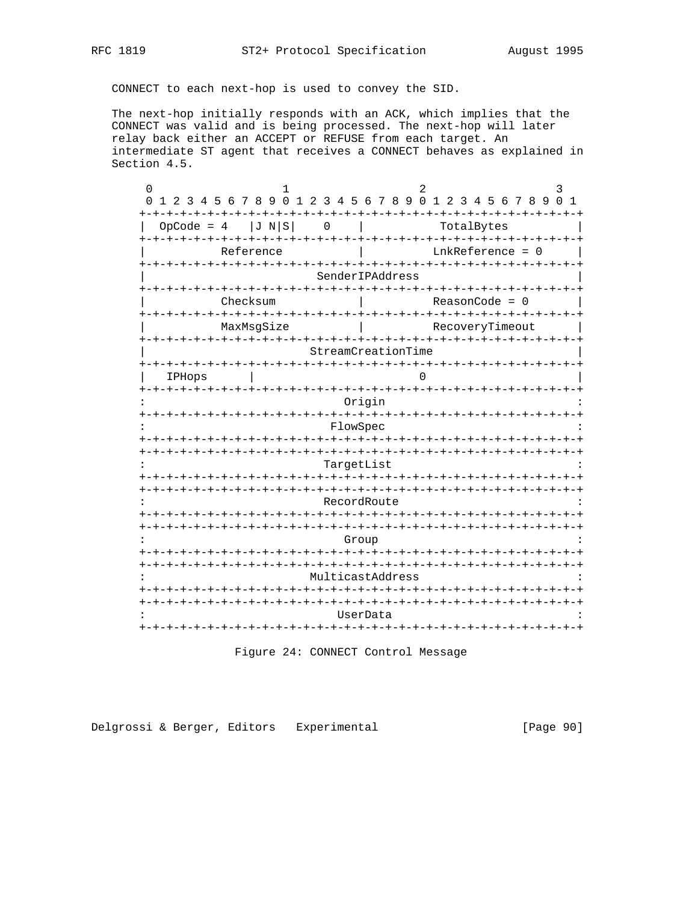CONNECT to each next-hop is used to convey the SID.

 The next-hop initially responds with an ACK, which implies that the CONNECT was valid and is being processed. The next-hop will later relay back either an ACCEPT or REFUSE from each target. An intermediate ST agent that receives a CONNECT behaves as explained in Section 4.5.

| O                                | 1                                                        |                                      | 2                     |                  |                                                           | 3                                  |
|----------------------------------|----------------------------------------------------------|--------------------------------------|-----------------------|------------------|-----------------------------------------------------------|------------------------------------|
| -5<br>6<br>0<br>2<br>3<br>4<br>1 | 78<br>- 9<br>$\Omega$<br>$\mathcal{L}$<br>$\overline{1}$ | 3<br>4<br>-5<br>-6                   | 789<br>$\overline{0}$ | 1 2 3 4 5        | 6<br>78                                                   | $\mathbf{1}$<br>-9<br><sup>0</sup> |
| $OpCode =$<br>$\overline{4}$     | $J$ N $S$                                                | 0                                    |                       | TotalBytes       |                                                           |                                    |
| <b>+-+-+-+-+-+-+-+</b>           | Reference                                                |                                      |                       |                  | LnkReference =                                            | - 0                                |
|                                  |                                                          | SenderIPAddress                      |                       |                  |                                                           |                                    |
|                                  | Checksum                                                 |                                      |                       | ReasonCode       | 0<br>$\equiv$                                             |                                    |
| $+ - + - + - +$                  | -+-+-+-+-+-+-+-+-+-+<br>MaxMsgSize                       |                                      |                       |                  | -+-+-+-+-+-+-+-+-+-+-+-+-+-+-+-+-+-+-+<br>RecoveryTimeout |                                    |
| $^+$                             | -+-+-+-+-+-+-+                                           | StreamCreationTime<br>-+-+-+-+-+-+-+ |                       |                  | -+-+-+-+-+-+-+-+-+-+                                      |                                    |
| IPHops                           |                                                          |                                      |                       |                  |                                                           |                                    |
|                                  |                                                          | Origin                               |                       |                  |                                                           |                                    |
|                                  |                                                          | $+-+$                                |                       |                  |                                                           |                                    |
|                                  |                                                          | FlowSpec                             |                       |                  |                                                           |                                    |
|                                  |                                                          | -+-+-+-+-+<br>-+-+-+                 |                       |                  | -+-+-+-+-+-+-+-+-+-+                                      |                                    |
|                                  |                                                          | TargetList                           |                       |                  |                                                           |                                    |
|                                  |                                                          |                                      |                       |                  |                                                           |                                    |
| $\pm$                            |                                                          |                                      |                       |                  |                                                           |                                    |
|                                  |                                                          | RecordRoute                          |                       |                  |                                                           |                                    |
|                                  |                                                          |                                      |                       |                  |                                                           |                                    |
| $\pm$                            |                                                          |                                      |                       |                  |                                                           |                                    |
|                                  |                                                          | Group                                |                       |                  |                                                           |                                    |
|                                  |                                                          | $+ - + - +$                          |                       |                  |                                                           |                                    |
| $^{+}$                           |                                                          | -+-+                                 |                       |                  |                                                           |                                    |
|                                  |                                                          | MulticastAddress                     |                       |                  |                                                           |                                    |
|                                  |                                                          | $- + - + - +$<br>$-+$<br>- +         | $-+$                  |                  |                                                           |                                    |
| $\overline{+}$                   |                                                          | UserData                             |                       | $-+ - + - + - +$ |                                                           |                                    |
|                                  |                                                          | $-+ - + - + - +$                     |                       |                  |                                                           |                                    |
|                                  |                                                          |                                      |                       |                  |                                                           |                                    |

Figure 24: CONNECT Control Message

Delgrossi & Berger, Editors Experimental (Page 90)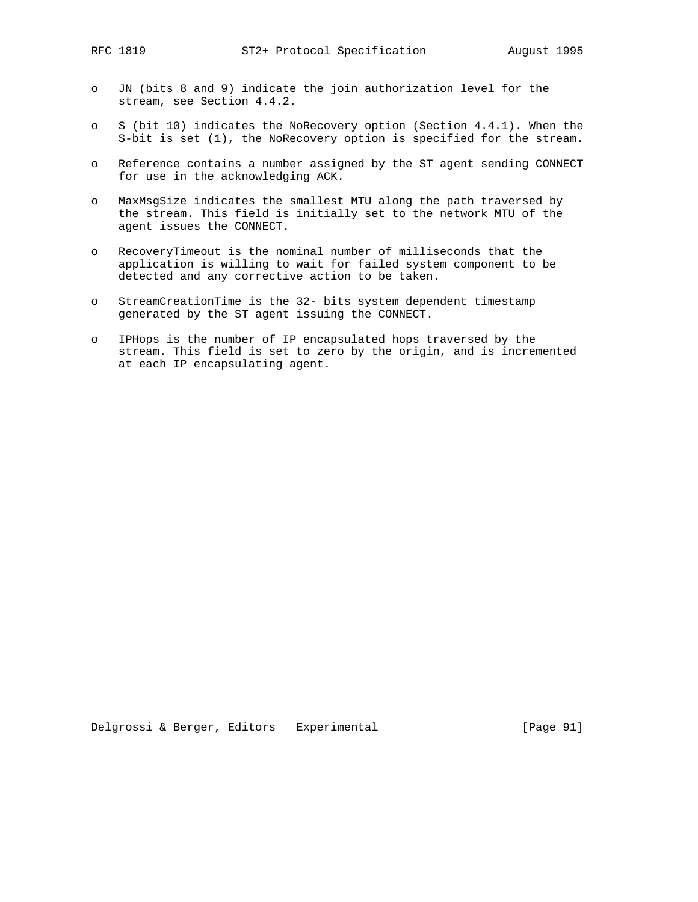- o JN (bits 8 and 9) indicate the join authorization level for the stream, see Section 4.4.2.
- o S (bit 10) indicates the NoRecovery option (Section 4.4.1). When the S-bit is set (1), the NoRecovery option is specified for the stream.
- o Reference contains a number assigned by the ST agent sending CONNECT for use in the acknowledging ACK.
- o MaxMsgSize indicates the smallest MTU along the path traversed by the stream. This field is initially set to the network MTU of the agent issues the CONNECT.
- o RecoveryTimeout is the nominal number of milliseconds that the application is willing to wait for failed system component to be detected and any corrective action to be taken.
- o StreamCreationTime is the 32- bits system dependent timestamp generated by the ST agent issuing the CONNECT.
- o IPHops is the number of IP encapsulated hops traversed by the stream. This field is set to zero by the origin, and is incremented at each IP encapsulating agent.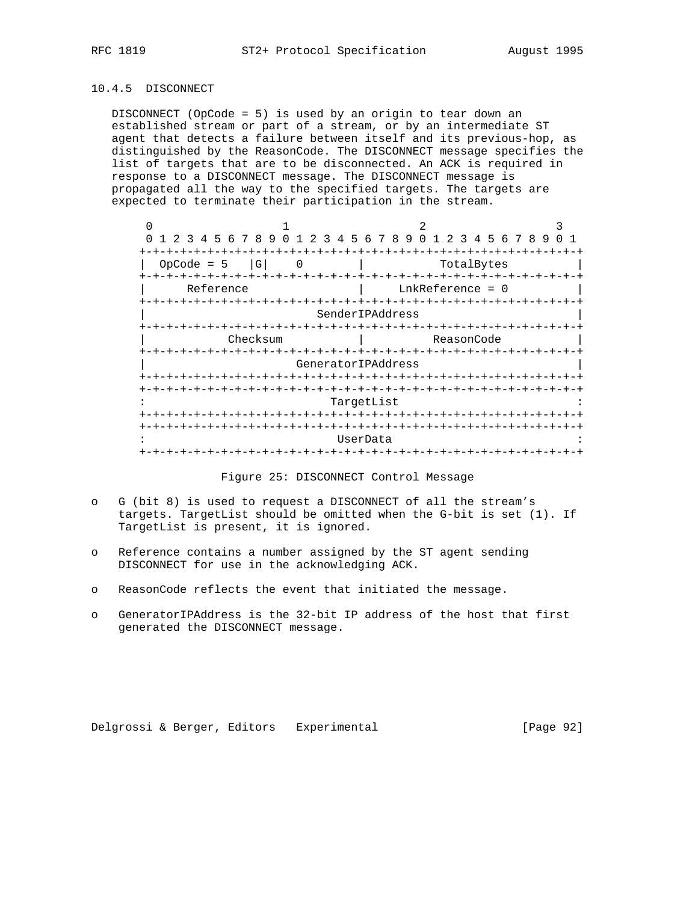## 10.4.5 DISCONNECT

 DISCONNECT (OpCode = 5) is used by an origin to tear down an established stream or part of a stream, or by an intermediate ST agent that detects a failure between itself and its previous-hop, as distinguished by the ReasonCode. The DISCONNECT message specifies the list of targets that are to be disconnected. An ACK is required in response to a DISCONNECT message. The DISCONNECT message is propagated all the way to the specified targets. The targets are expected to terminate their participation in the stream.

| $\Omega$     | 1 2 3 4 5 6 7 8 9 0<br>2<br>3 |                    | 4 5 6 7 8 9 0 1 2 3 4 5 6 7 8 9 | O 1 |
|--------------|-------------------------------|--------------------|---------------------------------|-----|
|              |                               |                    |                                 |     |
| $OpCode = 5$ | G<br>0                        |                    | TotalBytes                      |     |
|              |                               |                    |                                 |     |
| Reference    |                               |                    | $InkReference = 0$              |     |
|              |                               |                    |                                 |     |
|              |                               | SenderIPAddress    |                                 |     |
|              | -+-+-+-+-+-+-+-+-+            |                    | -+-+-+-+-+-+-+-+-+-+-+-+-+      |     |
|              | Checksum                      |                    | ReasonCode                      |     |
|              | -+-+-+-+-+                    |                    | -+-+-+-+-+-+-+-+-+-+            |     |
|              |                               | GeneratorIPAddress |                                 |     |
|              |                               |                    | -+-+-+-+-+-+-+-+-+              |     |
|              |                               |                    |                                 |     |
|              |                               | TargetList         |                                 |     |
|              |                               |                    | +-+-+-+-+-+-+-+-+-+             |     |
|              |                               | $- + - + - +$      | -+-+-+-+-+-+-+-+-+-+-+-+-+-     |     |
|              |                               | UserData           |                                 |     |
|              | -+-+-+-+-+-+-+-+-+-+-+-+-+    |                    | -+-+-+-+-+-+-+-+-+-+-+          |     |

#### Figure 25: DISCONNECT Control Message

- o G (bit 8) is used to request a DISCONNECT of all the stream's targets. TargetList should be omitted when the G-bit is set (1). If TargetList is present, it is ignored.
- o Reference contains a number assigned by the ST agent sending DISCONNECT for use in the acknowledging ACK.
- o ReasonCode reflects the event that initiated the message.
- o GeneratorIPAddress is the 32-bit IP address of the host that first generated the DISCONNECT message.

Delgrossi & Berger, Editors Experimental [Page 92]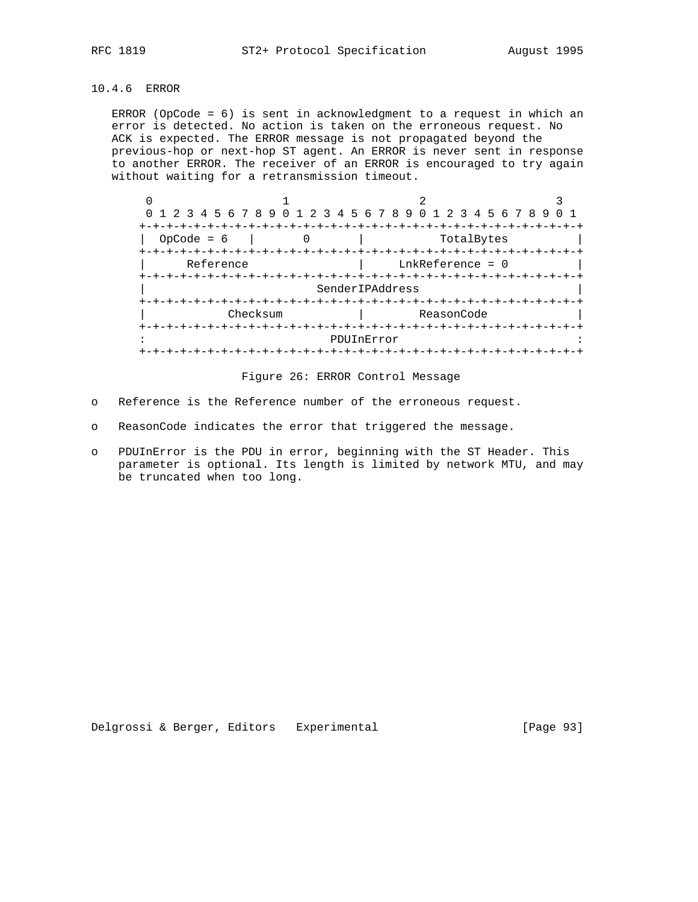10.4.6 ERROR

 ERROR (OpCode = 6) is sent in acknowledgment to a request in which an error is detected. No action is taken on the erroneous request. No ACK is expected. The ERROR message is not propagated beyond the previous-hop or next-hop ST agent. An ERROR is never sent in response to another ERROR. The receiver of an ERROR is encouraged to try again without waiting for a retransmission timeout.

| 0 1 2 3 4 5 6 7 8 9 0 1 2 3 4 5 6 7 8 9 0 1 2 3 4 5 6 7 8 9 |                 |                    |  |
|-------------------------------------------------------------|-----------------|--------------------|--|
| $OpCode = 6$                                                |                 | TotalBytes         |  |
| Reference<br>+-+-+-+-+-+-+                                  | SenderIPAddress | $LnkReference = 0$ |  |
| Checksum<br>$+ -$<br>+-+-+-+-+-+-+-                         |                 | ReasonCode         |  |
|                                                             | PDUInError      |                    |  |

#### Figure 26: ERROR Control Message

- o Reference is the Reference number of the erroneous request.
- o ReasonCode indicates the error that triggered the message.
- o PDUInError is the PDU in error, beginning with the ST Header. This parameter is optional. Its length is limited by network MTU, and may be truncated when too long.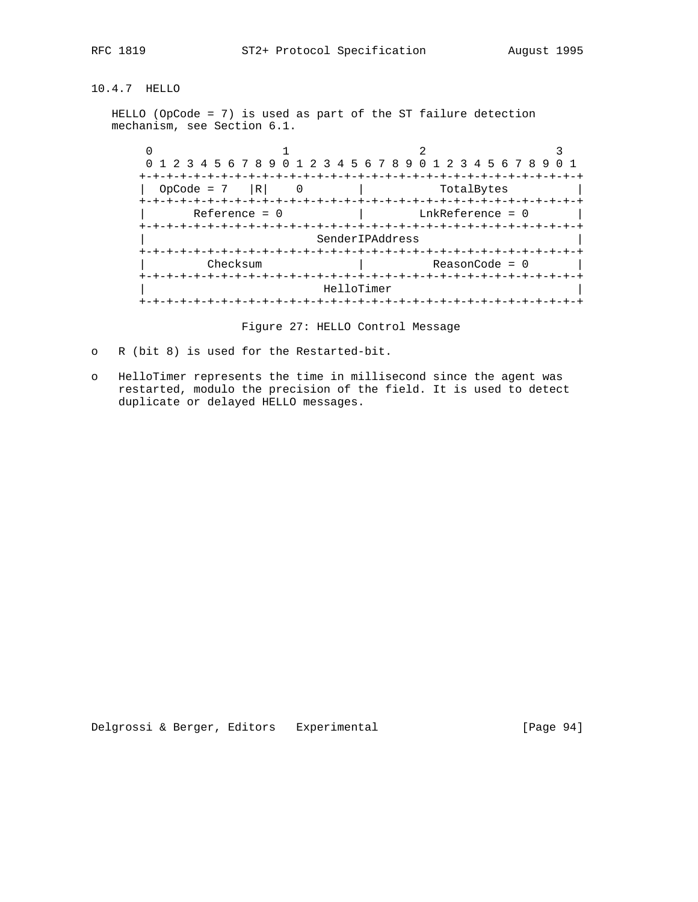# 10.4.7 HELLO

 HELLO (OpCode = 7) is used as part of the ST failure detection mechanism, see Section 6.1.

 $0$  1 2 3 0 1 2 3 4 5 6 7 8 9 0 1 2 3 4 5 6 7 8 9 0 1 2 3 4 5 6 7 8 9 0 1 +-+-+-+-+-+-+-+-+-+-+-+-+-+-+-+-+-+-+-+-+-+-+-+-+-+-+-+-+-+-+-+-+  $\begin{vmatrix} \text{OpCode} & = & 7 \\ \text{R} & 0 \\ \text{O} & \text{TotalBytes} \end{vmatrix}$  +-+-+-+-+-+-+-+-+-+-+-+-+-+-+-+-+-+-+-+-+-+-+-+-+-+-+-+-+-+-+-+-+ Reference = 0 | LnkReference = 0 +-+-+-+-+-+-+-+-+-+-+-+-+-+-+-+-+-+-+-+-+-+-+-+-+-+-+-+-+-+-+-+-+ | SenderIPAddress | +-+-+-+-+-+-+-+-+-+-+-+-+-+-+-+-+-+-+-+-+-+-+-+-+-+-+-+-+-+-+-+-+ | Checksum | ReasonCode = 0 | +-+-+-+-+-+-+-+-+-+-+-+-+-+-+-+-+-+-+-+-+-+-+-+-+-+-+-+-+-+-+-+-+ | HelloTimer | +-+-+-+-+-+-+-+-+-+-+-+-+-+-+-+-+-+-+-+-+-+-+-+-+-+-+-+-+-+-+-+-+

Figure 27: HELLO Control Message

- o R (bit 8) is used for the Restarted-bit.
- o HelloTimer represents the time in millisecond since the agent was restarted, modulo the precision of the field. It is used to detect duplicate or delayed HELLO messages.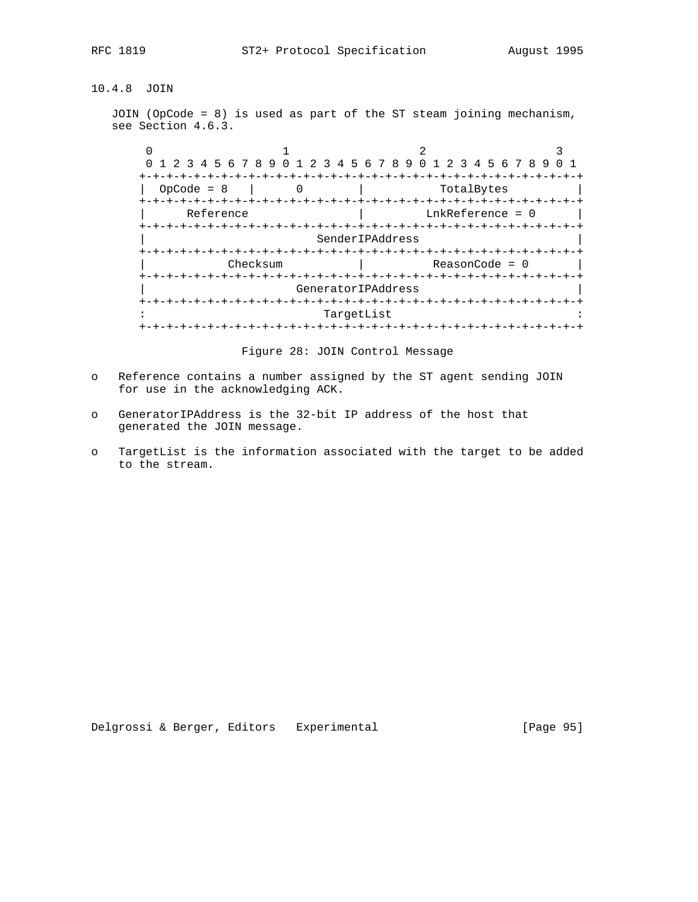## 10.4.8 JOIN

 JOIN (OpCode = 8) is used as part of the ST steam joining mechanism, see Section 4.6.3.

|              |                    | 0 1 2 3 4 5 6 7 8 9 0 1 2 3 4 5 6 7 8 9 0 1 2 3 4 5 6 7 8 9 |  |
|--------------|--------------------|-------------------------------------------------------------|--|
|              |                    |                                                             |  |
| $OpCode = 8$ |                    | TotalBytes                                                  |  |
|              |                    |                                                             |  |
| Reference    |                    | $InkReference = 0$                                          |  |
|              |                    |                                                             |  |
|              |                    | SenderIPAddress                                             |  |
|              |                    |                                                             |  |
| Checksum     |                    | $ReasonCode = 0$                                            |  |
|              |                    |                                                             |  |
|              | GeneratorIPAddress |                                                             |  |
|              |                    |                                                             |  |
|              | TargetList         |                                                             |  |
|              |                    |                                                             |  |

Figure 28: JOIN Control Message

- o Reference contains a number assigned by the ST agent sending JOIN for use in the acknowledging ACK.
- o GeneratorIPAddress is the 32-bit IP address of the host that generated the JOIN message.
- o TargetList is the information associated with the target to be added to the stream.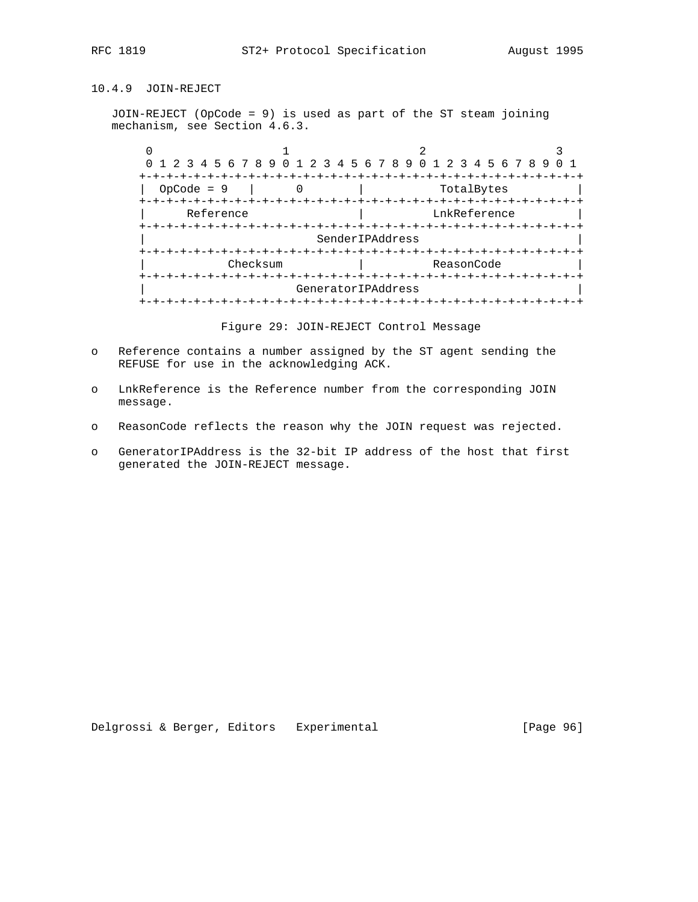## 10.4.9 JOIN-REJECT

 JOIN-REJECT (OpCode = 9) is used as part of the ST steam joining mechanism, see Section 4.6.3.

 $0$  1 2 3 0 1 2 3 4 5 6 7 8 9 0 1 2 3 4 5 6 7 8 9 0 1 2 3 4 5 6 7 8 9 0 1 +-+-+-+-+-+-+-+-+-+-+-+-+-+-+-+-+-+-+-+-+-+-+-+-+-+-+-+-+-+-+-+-+  $\begin{array}{ccc} \n\begin{array}{ccc} \n\end{array}$  OpCode = 9 | 0 | TotalBytes +-+-+-+-+-+-+-+-+-+-+-+-+-+-+-+-+-+-+-+-+-+-+-+-+-+-+-+-+-+-+-+-+ | Reference | LnkReference | +-+-+-+-+-+-+-+-+-+-+-+-+-+-+-+-+-+-+-+-+-+-+-+-+-+-+-+-+-+-+-+-+ | SenderIPAddress | +-+-+-+-+-+-+-+-+-+-+-+-+-+-+-+-+-+-+-+-+-+-+-+-+-+-+-+-+-+-+-+-+ | Checksum | ReasonCode | +-+-+-+-+-+-+-+-+-+-+-+-+-+-+-+-+-+-+-+-+-+-+-+-+-+-+-+-+-+-+-+-+ | GeneratorIPAddress | +-+-+-+-+-+-+-+-+-+-+-+-+-+-+-+-+-+-+-+-+-+-+-+-+-+-+-+-+-+-+-+-+

Figure 29: JOIN-REJECT Control Message

- o Reference contains a number assigned by the ST agent sending the REFUSE for use in the acknowledging ACK.
- o LnkReference is the Reference number from the corresponding JOIN message.
- o ReasonCode reflects the reason why the JOIN request was rejected.
- o GeneratorIPAddress is the 32-bit IP address of the host that first generated the JOIN-REJECT message.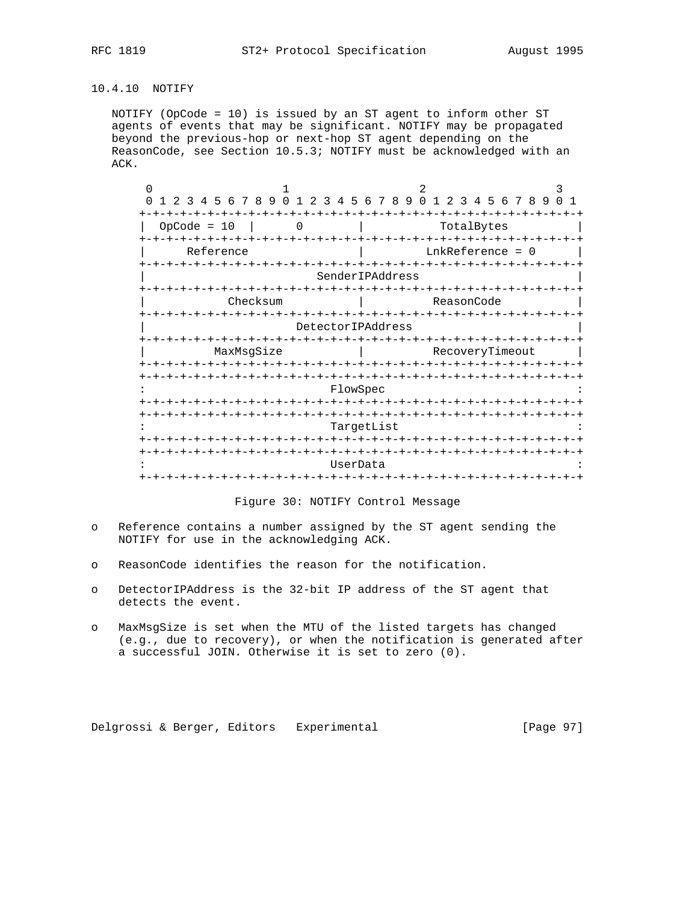# 10.4.10 NOTIFY

 NOTIFY (OpCode = 10) is issued by an ST agent to inform other ST agents of events that may be significant. NOTIFY may be propagated beyond the previous-hop or next-hop ST agent depending on the ReasonCode, see Section 10.5.3; NOTIFY must be acknowledged with an ACK.

| $\Omega$<br>2 3<br>$\mathbf{1}$ | 4 5 6 7 8 9<br>$\Omega$<br>$\overline{2}$<br>3 | 789<br>$\Omega$<br>-5<br>- 6<br>4 | 1 2 3 4 5 6 7 8 9        | 0 <sub>1</sub> |
|---------------------------------|------------------------------------------------|-----------------------------------|--------------------------|----------------|
|                                 |                                                |                                   |                          |                |
| OpCode = $10$                   | 0                                              |                                   | TotalBytes               |                |
|                                 | -+-+-+-+                                       | $+ - + - +$                       | -+-+-+-+-+-+-            |                |
| Reference                       |                                                |                                   | $InkReference = 0$       |                |
|                                 |                                                |                                   | -+-+-+-+-+-+-+-+-        |                |
|                                 |                                                | SenderIPAddress                   |                          |                |
|                                 | $-+ - + - +$                                   | $-+$                              | -+-+-+-+-+               |                |
|                                 | Checksum                                       |                                   | ReasonCode               |                |
|                                 | $- + - + -$                                    |                                   |                          |                |
|                                 |                                                | DetectorIPAddress                 |                          |                |
|                                 |                                                |                                   |                          |                |
|                                 | MaxMsgSize                                     |                                   | RecoveryTimeout          |                |
|                                 |                                                |                                   |                          |                |
|                                 | -+-+-+-+-+<br>$-+$                             | $-+$                              | -+-+-+-+-+-+-+-+-+-+-+-+ |                |
|                                 |                                                | FlowSpec                          |                          |                |
| $+ -$                           |                                                |                                   | $- + - + - + -$          |                |
|                                 |                                                | $- + - +$                         |                          |                |
|                                 |                                                | TargetList                        |                          |                |
|                                 |                                                |                                   |                          |                |
|                                 |                                                |                                   |                          |                |
|                                 |                                                | UserData                          |                          |                |
|                                 |                                                |                                   |                          |                |

#### Figure 30: NOTIFY Control Message

- o Reference contains a number assigned by the ST agent sending the NOTIFY for use in the acknowledging ACK.
- o ReasonCode identifies the reason for the notification.
- o DetectorIPAddress is the 32-bit IP address of the ST agent that detects the event.
- o MaxMsgSize is set when the MTU of the listed targets has changed (e.g., due to recovery), or when the notification is generated after a successful JOIN. Otherwise it is set to zero (0).

Delgrossi & Berger, Editors Experimental (Page 97)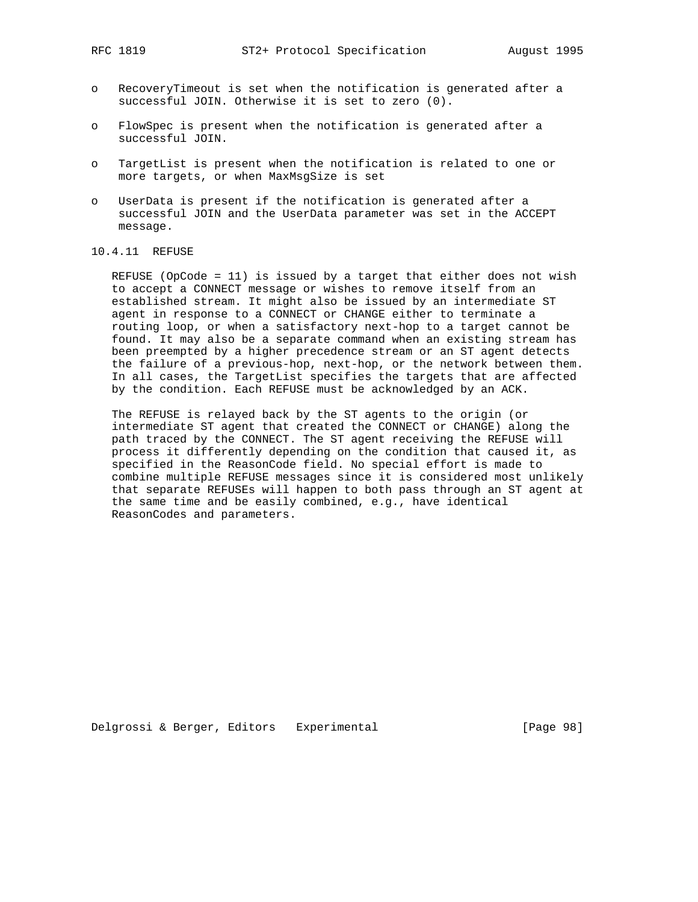- o RecoveryTimeout is set when the notification is generated after a successful JOIN. Otherwise it is set to zero (0).
- o FlowSpec is present when the notification is generated after a successful JOIN.
- o TargetList is present when the notification is related to one or more targets, or when MaxMsgSize is set
- o UserData is present if the notification is generated after a successful JOIN and the UserData parameter was set in the ACCEPT message.

### 10.4.11 REFUSE

 REFUSE (OpCode = 11) is issued by a target that either does not wish to accept a CONNECT message or wishes to remove itself from an established stream. It might also be issued by an intermediate ST agent in response to a CONNECT or CHANGE either to terminate a routing loop, or when a satisfactory next-hop to a target cannot be found. It may also be a separate command when an existing stream has been preempted by a higher precedence stream or an ST agent detects the failure of a previous-hop, next-hop, or the network between them. In all cases, the TargetList specifies the targets that are affected by the condition. Each REFUSE must be acknowledged by an ACK.

 The REFUSE is relayed back by the ST agents to the origin (or intermediate ST agent that created the CONNECT or CHANGE) along the path traced by the CONNECT. The ST agent receiving the REFUSE will process it differently depending on the condition that caused it, as specified in the ReasonCode field. No special effort is made to combine multiple REFUSE messages since it is considered most unlikely that separate REFUSEs will happen to both pass through an ST agent at the same time and be easily combined, e.g., have identical ReasonCodes and parameters.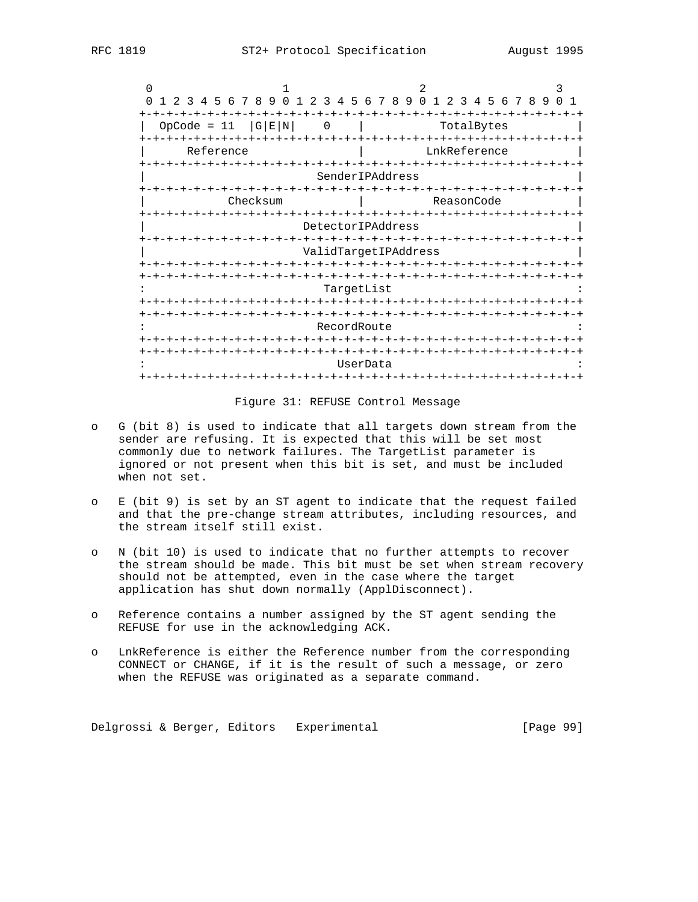| O                               |                     |                      | 2.                               |            | 3              |
|---------------------------------|---------------------|----------------------|----------------------------------|------------|----------------|
| $\Omega$<br>1 2 3 4 5 6 7 8 9 0 | 2<br>3              |                      | 4 5 6 7 8 9 0 1 2 3 4 5 6 7 8 9  |            | 0 <sub>1</sub> |
|                                 |                     |                      |                                  |            |                |
| OpCode = $11$                   | G E N <br>0         |                      |                                  | TotalBytes |                |
| -+-+-+-+-+-+-+-+                |                     |                      |                                  |            |                |
| Reference                       |                     |                      | LnkReference                     |            |                |
| -+-+-+-+-+-+-+-+-+-+            | $+ - + - +$         |                      | -+-+-+-+-+-+-+-+-+-+-+-+-+-+-+-+ |            |                |
|                                 |                     | SenderIPAddress      |                                  |            |                |
|                                 |                     |                      | $+ - + - + - + - +$              |            |                |
| Checksum                        |                     |                      | ReasonCode                       |            |                |
| -+-+-+-+-+-+-+                  |                     |                      |                                  |            |                |
|                                 |                     | DetectorIPAddress    |                                  |            |                |
|                                 | $-+ - + - +$        |                      |                                  |            |                |
|                                 |                     | ValidTargetIPAddress |                                  |            |                |
|                                 | $+ - + - + - + - +$ |                      |                                  |            |                |
| -+-+-+-+-+-+-+-+-+              |                     |                      |                                  |            |                |
|                                 |                     | TargetList           |                                  |            |                |
|                                 | $+ - + - +$<br>-+-+ |                      |                                  |            |                |
|                                 |                     | -+-+-+-+             |                                  |            |                |
|                                 |                     | RecordRoute          |                                  |            |                |
|                                 |                     |                      |                                  |            |                |
|                                 |                     |                      |                                  |            |                |
|                                 |                     | UserData             |                                  |            |                |
|                                 |                     | $- + - + - +$        |                                  |            |                |

Figure 31: REFUSE Control Message

- o G (bit 8) is used to indicate that all targets down stream from the sender are refusing. It is expected that this will be set most commonly due to network failures. The TargetList parameter is ignored or not present when this bit is set, and must be included when not set.
- o E (bit 9) is set by an ST agent to indicate that the request failed and that the pre-change stream attributes, including resources, and the stream itself still exist.
- o N (bit 10) is used to indicate that no further attempts to recover the stream should be made. This bit must be set when stream recovery should not be attempted, even in the case where the target application has shut down normally (ApplDisconnect).
- o Reference contains a number assigned by the ST agent sending the REFUSE for use in the acknowledging ACK.
- o LnkReference is either the Reference number from the corresponding CONNECT or CHANGE, if it is the result of such a message, or zero when the REFUSE was originated as a separate command.

Delgrossi & Berger, Editors Experimental (Page 99)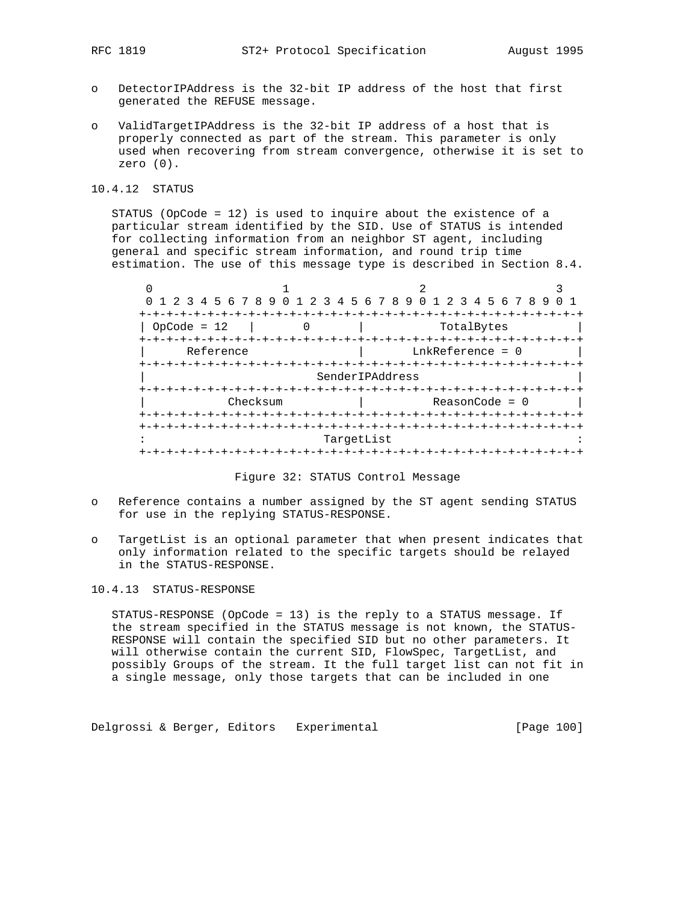- o DetectorIPAddress is the 32-bit IP address of the host that first generated the REFUSE message.
- o ValidTargetIPAddress is the 32-bit IP address of a host that is properly connected as part of the stream. This parameter is only used when recovering from stream convergence, otherwise it is set to zero (0).
- 10.4.12 STATUS

 STATUS (OpCode = 12) is used to inquire about the existence of a particular stream identified by the SID. Use of STATUS is intended for collecting information from an neighbor ST agent, including general and specific stream information, and round trip time estimation. The use of this message type is described in Section 8.4.

|                                     | 0 1 2 3 4 5 6 7 8 9 0 1 2 3 4 5 6 7 8 9 0 1 2 3 4 5 6 7 8 9 |
|-------------------------------------|-------------------------------------------------------------|
| $+ - + - +$<br>OpCode = $12$        | TotalBytes                                                  |
| Reference<br>+-+-+-+-+-+-+-+-+-+-+- | $LnkReference = 0$                                          |
|                                     | SenderIPAddress                                             |
| Checksum                            | $ReasonCode = 0$                                            |
| $+ - + - +$                         | TargetList                                                  |

Figure 32: STATUS Control Message

- o Reference contains a number assigned by the ST agent sending STATUS for use in the replying STATUS-RESPONSE.
- o TargetList is an optional parameter that when present indicates that only information related to the specific targets should be relayed in the STATUS-RESPONSE.
- 10.4.13 STATUS-RESPONSE

 STATUS-RESPONSE (OpCode = 13) is the reply to a STATUS message. If the stream specified in the STATUS message is not known, the STATUS- RESPONSE will contain the specified SID but no other parameters. It will otherwise contain the current SID, FlowSpec, TargetList, and possibly Groups of the stream. It the full target list can not fit in a single message, only those targets that can be included in one

Delgrossi & Berger, Editors Experimental (Page 100)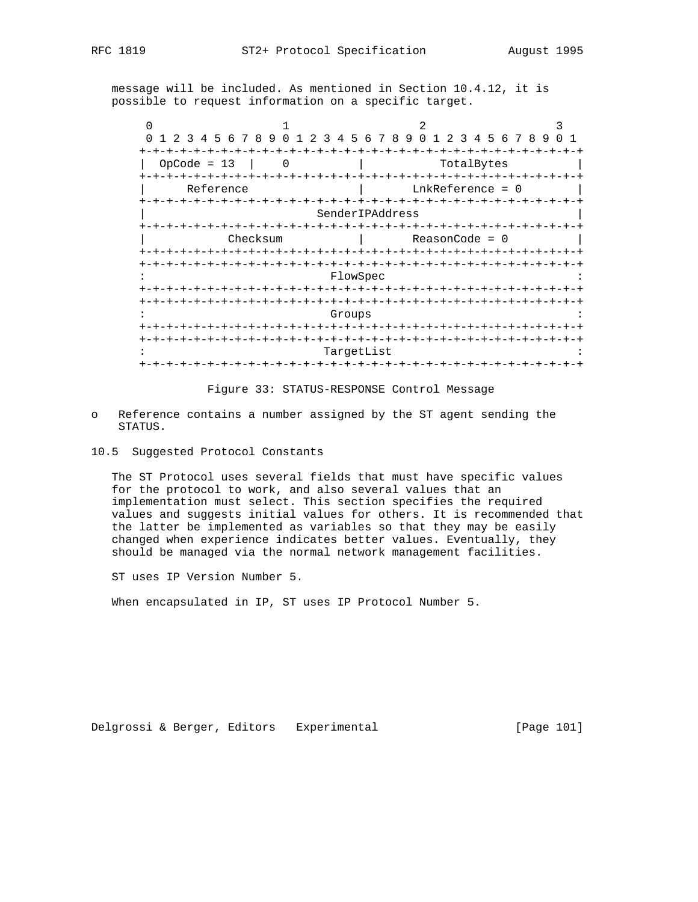message will be included. As mentioned in Section 10.4.12, it is possible to request information on a specific target.

| 0                               |                       |                                | 2                                                 |                                     |
|---------------------------------|-----------------------|--------------------------------|---------------------------------------------------|-------------------------------------|
| $\Omega$<br>2 3<br>$\mathbf{1}$ | 4 5 6 7 8 9<br>$\cap$ | 789<br>2<br>5<br>- 6<br>ર<br>4 | 2 3 4 5 6 7 8<br>$\overline{0}$<br>$\overline{1}$ | 9<br>$\overline{0}$<br>$\mathbf{1}$ |
| $+ - +$<br>$OpCode = 13$        | 0                     |                                | TotalBytes                                        |                                     |
|                                 | Reference             |                                | $LnkReference = 0$                                |                                     |
|                                 |                       | SenderIPAddress                |                                                   |                                     |
| $+ -$                           | Checksum              |                                | $ReasonCode = 0$                                  |                                     |
|                                 |                       | FlowSpec                       |                                                   |                                     |
|                                 |                       |                                |                                                   |                                     |
|                                 |                       | Groups                         |                                                   |                                     |
| $+ -$                           |                       | $+ - + - +$                    | - +                                               |                                     |
|                                 |                       | TargetList                     |                                                   |                                     |
| $+ - + - +$                     |                       | $- + - +$<br>$-+$              | $-+ - + - + -$<br>ーナーナーナ                          |                                     |



- o Reference contains a number assigned by the ST agent sending the STATUS.
- 10.5 Suggested Protocol Constants

 The ST Protocol uses several fields that must have specific values for the protocol to work, and also several values that an implementation must select. This section specifies the required values and suggests initial values for others. It is recommended that the latter be implemented as variables so that they may be easily changed when experience indicates better values. Eventually, they should be managed via the normal network management facilities.

ST uses IP Version Number 5.

When encapsulated in IP, ST uses IP Protocol Number 5.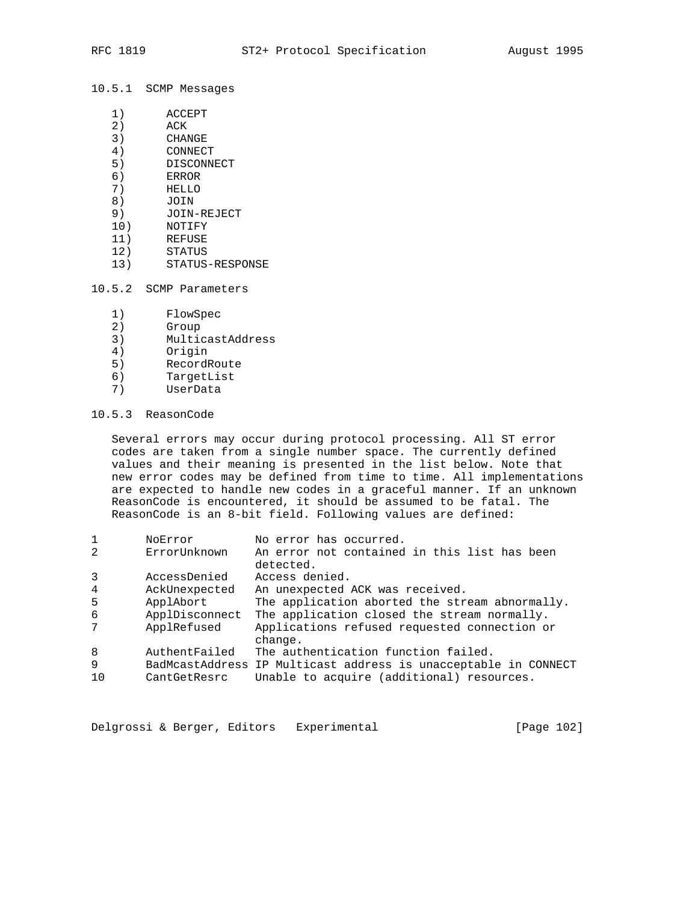# 10.5.1 SCMP Messages

- 1) ACCEPT
- 2) ACK<br>3) CHAM
- 3) CHANGE<br>4) CONNECT
- 4) CONNECT<br>5) DISCONNI
- 5) DISCONNECT
- 6) ERROR
- 7) HELLO
- 8) JOIN
- 9) JOIN-REJECT
- 10) NOTIFY
- 11) REFUSE
- 12) STATUS
- 13) STATUS-RESPONSE
- 10.5.2 SCMP Parameters
	- 1) FlowSpec
	- 2) Group
	- 3) MulticastAddress
	- 4) Origin
	- 5) RecordRoute
	- 6) TargetList
	- 7) UserData
- 10.5.3 ReasonCode

 Several errors may occur during protocol processing. All ST error codes are taken from a single number space. The currently defined values and their meaning is presented in the list below. Note that new error codes may be defined from time to time. All implementations are expected to handle new codes in a graceful manner. If an unknown ReasonCode is encountered, it should be assumed to be fatal. The ReasonCode is an 8-bit field. Following values are defined:

| $\mathbf{1}$ | NoError        | No error has occurred.                                          |
|--------------|----------------|-----------------------------------------------------------------|
| 2            | ErrorUnknown   | An error not contained in this list has been                    |
|              |                | detected.                                                       |
| 3            | AccessDenied   | Access denied.                                                  |
| 4            | AckUnexpected  | An unexpected ACK was received.                                 |
| -5           | ApplAbort      | The application aborted the stream abnormally.                  |
| 6            | ApplDisconnect | The application closed the stream normally.                     |
| 7            | ApplRefused    | Applications refused requested connection or                    |
|              |                | change.                                                         |
| 8            | AuthentFailed  | The authentication function failed.                             |
| 9            |                | BadMcastAddress IP Multicast address is unacceptable in CONNECT |
| 10           | CantGetResrc   | Unable to acquire (additional) resources.                       |
|              |                |                                                                 |

Delgrossi & Berger, Editors Experimental [Page 102]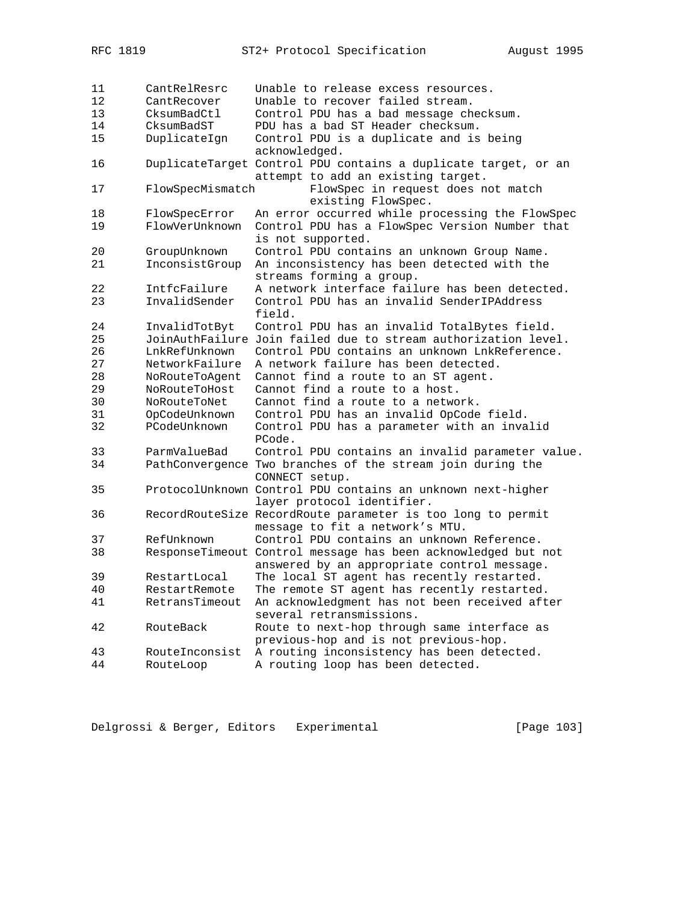| 11 | CantRelResrc     | Unable to release excess resources.                            |
|----|------------------|----------------------------------------------------------------|
| 12 | CantRecover      | Unable to recover failed stream.                               |
| 13 | CksumBadCtl      | Control PDU has a bad message checksum.                        |
| 14 | CksumBadST       | PDU has a bad ST Header checksum.                              |
| 15 | DuplicateIgn     | Control PDU is a duplicate and is being                        |
|    |                  | acknowledged.                                                  |
| 16 |                  | DuplicateTarget Control PDU contains a duplicate target, or an |
|    |                  | attempt to add an existing target.                             |
| 17 | FlowSpecMismatch | FlowSpec in request does not match                             |
|    |                  | existing FlowSpec.                                             |
| 18 | FlowSpecError    | An error occurred while processing the FlowSpec                |
| 19 | FlowVerUnknown   | Control PDU has a FlowSpec Version Number that                 |
|    |                  | is not supported.                                              |
| 20 | GroupUnknown     | Control PDU contains an unknown Group Name.                    |
| 21 | InconsistGroup   | An inconsistency has been detected with the                    |
|    |                  | streams forming a group.                                       |
| 22 | IntfcFailure     | A network interface failure has been detected.                 |
| 23 | InvalidSender    | Control PDU has an invalid SenderIPAddress                     |
|    |                  | field.                                                         |
| 24 | InvalidTotByt    | Control PDU has an invalid TotalBytes field.                   |
| 25 |                  | JoinAuthFailure Join failed due to stream authorization level. |
| 26 | LnkRefUnknown    | Control PDU contains an unknown LnkReference.                  |
| 27 | NetworkFailure   | A network failure has been detected.                           |
| 28 | NoRouteToAgent   | Cannot find a route to an ST agent.                            |
| 29 | NoRouteToHost    | Cannot find a route to a host.                                 |
| 30 | NoRouteToNet     | Cannot find a route to a network.                              |
| 31 | OpCodeUnknown    | Control PDU has an invalid OpCode field.                       |
| 32 | PCodeUnknown     | Control PDU has a parameter with an invalid                    |
|    |                  | PCode.                                                         |
| 33 | ParmValueBad     | Control PDU contains an invalid parameter value.               |
| 34 |                  | PathConvergence Two branches of the stream join during the     |
|    |                  | CONNECT setup.                                                 |
| 35 |                  | ProtocolUnknown Control PDU contains an unknown next-higher    |
|    |                  | layer protocol identifier.                                     |
| 36 |                  | RecordRouteSize RecordRoute parameter is too long to permit    |
|    |                  | message to fit a network's MTU.                                |
| 37 | RefUnknown       | Control PDU contains an unknown Reference.                     |
| 38 |                  | ResponseTimeout Control message has been acknowledged but not  |
|    |                  | answered by an appropriate control message.                    |
| 39 | RestartLocal     | The local ST agent has recently restarted.                     |
| 40 | RestartRemote    | The remote ST agent has recently restarted.                    |
| 41 | RetransTimeout   | An acknowledgment has not been received after                  |
|    |                  | several retransmissions.                                       |
| 42 | RouteBack        | Route to next-hop through same interface as                    |
|    |                  | previous-hop and is not previous-hop.                          |
| 43 | RouteInconsist   | A routing inconsistency has been detected.                     |
| 44 | RouteLoop        | A routing loop has been detected.                              |
|    |                  |                                                                |

Delgrossi & Berger, Editors Experimental (Page 103)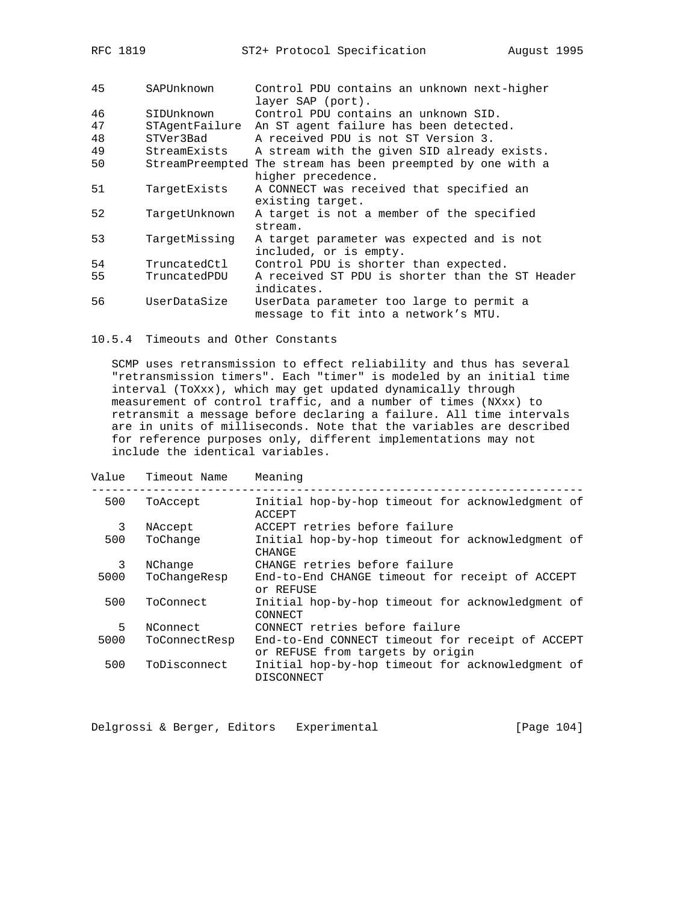| 45 | SADIInknown |  | Control PDU contains an unknown next-higher |  |  |
|----|-------------|--|---------------------------------------------|--|--|

| 45 | SAPUIIKIIOWII  | CONCLOI PDU CONCAINS AN UNKNOWN NEXC-NIGHEL                 |
|----|----------------|-------------------------------------------------------------|
|    |                | layer SAP (port).                                           |
| 46 | SIDUnknown     | Control PDU contains an unknown SID.                        |
| 47 | STAgentFailure | An ST agent failure has been detected.                      |
| 48 | STVer3Bad      | A received PDU is not ST Version 3.                         |
| 49 | StreamExists   | A stream with the given SID already exists.                 |
| 50 |                | StreamPreempted The stream has been preempted by one with a |
|    |                | higher precedence.                                          |
| 51 | TargetExists   | A CONNECT was received that specified an                    |
|    |                | existing target.                                            |
| 52 | TargetUnknown  | A target is not a member of the specified                   |
|    |                | stream.                                                     |
| 53 | TargetMissing  | A target parameter was expected and is not                  |
|    |                | included, or is empty.                                      |
| 54 | TruncatedCtl   | Control PDU is shorter than expected.                       |
| 55 | TruncatedPDU   | A received ST PDU is shorter than the ST Header             |
|    |                | indicates.                                                  |
| 56 | UserDataSize   | UserData parameter too large to permit a                    |
|    |                | message to fit into a network's MTU.                        |

#### 10.5.4 Timeouts and Other Constants

 SCMP uses retransmission to effect reliability and thus has several "retransmission timers". Each "timer" is modeled by an initial time interval (ToXxx), which may get updated dynamically through measurement of control traffic, and a number of times (NXxx) to retransmit a message before declaring a failure. All time intervals are in units of milliseconds. Note that the variables are described for reference purposes only, different implementations may not include the identical variables.

| Value | Timeout Name  | Meaning                                                                              |
|-------|---------------|--------------------------------------------------------------------------------------|
| 500   | ToAccept      | Initial hop-by-hop timeout for acknowledgment of<br>ACCEPT                           |
| 3     | NAccept       | ACCEPT retries before failure                                                        |
| 500   | ToChange      | Initial hop-by-hop timeout for acknowledgment of<br>CHANGE                           |
| 3     | NChange       | CHANGE retries before failure                                                        |
| 5000  | ToChangeResp  | End-to-End CHANGE timeout for receipt of ACCEPT<br>Or REFUSE                         |
| 500   | ToConnect     | Initial hop-by-hop timeout for acknowledgment of<br><b>CONNECT</b>                   |
| 5     | NConnect      | CONNECT retries before failure                                                       |
| 5000  | ToConnectResp | End-to-End CONNECT timeout for receipt of ACCEPT<br>or REFUSE from targets by origin |
| 500   | ToDisconnect  | Initial hop-by-hop timeout for acknowledgment of<br><b>DISCONNECT</b>                |

Delgrossi & Berger, Editors Experimental (Page 104)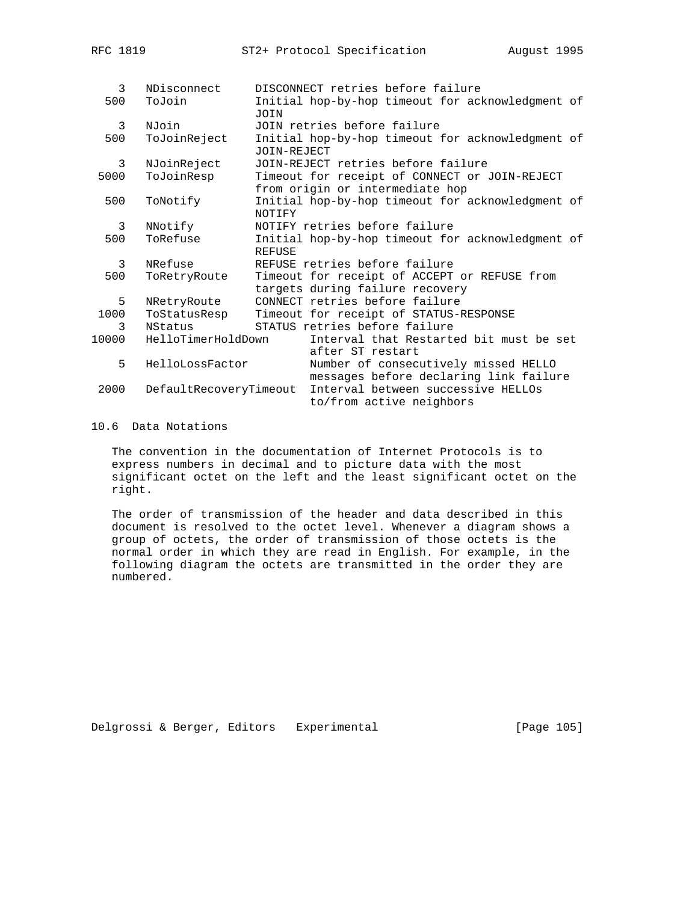| 3     | NDisconnect            | DISCONNECT retries before failure                                                |
|-------|------------------------|----------------------------------------------------------------------------------|
| 500   | ToJoin                 | Initial hop-by-hop timeout for acknowledgment of<br>JOIN                         |
| 3     | NJoin                  | JOIN retries before failure                                                      |
| 500   | ToJoinReject           | Initial hop-by-hop timeout for acknowledgment of<br>JOIN-REJECT                  |
| 3     | NJoinReject            | JOIN-REJECT retries before failure                                               |
| 5000  | ToJoinResp             | Timeout for receipt of CONNECT or JOIN-REJECT<br>from origin or intermediate hop |
| 500   | ToNotify               | Initial hop-by-hop timeout for acknowledgment of<br>NOTIFY                       |
| 3     | NNotify                | NOTIFY retries before failure                                                    |
| 500   | ToRefuse               | Initial hop-by-hop timeout for acknowledgment of<br>REFUSE                       |
| 3     | NRefuse                | REFUSE retries before failure                                                    |
| 500   | ToRetryRoute           | Timeout for receipt of ACCEPT or REFUSE from<br>targets during failure recovery  |
| 5     | NRetryRoute            | CONNECT retries before failure                                                   |
| 1000  | ToStatusResp           | Timeout for receipt of STATUS-RESPONSE                                           |
| 3     | NStatus                | STATUS retries before failure                                                    |
| 10000 | HelloTimerHoldDown     | Interval that Restarted bit must be set<br>after ST restart                      |
| 5     | HelloLossFactor        | Number of consecutively missed HELLO<br>messages before declaring link failure   |
| 2000  | DefaultRecoveryTimeout | Interval between successive HELLOs<br>to/from active neighbors                   |
|       |                        |                                                                                  |

## 10.6 Data Notations

 The convention in the documentation of Internet Protocols is to express numbers in decimal and to picture data with the most significant octet on the left and the least significant octet on the right.

 The order of transmission of the header and data described in this document is resolved to the octet level. Whenever a diagram shows a group of octets, the order of transmission of those octets is the normal order in which they are read in English. For example, in the following diagram the octets are transmitted in the order they are numbered.

Delgrossi & Berger, Editors Experimental (Page 105)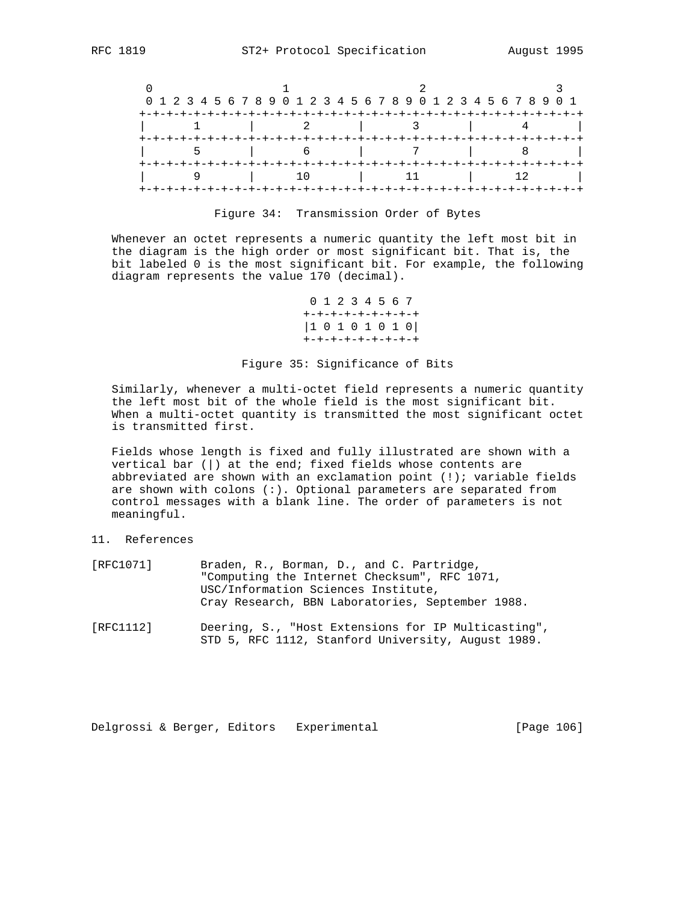



 Whenever an octet represents a numeric quantity the left most bit in the diagram is the high order or most significant bit. That is, the bit labeled 0 is the most significant bit. For example, the following diagram represents the value 170 (decimal).

> 0 1 2 3 4 5 6 7 +-+-+-+-+-+-+-+-+ |1 0 1 0 1 0 1 0| +-+-+-+-+-+-+-+-+

#### Figure 35: Significance of Bits

 Similarly, whenever a multi-octet field represents a numeric quantity the left most bit of the whole field is the most significant bit. When a multi-octet quantity is transmitted the most significant octet is transmitted first.

 Fields whose length is fixed and fully illustrated are shown with a vertical bar (|) at the end; fixed fields whose contents are abbreviated are shown with an exclamation point (!); variable fields are shown with colons  $(:).$  Optional parameters are separated from control messages with a blank line. The order of parameters is not meaningful.

11. References

| [RFC1071] | Braden, R., Borman, D., and C. Partridge,<br>"Computing the Internet Checksum", RFC 1071,<br>USC/Information Sciences Institute,<br>Cray Research, BBN Laboratories, September 1988. |
|-----------|--------------------------------------------------------------------------------------------------------------------------------------------------------------------------------------|
| [RFC1112] | Deering, S., "Host Extensions for IP Multicasting",<br>STD 5, RFC 1112, Stanford University, August 1989.                                                                            |

Delgrossi & Berger, Editors Experimental (Page 106)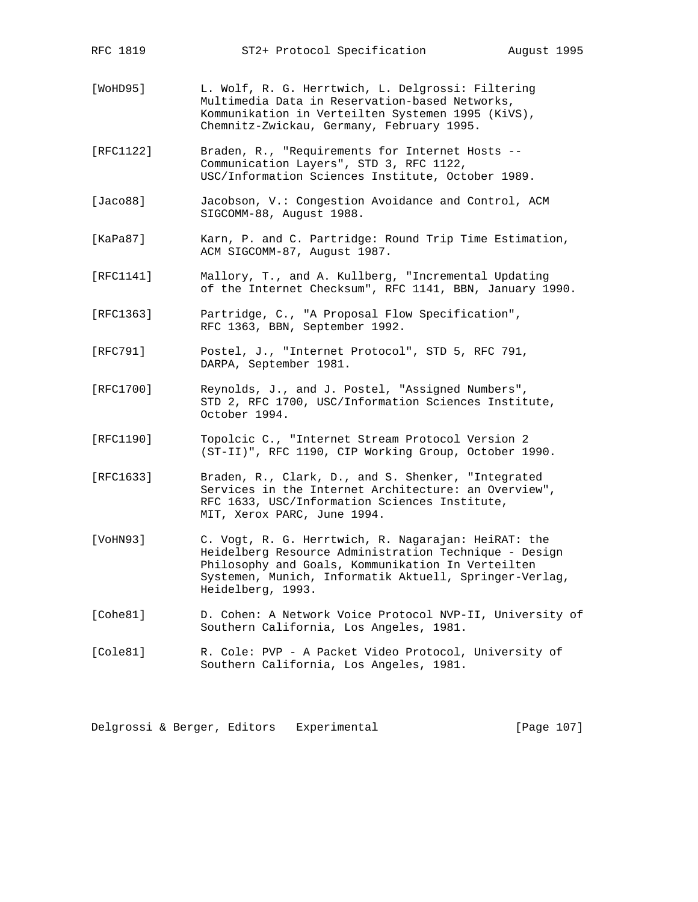- [WoHD95] L. Wolf, R. G. Herrtwich, L. Delgrossi: Filtering Multimedia Data in Reservation-based Networks, Kommunikation in Verteilten Systemen 1995 (KiVS), Chemnitz-Zwickau, Germany, February 1995.
- [RFC1122] Braden, R., "Requirements for Internet Hosts -- Communication Layers", STD 3, RFC 1122, USC/Information Sciences Institute, October 1989.
- [Jaco88] Jacobson, V.: Congestion Avoidance and Control, ACM SIGCOMM-88, August 1988.
- [KaPa87] Karn, P. and C. Partridge: Round Trip Time Estimation, ACM SIGCOMM-87, August 1987.
- [RFC1141] Mallory, T., and A. Kullberg, "Incremental Updating of the Internet Checksum", RFC 1141, BBN, January 1990.
- [RFC1363] Partridge, C., "A Proposal Flow Specification", RFC 1363, BBN, September 1992.
- [RFC791] Postel, J., "Internet Protocol", STD 5, RFC 791, DARPA, September 1981.
- [RFC1700] Reynolds, J., and J. Postel, "Assigned Numbers", STD 2, RFC 1700, USC/Information Sciences Institute, October 1994.
- [RFC1190] Topolcic C., "Internet Stream Protocol Version 2 (ST-II)", RFC 1190, CIP Working Group, October 1990.
- [RFC1633] Braden, R., Clark, D., and S. Shenker, "Integrated Services in the Internet Architecture: an Overview", RFC 1633, USC/Information Sciences Institute, MIT, Xerox PARC, June 1994.
- [VoHN93] C. Vogt, R. G. Herrtwich, R. Nagarajan: HeiRAT: the Heidelberg Resource Administration Technique - Design Philosophy and Goals, Kommunikation In Verteilten Systemen, Munich, Informatik Aktuell, Springer-Verlag, Heidelberg, 1993.
- [Cohe81] D. Cohen: A Network Voice Protocol NVP-II, University of Southern California, Los Angeles, 1981.
- [Cole81] R. Cole: PVP A Packet Video Protocol, University of Southern California, Los Angeles, 1981.

Delgrossi & Berger, Editors Experimental [Page 107]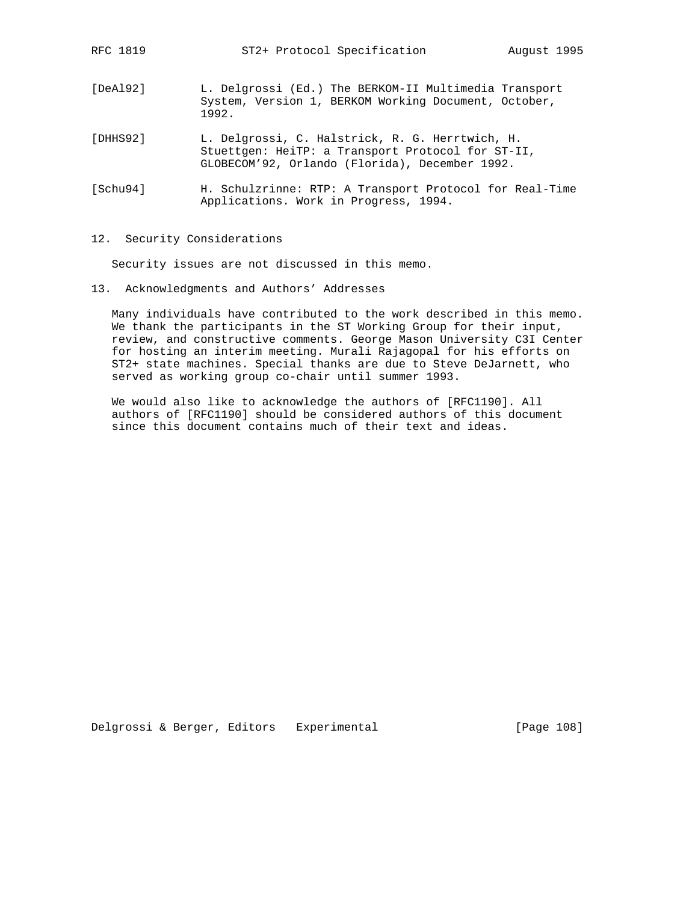- [DeAl92] L. Delgrossi (Ed.) The BERKOM-II Multimedia Transport System, Version 1, BERKOM Working Document, October, 1992.
- [DHHS92] L. Delgrossi, C. Halstrick, R. G. Herrtwich, H. Stuettgen: HeiTP: a Transport Protocol for ST-II, GLOBECOM'92, Orlando (Florida), December 1992.
- [Schu94] H. Schulzrinne: RTP: A Transport Protocol for Real-Time Applications. Work in Progress, 1994.
- 12. Security Considerations

Security issues are not discussed in this memo.

13. Acknowledgments and Authors' Addresses

 Many individuals have contributed to the work described in this memo. We thank the participants in the ST Working Group for their input, review, and constructive comments. George Mason University C3I Center for hosting an interim meeting. Murali Rajagopal for his efforts on ST2+ state machines. Special thanks are due to Steve DeJarnett, who served as working group co-chair until summer 1993.

 We would also like to acknowledge the authors of [RFC1190]. All authors of [RFC1190] should be considered authors of this document since this document contains much of their text and ideas.